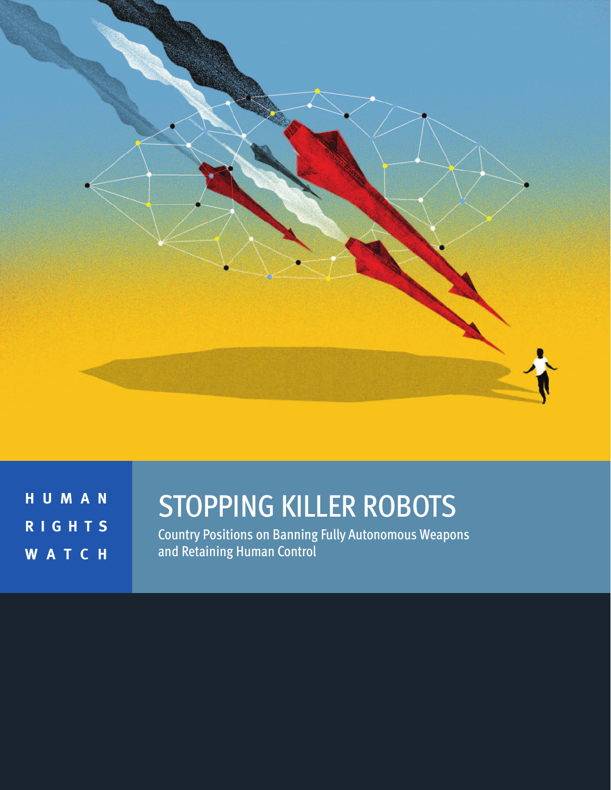

**H U M A N R I G H T S W A T C H** 

# STOPPING KILLER ROBOTS

Country Positions on Banning Fully Autonomous Weapons and Retaining Human Control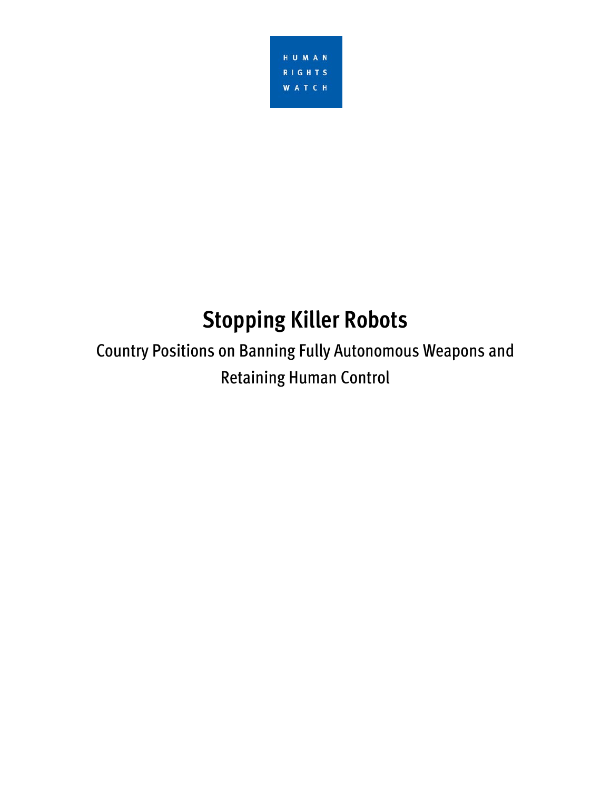

# **Stopping Killer Robots**

Country Positions on Banning Fully Autonomous Weapons and Retaining Human Control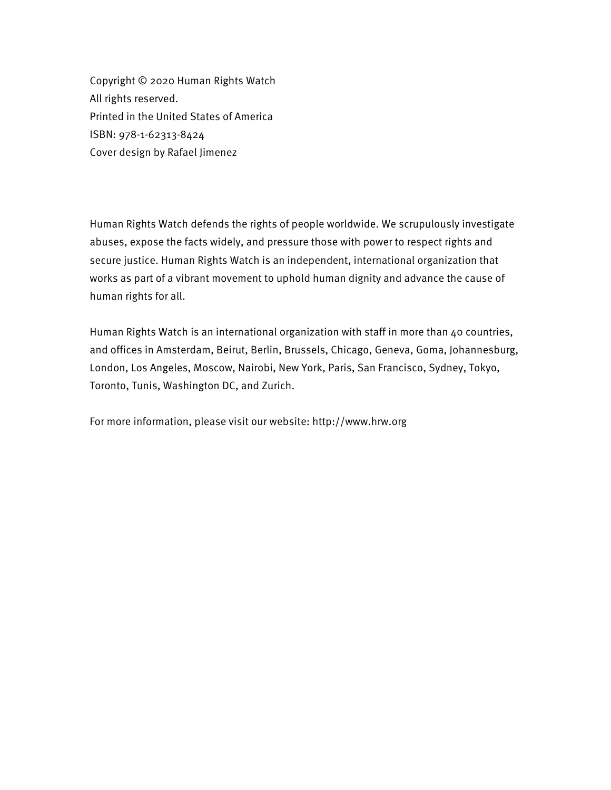Copyright © 2020 Human Rights Watch All rights reserved. Printed in the United States of America ISBN: 978-1-62313-8424 Cover design by Rafael Jimenez

Human Rights Watch defends the rights of people worldwide. We scrupulously investigate abuses, expose the facts widely, and pressure those with power to respect rights and secure justice. Human Rights Watch is an independent, international organization that works as part of a vibrant movement to uphold human dignity and advance the cause of human rights for all.

Human Rights Watch is an international organization with staff in more than 40 countries, and offices in Amsterdam, Beirut, Berlin, Brussels, Chicago, Geneva, Goma, Johannesburg, London, Los Angeles, Moscow, Nairobi, New York, Paris, San Francisco, Sydney, Tokyo, Toronto, Tunis, Washington DC, and Zurich.

For more information, please visit our website: http://www.hrw.org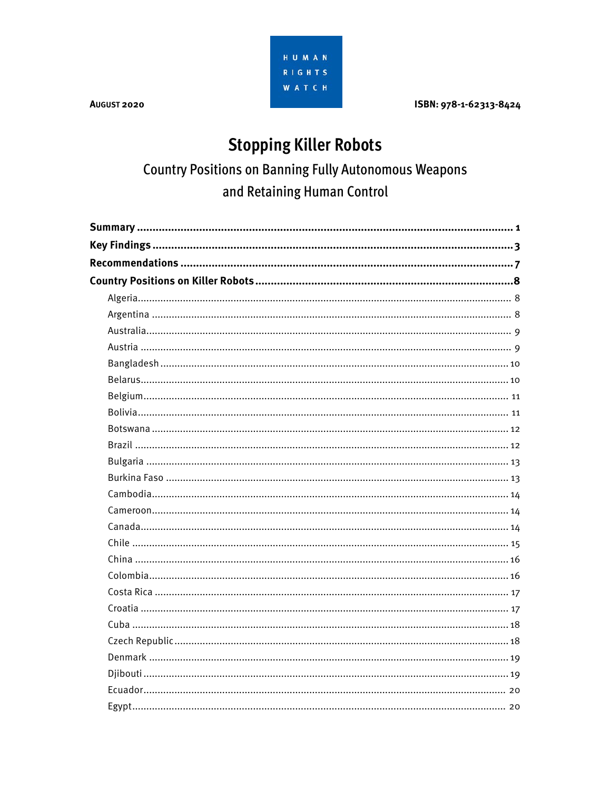HUMAN RIGHTS **WATCH** 

**AUGUST 2020** 

ISBN: 978-1-62313-8424

# **Stopping Killer Robots**

# **Country Positions on Banning Fully Autonomous Weapons** and Retaining Human Control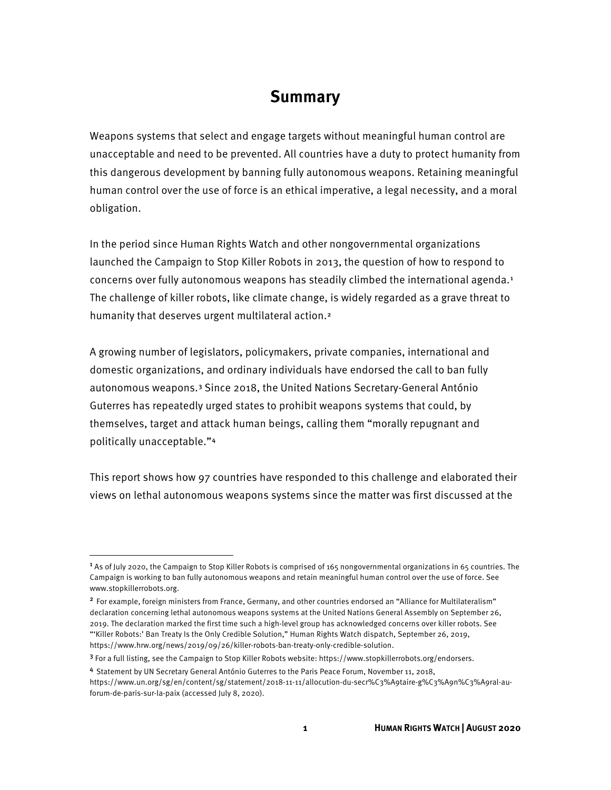# **Summary**

<span id="page-7-0"></span>Weapons systems that select and engage targets without meaningful human control are unacceptable and need to be prevented. All countries have a duty to protect humanity from this dangerous development by banning fully autonomous weapons. Retaining meaningful human control over the use of force is an ethical imperative, a legal necessity, and a moral obligation.

In the period since Human Rights Watch and other nongovernmental organizations launched the Campaign to Stop Killer Robots in 2013, the question of how to respond to concerns over fully autonomous weapons has steadily climbed the international agenda.<sup>[1](#page-7-1)</sup> The challenge of killer robots, like climate change, is widely regarded as a grave threat to humanity that deserves urgent multilateral action.<sup>[2](#page-7-2)</sup>

A growing number of legislators, policymakers, private companies, international and domestic organizations, and ordinary individuals have endorsed the call to ban fully autonomous weapons.[3](#page-7-3) Since 2018, the United Nations Secretary-General António Guterres has repeatedly urged states to prohibit weapons systems that could, by themselves, target and attack human beings, calling them "morally repugnant and politically unacceptable."[4](#page-7-4)

This report shows how 97 countries have responded to this challenge and elaborated their views on lethal autonomous weapons systems since the matter was first discussed at the

<span id="page-7-2"></span><span id="page-7-1"></span><sup>1</sup> As of July 2020, the Campaign to Stop Killer Robots is comprised of 165 nongovernmental organizations in 65 countries. The Campaign is working to ban fully autonomous weapons and retain meaningful human control over the use of force. See www.stopkillerrobots.org.

<sup>2</sup> For example, foreign ministers from France, Germany, and other countries endorsed an "Alliance for Multilateralism" declaration concerning lethal autonomous weapons systems at the United Nations General Assembly on September 26, 2019. The declaration marked the first time such a high-level group has acknowledged concerns over killer robots. See "'Killer Robots:' Ban Treaty Is the Only Credible Solution," Human Rights Watch dispatch, September 26, 2019, https://www.hrw.org/news/2019/09/26/killer-robots-ban-treaty-only-credible-solution.

<span id="page-7-3"></span><sup>3</sup> For a full listing, see the Campaign to Stop Killer Robots website: https://www.stopkillerrobots.org/endorsers.

<span id="page-7-4"></span><sup>4</sup> Statement by UN Secretary General António Guterres to the Paris Peace Forum, November 11, 2018,

https://www.un.org/sg/en/content/sg/statement/2018-11-11/allocution-du-secr%C3%A9taire-g%C3%A9n%C3%A9ral-auforum-de-paris-sur-la-paix (accessed July 8, 2020).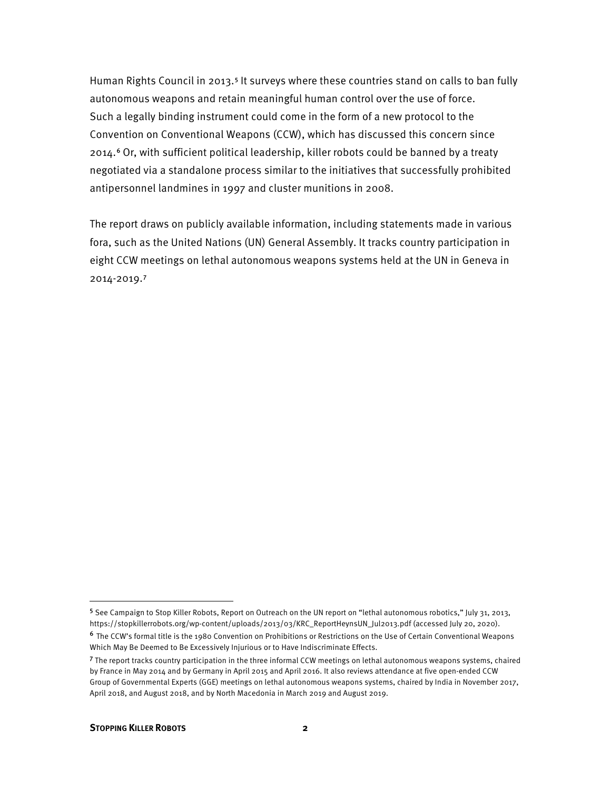Human Rights Council in 2013.[5](#page-8-0) It surveys where these countries stand on calls to ban fully autonomous weapons and retain meaningful human control over the use of force. Such a legally binding instrument could come in the form of a new protocol to the Convention on Conventional Weapons (CCW), which has discussed this concern since 2014.[6](#page-8-1) Or, with sufficient political leadership, killer robots could be banned by a treaty negotiated via a standalone process similar to the initiatives that successfully prohibited antipersonnel landmines in 1997 and cluster munitions in 2008.

The report draws on publicly available information, including statements made in various fora, such as the United Nations (UN) General Assembly. It tracks country participation in eight CCW meetings on lethal autonomous weapons systems held at the UN in Geneva in 2014-2019.[7](#page-8-2)

<span id="page-8-0"></span><sup>5</sup> See Campaign to Stop Killer Robots, Report on Outreach on the UN report on "lethal autonomous robotics," July 31, 2013, https://stopkillerrobots.org/wp-content/uploads/2013/03/KRC\_ReportHeynsUN\_Jul2013.pdf (accessed July 20, 2020). <sup>6</sup> The CCW's formal title is the 1980 Convention on Prohibitions or Restrictions on the Use of Certain Conventional Weapons Which May Be Deemed to Be Excessively Injurious or to Have Indiscriminate Effects.

<span id="page-8-2"></span><span id="page-8-1"></span><sup>7</sup> The report tracks country participation in the three informal CCW meetings on lethal autonomous weapons systems, chaired by France in May 2014 and by Germany in April 2015 and April 2016. It also reviews attendance at five open-ended CCW Group of Governmental Experts (GGE) meetings on lethal autonomous weapons systems, chaired by India in November 2017, April 2018, and August 2018, and by North Macedonia in March 2019 and August 2019.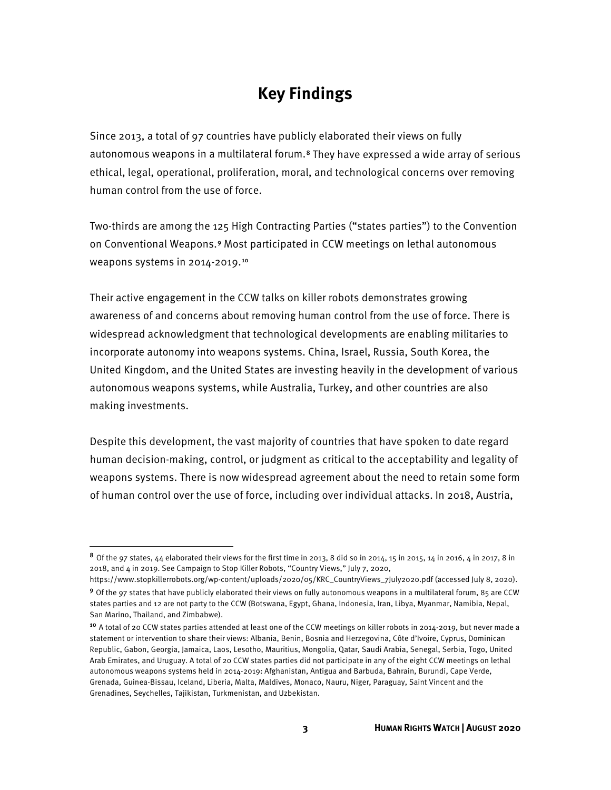# **Key Findings**

<span id="page-9-0"></span>Since 2013, a total of 97 countries have publicly elaborated their views on fully autonomous weapons in a multilateral forum.<sup>[8](#page-9-1)</sup> They have expressed a wide array of serious ethical, legal, operational, proliferation, moral, and technological concerns over removing human control from the use of force.

Two-thirds are among the 125 High Contracting Parties ("states parties") to the Convention on Conventional Weapons.[9](#page-9-2) Most participated in CCW meetings on lethal autonomous weapons systems in 2014-2019.[10](#page-9-3)

Their active engagement in the CCW talks on killer robots demonstrates growing awareness of and concerns about removing human control from the use of force. There is widespread acknowledgment that technological developments are enabling militaries to incorporate autonomy into weapons systems. China, Israel, Russia, South Korea, the United Kingdom, and the United States are investing heavily in the development of various autonomous weapons systems, while Australia, Turkey, and other countries are also making investments.

Despite this development, the vast majority of countries that have spoken to date regard human decision-making, control, or judgment as critical to the acceptability and legality of weapons systems. There is now widespread agreement about the need to retain some form of human control over the use of force, including over individual attacks. In 2018, Austria,

<span id="page-9-1"></span> $8$  Of the 97 states, 44 elaborated their views for the first time in 2013, 8 did so in 2014, 15 in 2015, 14 in 2016, 4 in 2017, 8 in 2018, and 4 in 2019. See Campaign to Stop Killer Robots, "Country Views," July 7, 2020,

<span id="page-9-2"></span>https://www.stopkillerrobots.org/wp-content/uploads/2020/05/KRC\_CountryViews\_7July2020.pdf (accessed July 8, 2020). <sup>9</sup> Of the 97 states that have publicly elaborated their views on fully autonomous weapons in a multilateral forum, 85 are CCW states parties and 12 are not party to the CCW (Botswana, Egypt, Ghana, Indonesia, Iran, Libya, Myanmar, Namibia, Nepal, San Marino, Thailand, and Zimbabwe).

<span id="page-9-3"></span><sup>&</sup>lt;sup>10</sup> A total of 20 CCW states parties attended at least one of the CCW meetings on killer robots in 2014-2019, but never made a statement or intervention to share their views: Albania, Benin, Bosnia and Herzegovina, Côte d'Ivoire, Cyprus, Dominican Republic, Gabon, Georgia, Jamaica, Laos, Lesotho, Mauritius, Mongolia, Qatar, Saudi Arabia, Senegal, Serbia, Togo, United Arab Emirates, and Uruguay. A total of 20 CCW states parties did not participate in any of the eight CCW meetings on lethal autonomous weapons systems held in 2014-2019: Afghanistan, Antigua and Barbuda, Bahrain, Burundi, Cape Verde, Grenada, Guinea-Bissau, Iceland, Liberia, Malta, Maldives, Monaco, Nauru, Niger, Paraguay, Saint Vincent and the Grenadines, Seychelles, Tajikistan, Turkmenistan, and Uzbekistan.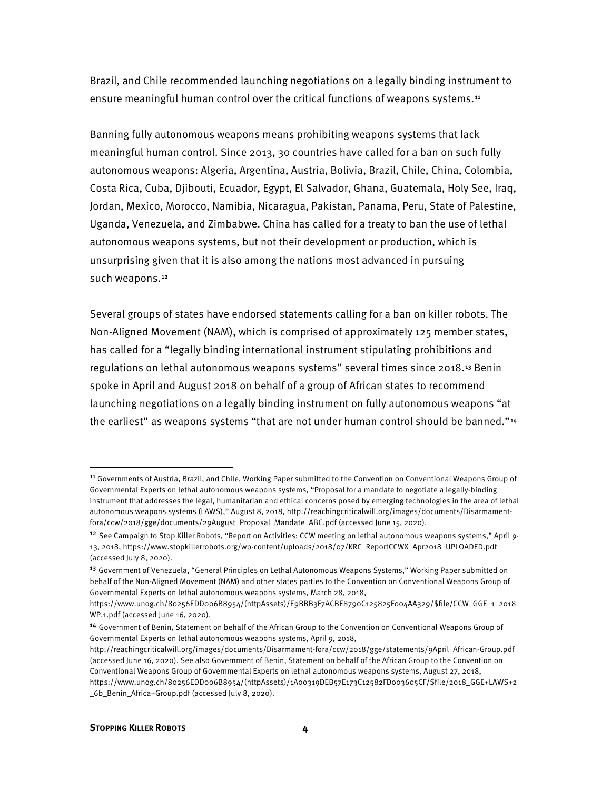Brazil, and Chile recommended launching negotiations on a legally binding instrument to ensure meaningful human control over the critical functions of weapons systems.<sup>[11](#page-10-0)</sup>

Banning fully autonomous weapons means prohibiting weapons systems that lack meaningful human control. Since 2013, 30 countries have called for a ban on such fully autonomous weapons: Algeria, Argentina, Austria, Bolivia, Brazil, Chile, China, Colombia, Costa Rica, Cuba, Djibouti, Ecuador, Egypt, El Salvador, Ghana, Guatemala, Holy See, Iraq, Jordan, Mexico, Morocco, Namibia, Nicaragua, Pakistan, Panama, Peru, State of Palestine, Uganda, Venezuela, and Zimbabwe. China has called for a treaty to ban the use of lethal autonomous weapons systems, but not their development or production, which is unsurprising given that it is also among the nations most advanced in pursuing such weapons.<sup>[12](#page-10-1)</sup>

Several groups of states have endorsed statements calling for a ban on killer robots. The Non-Aligned Movement (NAM), which is comprised of approximately 125 member states, has called for a "legally binding international instrument stipulating prohibitions and regulations on lethal autonomous weapons systems" several times since 2018.[13](#page-10-2) Benin spoke in April and August 2018 on behalf of a group of African states to recommend launching negotiations on a legally binding instrument on fully autonomous weapons "at the earliest" as weapons systems "that are not under human control should be banned."<sup>[14](#page-10-3)</sup>

<span id="page-10-0"></span><sup>&</sup>lt;sup>11</sup> Governments of Austria, Brazil, and Chile, Working Paper submitted to the Convention on Conventional Weapons Group of Governmental Experts on lethal autonomous weapons systems, "Proposal for a mandate to negotiate a legally-binding instrument that addresses the legal, humanitarian and ethical concerns posed by emerging technologies in the area of lethal autonomous weapons systems (LAWS)," August 8, 2018, http://reachingcriticalwill.org/images/documents/Disarmamentfora/ccw/2018/gge/documents/29August\_Proposal\_Mandate\_ABC.pdf (accessed June 15, 2020).

<span id="page-10-1"></span><sup>&</sup>lt;sup>12</sup> See Campaign to Stop Killer Robots, "Report on Activities: CCW meeting on lethal autonomous weapons systems," April 9-13, 2018, https://www.stopkillerrobots.org/wp-content/uploads/2018/07/KRC\_ReportCCWX\_Apr2018\_UPLOADED.pdf (accessed July 8, 2020).

<span id="page-10-2"></span><sup>&</sup>lt;sup>13</sup> Government of Venezuela, "General Principles on Lethal Autonomous Weapons Systems," Working Paper submitted on behalf of the Non-Aligned Movement (NAM) and other states parties to the Convention on Conventional Weapons Group of Governmental Experts on lethal autonomous weapons systems, March 28, 2018,

https://www.unog.ch/80256EDD006B8954/(httpAssets)/E9BBB3F7ACBE8790C125825F004AA329/\$file/CCW\_GGE\_1\_2018\_ WP.1.pdf (accessed June 16, 2020).

<span id="page-10-3"></span><sup>14</sup> Government of Benin, Statement on behalf of the African Group to the Convention on Conventional Weapons Group of Governmental Experts on lethal autonomous weapons systems, April 9, 2018,

http://reachingcriticalwill.org/images/documents/Disarmament-fora/ccw/2018/gge/statements/9April\_African-Group.pdf (accessed June 16, 2020). See also Government of Benin, Statement on behalf of the African Group to the Convention on Conventional Weapons Group of Governmental Experts on lethal autonomous weapons systems, August 27, 2018, https://www.unog.ch/80256EDD006B8954/(httpAssets)/1A00319DEB57E173C12582FD003605CF/\$file/2018\_GGE+LAWS+2 \_6b\_Benin\_Africa+Group.pdf (accessed July 8, 2020).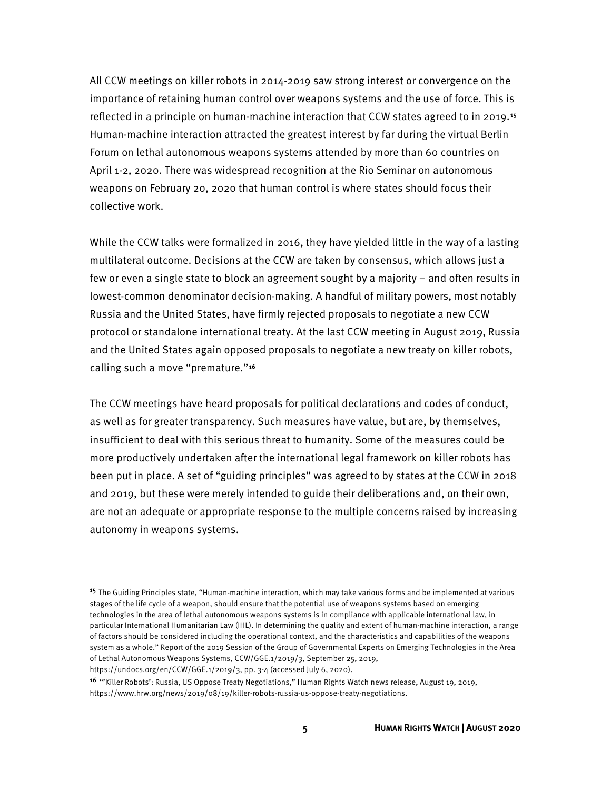All CCW meetings on killer robots in 2014-2019 saw strong interest or convergence on the importance of retaining human control over weapons systems and the use of force. This is reflected in a principle on human-machine interaction that CCW states agreed to in 2019.[15](#page-11-0) Human-machine interaction attracted the greatest interest by far during the virtual Berlin Forum on lethal autonomous weapons systems attended by more than 60 countries on April 1-2, 2020. There was widespread recognition at the Rio Seminar on autonomous weapons on February 20, 2020 that human control is where states should focus their collective work.

While the CCW talks were formalized in 2016, they have yielded little in the way of a lasting multilateral outcome. Decisions at the CCW are taken by consensus, which allows just a few or even a single state to block an agreement sought by a majority – and often results in lowest-common denominator decision-making. A handful of military powers, most notably Russia and the United States, have firmly rejected proposals to negotiate a new CCW protocol or standalone international treaty. At the last CCW meeting in August 2019, Russia and the United States again opposed proposals to negotiate a new treaty on killer robots, calling such a move "premature."[16](#page-11-1)

The CCW meetings have heard proposals for political declarations and codes of conduct, as well as for greater transparency. Such measures have value, but are, by themselves, insufficient to deal with this serious threat to humanity. Some of the measures could be more productively undertaken after the international legal framework on killer robots has been put in place. A set of "guiding principles" was agreed to by states at the CCW in 2018 and 2019, but these were merely intended to guide their deliberations and, on their own, are not an adequate or appropriate response to the multiple concerns raised by increasing autonomy in weapons systems.

<span id="page-11-0"></span><sup>&</sup>lt;sup>15</sup> The Guiding Principles state, "Human-machine interaction, which may take various forms and be implemented at various stages of the life cycle of a weapon, should ensure that the potential use of weapons systems based on emerging technologies in the area of lethal autonomous weapons systems is in compliance with applicable international law, in particular International Humanitarian Law (IHL). In determining the quality and extent of human-machine interaction, a range of factors should be considered including the operational context, and the characteristics and capabilities of the weapons system as a whole." Report of the 2019 Session of the Group of Governmental Experts on Emerging Technologies in the Area of Lethal Autonomous Weapons Systems, CCW/GGE.1/2019/3, September 25, 2019, https://undocs.org/en/CCW/GGE.1/2019/3, pp. 3-4 (accessed July 6, 2020).

<span id="page-11-1"></span><sup>16</sup> "'Killer Robots': Russia, US Oppose Treaty Negotiations," Human Rights Watch news release, August 19, 2019, https://www.hrw.org/news/2019/08/19/killer-robots-russia-us-oppose-treaty-negotiations.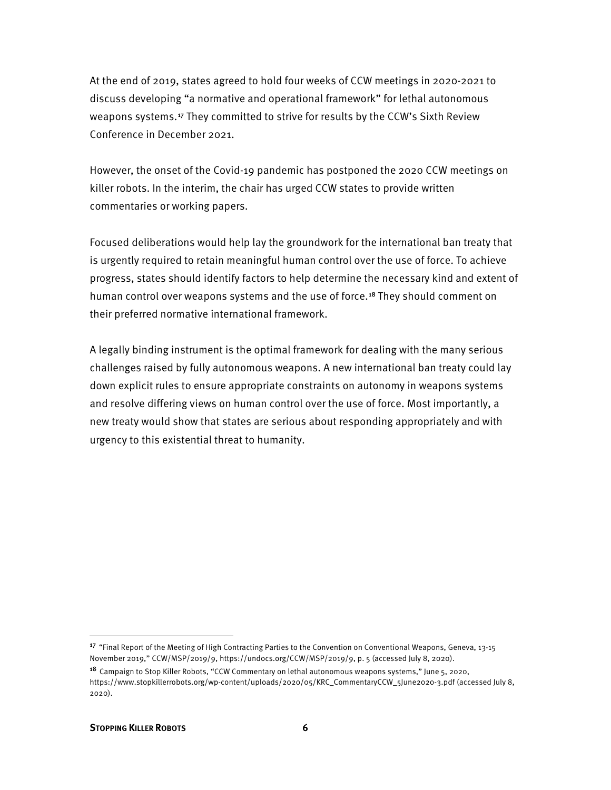At the end of 2019, states agreed to hold four weeks of CCW meetings in 2020-2021 to discuss developing "a normative and operational framework" for lethal autonomous weapons systems.[17](#page-12-0) They committed to strive for results by the CCW's Sixth Review Conference in December 2021.

However, the onset of the Covid-19 pandemic has postponed the 2020 CCW meetings on killer robots. In the interim, the chair has urged CCW states to provide written commentaries or working papers.

Focused deliberations would help lay the groundwork for the international ban treaty that is urgently required to retain meaningful human control over the use of force. To achieve progress, states should identify factors to help determine the necessary kind and extent of human control over weapons systems and the use of force.<sup>[18](#page-12-1)</sup> They should comment on their preferred normative international framework.

A legally binding instrument is the optimal framework for dealing with the many serious challenges raised by fully autonomous weapons. A new international ban treaty could lay down explicit rules to ensure appropriate constraints on autonomy in weapons systems and resolve differing views on human control over the use of force. Most importantly, a new treaty would show that states are serious about responding appropriately and with urgency to this existential threat to humanity.

<span id="page-12-0"></span><sup>&</sup>lt;sup>17</sup> "Final Report of the Meeting of High Contracting Parties to the Convention on Conventional Weapons, Geneva, 13-15 November 2019," CCW/MSP/2019/9, https://undocs.org/CCW/MSP/2019/9, p. 5 (accessed July 8, 2020).

<span id="page-12-1"></span><sup>18</sup> Campaign to Stop Killer Robots, "CCW Commentary on lethal autonomous weapons systems," June 5, 2020, https://www.stopkillerrobots.org/wp-content/uploads/2020/05/KRC\_CommentaryCCW\_5June2020-3.pdf (accessed July 8, 2020).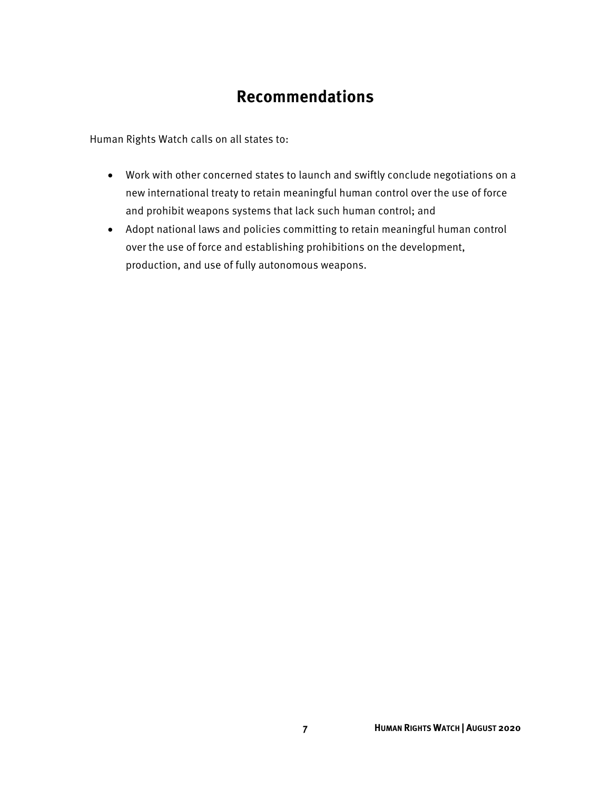# **Recommendations**

<span id="page-13-0"></span>Human Rights Watch calls on all states to:

- Work with other concerned states to launch and swiftly conclude negotiations on a new international treaty to retain meaningful human control over the use of force and prohibit weapons systems that lack such human control; and
- Adopt national laws and policies committing to retain meaningful human control over the use of force and establishing prohibitions on the development, production, and use of fully autonomous weapons.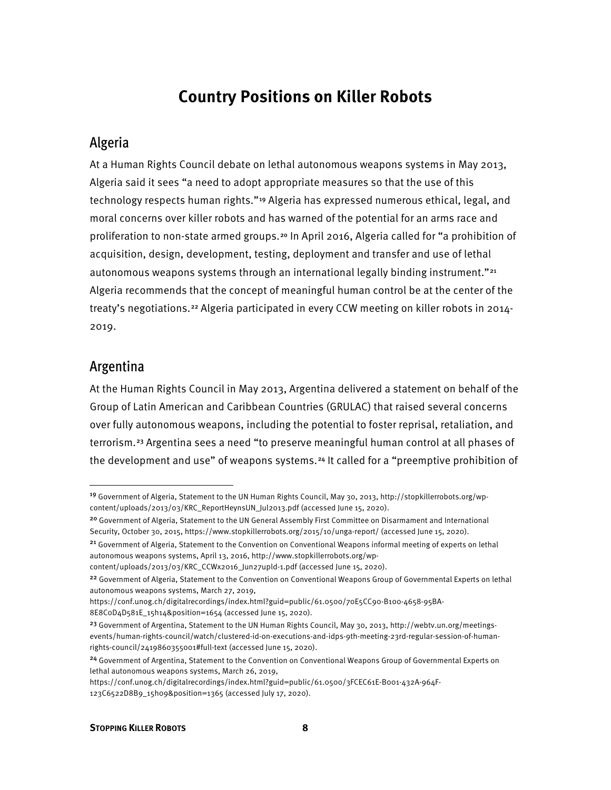# **Country Positions on Killer Robots**

# <span id="page-14-1"></span><span id="page-14-0"></span>Algeria

At a Human Rights Council debate on lethal autonomous weapons systems in May 2013, Algeria said it sees "a need to adopt appropriate measures so that the use of this technology respects human rights."[19](#page-14-3) Algeria has expressed numerous ethical, legal, and moral concerns over killer robots and has warned of the potential for an arms race and proliferation to non-state armed groups.[20](#page-14-4) In April 2016, Algeria called for "a prohibition of acquisition, design, development, testing, deployment and transfer and use of lethal autonomous weapons systems through an international legally binding instrument."<sup>[21](#page-14-5)</sup> Algeria recommends that the concept of meaningful human control be at the center of the treaty's negotiations.[22](#page-14-6) Algeria participated in every CCW meeting on killer robots in 2014- 2019.

# <span id="page-14-2"></span>Argentina

At the Human Rights Council in May 2013, Argentina delivered a statement on behalf of the Group of Latin American and Caribbean Countries (GRULAC) that raised several concerns over fully autonomous weapons, including the potential to foster reprisal, retaliation, and terrorism.[23](#page-14-7) Argentina sees a need "to preserve meaningful human control at all phases of the development and use" of weapons systems.<sup>[24](#page-14-8)</sup> It called for a "preemptive prohibition of

https://conf.unog.ch/digitalrecordings/index.html?guid=public/61.0500/3FCEC61E-B001-432A-964F-

<span id="page-14-3"></span><sup>19</sup> Government of Algeria, Statement to the UN Human Rights Council, May 30, 2013, http://stopkillerrobots.org/wpcontent/uploads/2013/03/KRC\_ReportHeynsUN\_Jul2013.pdf (accessed June 15, 2020).

<span id="page-14-4"></span><sup>20</sup> Government of Algeria, Statement to the UN General Assembly First Committee on Disarmament and International Security, October 30, 2015, https://www.stopkillerrobots.org/2015/10/unga-report/ (accessed June 15, 2020).

<span id="page-14-5"></span><sup>21</sup> Government of Algeria, Statement to the Convention on Conventional Weapons informal meeting of experts on lethal autonomous weapons systems, April 13, 2016, http://www.stopkillerrobots.org/wp-

content/uploads/2013/03/KRC\_CCWx2016\_Jun27upld-1.pdf (accessed June 15, 2020).

<span id="page-14-6"></span><sup>&</sup>lt;sup>22</sup> Government of Algeria, Statement to the Convention on Conventional Weapons Group of Governmental Experts on lethal autonomous weapons systems, March 27, 2019,

https://conf.unog.ch/digitalrecordings/index.html?guid=public/61.0500/70E5CC90-B100-4658-95BA-8E8C0D4D581E\_15h14&position=1654 (accessed June 15, 2020).

<span id="page-14-7"></span><sup>&</sup>lt;sup>23</sup> Government of Argentina, Statement to the UN Human Rights Council, May 30, 2013, http://webtv.un.org/meetingsevents/human-rights-council/watch/clustered-id-on-executions-and-idps-9th-meeting-23rd-regular-session-of-humanrights-council/2419860355001#full-text (accessed June 15, 2020).

<span id="page-14-8"></span><sup>&</sup>lt;sup>24</sup> Government of Argentina, Statement to the Convention on Conventional Weapons Group of Governmental Experts on lethal autonomous weapons systems, March 26, 2019,

<sup>123</sup>C6522D8B9\_15h09&position=1365 (accessed July 17, 2020).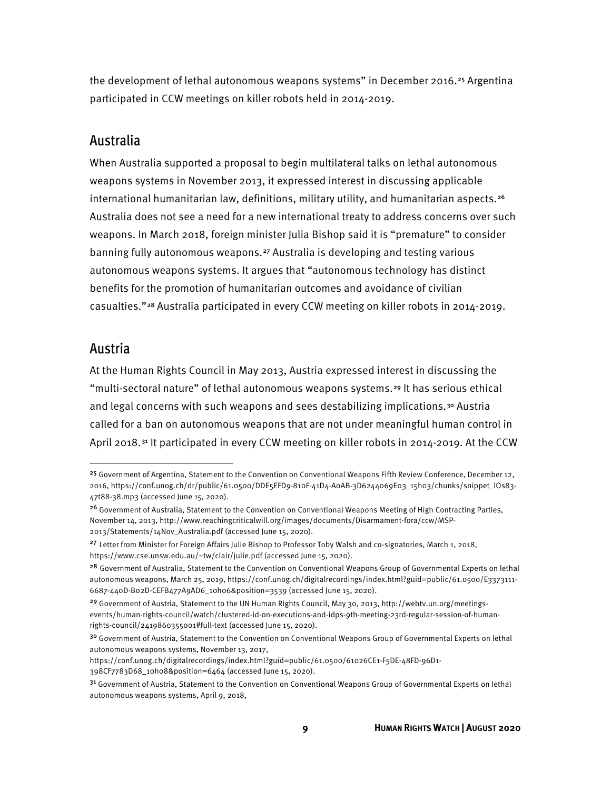the development of lethal autonomous weapons systems" in December 2016.<sup>[25](#page-15-2)</sup> Argentina participated in CCW meetings on killer robots held in 2014-2019.

#### <span id="page-15-0"></span>Australia

When Australia supported a proposal to begin multilateral talks on lethal autonomous weapons systems in November 2013, it expressed interest in discussing applicable international humanitarian law, definitions, military utility, and humanitarian aspects.<sup>[26](#page-15-3)</sup> Australia does not see a need for a new international treaty to address concerns over such weapons. In March 2018, foreign minister Julia Bishop said it is "premature" to consider banning fully autonomous weapons.<sup>[27](#page-15-4)</sup> Australia is developing and testing various autonomous weapons systems. It argues that "autonomous technology has distinct benefits for the promotion of humanitarian outcomes and avoidance of civilian casualties."[28](#page-15-5) Australia participated in every CCW meeting on killer robots in 2014-2019.

#### <span id="page-15-1"></span>Austria

At the Human Rights Council in May 2013, Austria expressed interest in discussing the "multi-sectoral nature" of lethal autonomous weapons systems.[29](#page-15-6) It has serious ethical and legal concerns with such weapons and sees destabilizing implications.<sup>[30](#page-15-7)</sup> Austria called for a ban on autonomous weapons that are not under meaningful human control in April 2018.[31](#page-15-8) It participated in every CCW meeting on killer robots in 2014-2019. At the CCW

https://conf.unog.ch/digitalrecordings/index.html?guid=public/61.0500/61026CE1-F5DE-48FD-96D1-

<span id="page-15-2"></span><sup>25</sup> Government of Argentina, Statement to the Convention on Conventional Weapons Fifth Review Conference, December 12, 2016, https://conf.unog.ch/dr/public/61.0500/DDE5EFD9-810F-41D4-A0AB-3D6244069E03\_15h03/chunks/snippet\_lOs83- 47t88-38.mp3 (accessed June 15, 2020).

<span id="page-15-3"></span><sup>&</sup>lt;sup>26</sup> Government of Australia, Statement to the Convention on Conventional Weapons Meeting of High Contracting Parties, November 14, 2013, http://www.reachingcriticalwill.org/images/documents/Disarmament-fora/ccw/MSP-2013/Statements/14Nov\_Australia.pdf (accessed June 15, 2020).

<span id="page-15-4"></span><sup>&</sup>lt;sup>27</sup> Letter from Minister for Foreign Affairs Julie Bishop to Professor Toby Walsh and co-signatories, March 1, 2018, https://www.cse.unsw.edu.au/~tw/ciair/julie.pdf (accessed June 15, 2020).

<span id="page-15-5"></span><sup>&</sup>lt;sup>28</sup> Government of Australia, Statement to the Convention on Conventional Weapons Group of Governmental Experts on lethal autonomous weapons, March 25, 2019, https://conf.unog.ch/digitalrecordings/index.html?guid=public/61.0500/E3373111- 6687-440D-B02D-CEFB477A9AD6\_10h06&position=3539 (accessed June 15, 2020).

<span id="page-15-6"></span><sup>29</sup> Government of Austria, Statement to the UN Human Rights Council, May 30, 2013, http://webtv.un.org/meetingsevents/human-rights-council/watch/clustered-id-on-executions-and-idps-9th-meeting-23rd-regular-session-of-humanrights-council/2419860355001#full-text (accessed June 15, 2020).

<span id="page-15-7"></span><sup>&</sup>lt;sup>30</sup> Government of Austria, Statement to the Convention on Conventional Weapons Group of Governmental Experts on lethal autonomous weapons systems, November 13, 2017,

<sup>398</sup>CF7783D68\_10h08&position=6464 (accessed June 15, 2020).

<span id="page-15-8"></span><sup>&</sup>lt;sup>31</sup> Government of Austria, Statement to the Convention on Conventional Weapons Group of Governmental Experts on lethal autonomous weapons systems, April 9, 2018,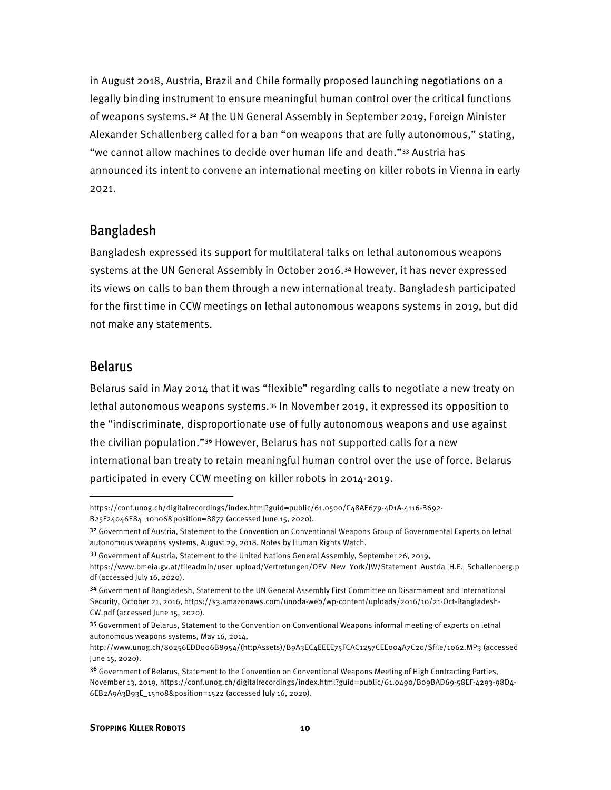in August 2018, Austria, Brazil and Chile formally proposed launching negotiations on a legally binding instrument to ensure meaningful human control over the critical functions of weapons systems.[32](#page-16-2) At the UN General Assembly in September 2019, Foreign Minister Alexander Schallenberg called for a ban "on weapons that are fully autonomous," stating, "we cannot allow machines to decide over human life and death."[33](#page-16-3) Austria has announced its intent to convene an international meeting on killer robots in Vienna in early 2021.

# <span id="page-16-0"></span>Bangladesh

Bangladesh expressed its support for multilateral talks on lethal autonomous weapons systems at the UN General Assembly in October 2016.[34](#page-16-4) However, it has never expressed its views on calls to ban them through a new international treaty. Bangladesh participated for the first time in CCW meetings on lethal autonomous weapons systems in 2019, but did not make any statements.

## <span id="page-16-1"></span>Belarus

Belarus said in May 2014 that it was "flexible" regarding calls to negotiate a new treaty on lethal autonomous weapons systems.[35](#page-16-5) In November 2019, it expressed its opposition to the "indiscriminate, disproportionate use of fully autonomous weapons and use against the civilian population."[36](#page-16-6) However, Belarus has not supported calls for a new international ban treaty to retain meaningful human control over the use of force. Belarus participated in every CCW meeting on killer robots in 2014-2019.

https://conf.unog.ch/digitalrecordings/index.html?guid=public/61.0500/C48AE679-4D1A-4116-B692- B25F24046E84\_10h06&position=8877 (accessed June 15, 2020).

<span id="page-16-2"></span><sup>&</sup>lt;sup>32</sup> Government of Austria, Statement to the Convention on Conventional Weapons Group of Governmental Experts on lethal autonomous weapons systems, August 29, 2018. Notes by Human Rights Watch.

<span id="page-16-3"></span><sup>33</sup> Government of Austria, Statement to the United Nations General Assembly, September 26, 2019,

https://www.bmeia.gv.at/fileadmin/user\_upload/Vertretungen/OEV\_New\_York/JW/Statement\_Austria\_H.E.\_Schallenberg.p df (accessed July 16, 2020).

<span id="page-16-4"></span><sup>34</sup> Government of Bangladesh, Statement to the UN General Assembly First Committee on Disarmament and International Security, October 21, 2016, https://s3.amazonaws.com/unoda-web/wp-content/uploads/2016/10/21-Oct-Bangladesh-CW.pdf (accessed June 15, 2020).

<span id="page-16-5"></span><sup>35</sup> Government of Belarus, Statement to the Convention on Conventional Weapons informal meeting of experts on lethal autonomous weapons systems, May 16, 2014,

http://www.unog.ch/80256EDD006B8954/(httpAssets)/B9A3EC4EEEE75FCAC1257CEE004A7C20/\$file/1062.MP3 (accessed June 15, 2020).

<span id="page-16-6"></span><sup>&</sup>lt;sup>36</sup> Government of Belarus, Statement to the Convention on Conventional Weapons Meeting of High Contracting Parties, November 13, 2019, https://conf.unog.ch/digitalrecordings/index.html?guid=public/61.0490/B09BAD69-58EF-4293-98D4- 6EB2A9A3B93E\_15h08&position=1522 (accessed July 16, 2020).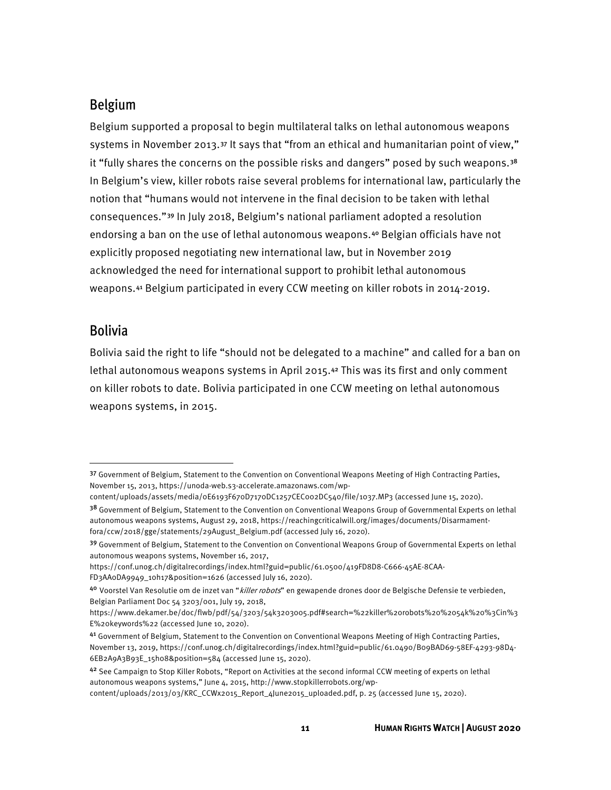# <span id="page-17-0"></span>Belgium

Belgium supported a proposal to begin multilateral talks on lethal autonomous weapons systems in November 2013.[37](#page-17-2) It says that "from an ethical and humanitarian point of view," it "fully shares the concerns on the possible risks and dangers" posed by such weapons. $38$ In Belgium's view, killer robots raise several problems for international law, particularly the notion that "humans would not intervene in the final decision to be taken with lethal consequences."[39](#page-17-4) In July 2018, Belgium's national parliament adopted a resolution endorsing a ban on the use of lethal autonomous weapons.[40](#page-17-5) Belgian officials have not explicitly proposed negotiating new international law, but in November 2019 acknowledged the need for international support to prohibit lethal autonomous weapons.[41](#page-17-6) Belgium participated in every CCW meeting on killer robots in 2014-2019.

## <span id="page-17-1"></span>Bolivia

Bolivia said the right to life "should not be delegated to a machine" and called for a ban on lethal autonomous weapons systems in April 2015. $42$  This was its first and only comment on killer robots to date. Bolivia participated in one CCW meeting on lethal autonomous weapons systems, in 2015.

<span id="page-17-2"></span><sup>37</sup> Government of Belgium, Statement to the Convention on Conventional Weapons Meeting of High Contracting Parties, November 15, 2013, https://unoda-web.s3-accelerate.amazonaws.com/wp-

<span id="page-17-3"></span>content/uploads/assets/media/0E6193F670D7170DC1257CEC002DC540/file/1037.MP3 (accessed June 15, 2020). 38 Government of Belgium, Statement to the Convention on Conventional Weapons Group of Governmental Experts on lethal autonomous weapons systems, August 29, 2018, https://reachingcriticalwill.org/images/documents/Disarmamentfora/ccw/2018/gge/statements/29August\_Belgium.pdf (accessed July 16, 2020).

<span id="page-17-4"></span><sup>39</sup> Government of Belgium, Statement to the Convention on Conventional Weapons Group of Governmental Experts on lethal autonomous weapons systems, November 16, 2017,

https://conf.unog.ch/digitalrecordings/index.html?guid=public/61.0500/419FD8D8-C666-45AE-8CAA-FD3AA0DA9949\_10h17&position=1626 (accessed July 16, 2020).

<span id="page-17-5"></span><sup>40</sup> Voorstel Van Resolutie om de inzet van "killer robots" en gewapende drones door de Belgische Defensie te verbieden, Belgian Parliament Doc 54 3203/001, July 19, 2018,

https://www.dekamer.be/doc/flwb/pdf/54/3203/54k3203005.pdf#search=%22killer%20robots%20%2054k%20%3Cin%3 E%20keywords%22 (accessed June 10, 2020).

<span id="page-17-6"></span><sup>41</sup> Government of Belgium, Statement to the Convention on Conventional Weapons Meeting of High Contracting Parties, November 13, 2019, https://conf.unog.ch/digitalrecordings/index.html?guid=public/61.0490/B09BAD69-58EF-4293-98D4- 6EB2A9A3B93E\_15h08&position=584 (accessed June 15, 2020).

<span id="page-17-7"></span><sup>42</sup> See Campaign to Stop Killer Robots, "Report on Activities at the second informal CCW meeting of experts on lethal autonomous weapons systems," June 4, 2015, http://www.stopkillerrobots.org/wp-

content/uploads/2013/03/KRC\_CCWx2015\_Report\_4June2015\_uploaded.pdf, p. 25 (accessed June 15, 2020).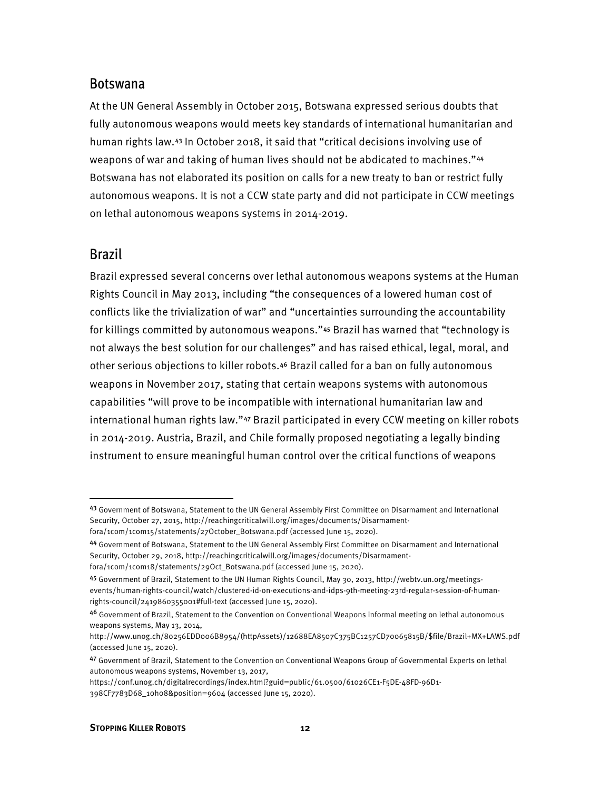## <span id="page-18-0"></span>Botswana

At the UN General Assembly in October 2015, Botswana expressed serious doubts that fully autonomous weapons would meets key standards of international humanitarian and human rights law.[43](#page-18-2) In October 2018, it said that "critical decisions involving use of weapons of war and taking of human lives should not be abdicated to machines."[44](#page-18-3) Botswana has not elaborated its position on calls for a new treaty to ban or restrict fully autonomous weapons. It is not a CCW state party and did not participate in CCW meetings on lethal autonomous weapons systems in 2014-2019.

# <span id="page-18-1"></span>Brazil

Brazil expressed several concerns over lethal autonomous weapons systems at the Human Rights Council in May 2013, including "the consequences of a lowered human cost of conflicts like the trivialization of war" and "uncertainties surrounding the accountability for killings committed by autonomous weapons."[45](#page-18-4) Brazil has warned that "technology is not always the best solution for our challenges" and has raised ethical, legal, moral, and other serious objections to killer robots.[46](#page-18-5) Brazil called for a ban on fully autonomous weapons in November 2017, stating that certain weapons systems with autonomous capabilities "will prove to be incompatible with international humanitarian law and international human rights law."[47](#page-18-6) Brazil participated in every CCW meeting on killer robots in 2014-2019. Austria, Brazil, and Chile formally proposed negotiating a legally binding instrument to ensure meaningful human control over the critical functions of weapons

https://conf.unog.ch/digitalrecordings/index.html?guid=public/61.0500/61026CE1-F5DE-48FD-96D1- 398CF7783D68\_10h08&position=9604 (accessed June 15, 2020).

<span id="page-18-2"></span><sup>43</sup> Government of Botswana, Statement to the UN General Assembly First Committee on Disarmament and International Security, October 27, 2015, http://reachingcriticalwill.org/images/documents/Disarmament-

fora/1com/1com15/statements/27October\_Botswana.pdf (accessed June 15, 2020).

<span id="page-18-3"></span><sup>44</sup> Government of Botswana, Statement to the UN General Assembly First Committee on Disarmament and International Security, October 29, 2018, http://reachingcriticalwill.org/images/documents/Disarmamentfora/1com/1com18/statements/29Oct\_Botswana.pdf (accessed June 15, 2020).

<span id="page-18-4"></span><sup>45</sup> Government of Brazil, Statement to the UN Human Rights Council, May 30, 2013, http://webtv.un.org/meetingsevents/human-rights-council/watch/clustered-id-on-executions-and-idps-9th-meeting-23rd-regular-session-of-humanrights-council/2419860355001#full-text (accessed June 15, 2020).

<span id="page-18-5"></span><sup>46</sup> Government of Brazil, Statement to the Convention on Conventional Weapons informal meeting on lethal autonomous weapons systems, May 13, 2014,

http://www.unog.ch/80256EDD006B8954/(httpAssets)/12688EA8507C375BC1257CD70065815B/\$file/Brazil+MX+LAWS.pdf (accessed June 15, 2020).

<span id="page-18-6"></span><sup>47</sup> Government of Brazil, Statement to the Convention on Conventional Weapons Group of Governmental Experts on lethal autonomous weapons systems, November 13, 2017,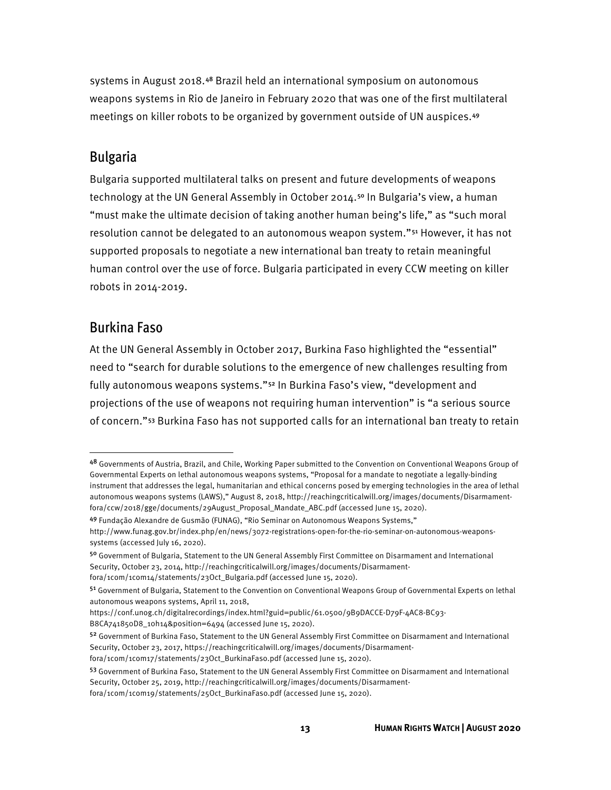systems in August 2018.[48](#page-19-2) Brazil held an international symposium on autonomous weapons systems in Rio de Janeiro in February 2020 that was one of the first multilateral meetings on killer robots to be organized by government outside of UN auspices.[49](#page-19-3)

# <span id="page-19-0"></span>Bulgaria

Bulgaria supported multilateral talks on present and future developments of weapons technology at the UN General Assembly in October 2014.<sup>[50](#page-19-4)</sup> In Bulgaria's view, a human "must make the ultimate decision of taking another human being's life," as "such moral resolution cannot be delegated to an autonomous weapon system."[51](#page-19-5) However, it has not supported proposals to negotiate a new international ban treaty to retain meaningful human control over the use of force. Bulgaria participated in every CCW meeting on killer robots in 2014-2019.

#### <span id="page-19-1"></span>Burkina Faso

At the UN General Assembly in October 2017, Burkina Faso highlighted the "essential" need to "search for durable solutions to the emergence of new challenges resulting from fully autonomous weapons systems."[52](#page-19-6) In Burkina Faso's view, "development and projections of the use of weapons not requiring human intervention" is "a serious source of concern."[53](#page-19-7) Burkina Faso has not supported calls for an international ban treaty to retain

<span id="page-19-2"></span><sup>48</sup> Governments of Austria, Brazil, and Chile, Working Paper submitted to the Convention on Conventional Weapons Group of Governmental Experts on lethal autonomous weapons systems, "Proposal for a mandate to negotiate a legally-binding instrument that addresses the legal, humanitarian and ethical concerns posed by emerging technologies in the area of lethal autonomous weapons systems (LAWS)," August 8, 2018, http://reachingcriticalwill.org/images/documents/Disarmamentfora/ccw/2018/gge/documents/29August\_Proposal\_Mandate\_ABC.pdf (accessed June 15, 2020).

<span id="page-19-3"></span><sup>49</sup> Fundação Alexandre de Gusmão (FUNAG), "Rio Seminar on Autonomous Weapons Systems," http://www.funag.gov.br/index.php/en/news/3072-registrations-open-for-the-rio-seminar-on-autonomous-weaponssystems (accessed July 16, 2020).

<span id="page-19-4"></span><sup>50</sup> Government of Bulgaria, Statement to the UN General Assembly First Committee on Disarmament and International Security, October 23, 2014, http://reachingcriticalwill.org/images/documents/Disarmament-

fora/1com/1com14/statements/23Oct\_Bulgaria.pdf (accessed June 15, 2020).

<span id="page-19-5"></span><sup>51</sup> Government of Bulgaria, Statement to the Convention on Conventional Weapons Group of Governmental Experts on lethal autonomous weapons systems, April 11, 2018,

https://conf.unog.ch/digitalrecordings/index.html?guid=public/61.0500/9B9DACCE-D79F-4AC8-BC93- B8CA741850D8\_10h14&position=6494 (accessed June 15, 2020).

<span id="page-19-6"></span><sup>52</sup> Government of Burkina Faso, Statement to the UN General Assembly First Committee on Disarmament and International Security, October 23, 2017, https://reachingcriticalwill.org/images/documents/Disarmament-

fora/1com/1com17/statements/23Oct\_BurkinaFaso.pdf (accessed June 15, 2020).

<span id="page-19-7"></span><sup>53</sup> Government of Burkina Faso, Statement to the UN General Assembly First Committee on Disarmament and International Security, October 25, 2019, http://reachingcriticalwill.org/images/documents/Disarmament-

fora/1com/1com19/statements/25Oct\_BurkinaFaso.pdf (accessed June 15, 2020).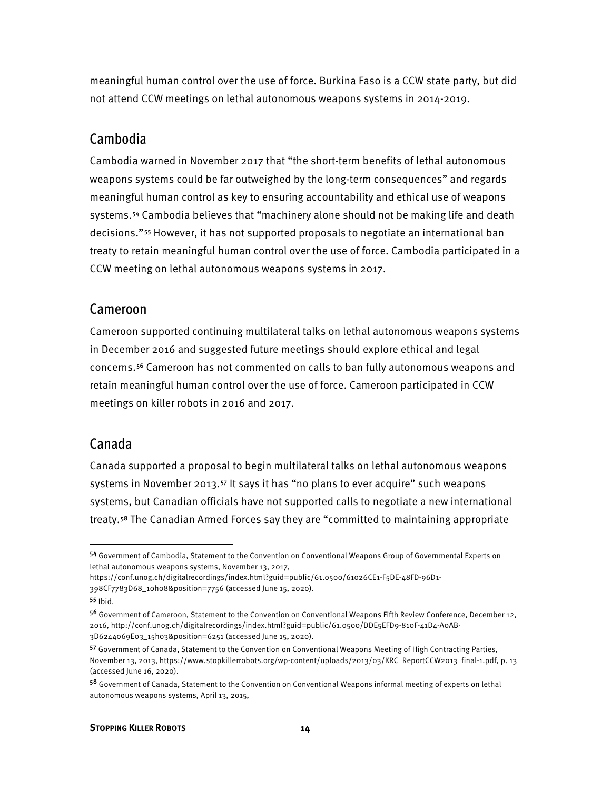meaningful human control over the use of force. Burkina Faso is a CCW state party, but did not attend CCW meetings on lethal autonomous weapons systems in 2014-2019.

# <span id="page-20-0"></span>Cambodia

Cambodia warned in November 2017 that "the short-term benefits of lethal autonomous weapons systems could be far outweighed by the long-term consequences" and regards meaningful human control as key to ensuring accountability and ethical use of weapons systems.[54](#page-20-3) Cambodia believes that "machinery alone should not be making life and death decisions."[55](#page-20-4) However, it has not supported proposals to negotiate an international ban treaty to retain meaningful human control over the use of force. Cambodia participated in a CCW meeting on lethal autonomous weapons systems in 2017.

# <span id="page-20-1"></span>Cameroon

Cameroon supported continuing multilateral talks on lethal autonomous weapons systems in December 2016 and suggested future meetings should explore ethical and legal concerns.[56](#page-20-5) Cameroon has not commented on calls to ban fully autonomous weapons and retain meaningful human control over the use of force. Cameroon participated in CCW meetings on killer robots in 2016 and 2017.

# <span id="page-20-2"></span>Canada

Canada supported a proposal to begin multilateral talks on lethal autonomous weapons systems in November 2013.[57](#page-20-6) It says it has "no plans to ever acquire" such weapons systems, but Canadian officials have not supported calls to negotiate a new international treaty.<sup>[58](#page-20-7)</sup> The Canadian Armed Forces say they are "committed to maintaining appropriate

<span id="page-20-3"></span><sup>54</sup> Government of Cambodia, Statement to the Convention on Conventional Weapons Group of Governmental Experts on lethal autonomous weapons systems, November 13, 2017,

https://conf.unog.ch/digitalrecordings/index.html?guid=public/61.0500/61026CE1-F5DE-48FD-96D1- 398CF7783D68\_10h08&position=7756 (accessed June 15, 2020).

<span id="page-20-5"></span><span id="page-20-4"></span><sup>55</sup> Ibid.

<sup>56</sup> Government of Cameroon, Statement to the Convention on Conventional Weapons Fifth Review Conference, December 12, 2016, http://conf.unog.ch/digitalrecordings/index.html?guid=public/61.0500/DDE5EFD9-810F-41D4-A0AB-3D6244069E03\_15h03&position=6251 (accessed June 15, 2020).

<span id="page-20-6"></span><sup>57</sup> Government of Canada, Statement to the Convention on Conventional Weapons Meeting of High Contracting Parties, November 13, 2013, https://www.stopkillerrobots.org/wp-content/uploads/2013/03/KRC\_ReportCCW2013\_final-1.pdf, p. 13 (accessed June 16, 2020).

<span id="page-20-7"></span><sup>58</sup> Government of Canada, Statement to the Convention on Conventional Weapons informal meeting of experts on lethal autonomous weapons systems, April 13, 2015,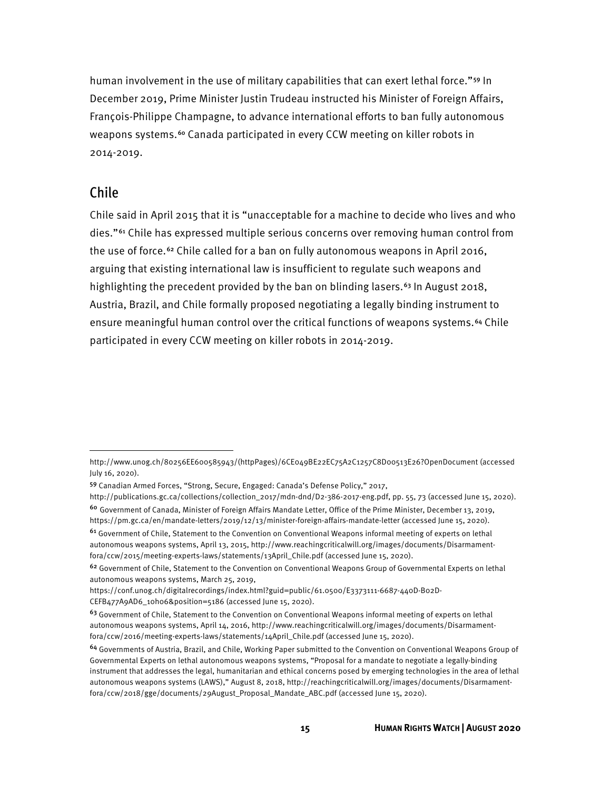human involvement in the use of military capabilities that can exert lethal force."[59](#page-21-1) In December 2019, Prime Minister Justin Trudeau instructed his Minister of Foreign Affairs, François-Philippe Champagne, to advance international efforts to ban fully autonomous weapons systems.<sup>[60](#page-21-2)</sup> Canada participated in every CCW meeting on killer robots in 2014-2019.

# <span id="page-21-0"></span>Chile

Chile said in April 2015 that it is "unacceptable for a machine to decide who lives and who dies."[61](#page-21-3) Chile has expressed multiple serious concerns over removing human control from the use of force.<sup>[62](#page-21-4)</sup> Chile called for a ban on fully autonomous weapons in April 2016, arguing that existing international law is insufficient to regulate such weapons and highlighting the precedent provided by the ban on blinding lasers.<sup>[63](#page-21-5)</sup> In August 2018, Austria, Brazil, and Chile formally proposed negotiating a legally binding instrument to ensure meaningful human control over the critical functions of weapons systems.[64](#page-21-6) Chile participated in every CCW meeting on killer robots in 2014-2019.

http://www.unog.ch/80256EE600585943/(httpPages)/6CE049BE22EC75A2C1257C8D00513E26?OpenDocument (accessed July 16, 2020).

<span id="page-21-1"></span><sup>59</sup> Canadian Armed Forces, "Strong, Secure, Engaged: Canada's Defense Policy," 2017,

<span id="page-21-2"></span>http://publications.gc.ca/collections/collection\_2017/mdn-dnd/D2-386-2017-eng.pdf, pp. 55, 73 (accessed June 15, 2020). <sup>60</sup> Government of Canada, Minister of Foreign Affairs Mandate Letter, Office of the Prime Minister, December 13, 2019,

<span id="page-21-3"></span>https://pm.gc.ca/en/mandate-letters/2019/12/13/minister-foreign-affairs-mandate-letter (accessed June 15, 2020). <sup>61</sup> Government of Chile, Statement to the Convention on Conventional Weapons informal meeting of experts on lethal autonomous weapons systems, April 13, 2015, http://www.reachingcriticalwill.org/images/documents/Disarmamentfora/ccw/2015/meeting-experts-laws/statements/13April\_Chile.pdf (accessed June 15, 2020).

<span id="page-21-4"></span><sup>&</sup>lt;sup>62</sup> Government of Chile, Statement to the Convention on Conventional Weapons Group of Governmental Experts on lethal autonomous weapons systems, March 25, 2019,

https://conf.unog.ch/digitalrecordings/index.html?guid=public/61.0500/E3373111-6687-440D-B02D-CEFB477A9AD6\_10h06&position=5186 (accessed June 15, 2020).

<span id="page-21-5"></span><sup>&</sup>lt;sup>63</sup> Government of Chile, Statement to the Convention on Conventional Weapons informal meeting of experts on lethal autonomous weapons systems, April 14, 2016, http://www.reachingcriticalwill.org/images/documents/Disarmamentfora/ccw/2016/meeting-experts-laws/statements/14April\_Chile.pdf (accessed June 15, 2020).

<span id="page-21-6"></span><sup>64</sup> Governments of Austria, Brazil, and Chile, Working Paper submitted to the Convention on Conventional Weapons Group of Governmental Experts on lethal autonomous weapons systems, "Proposal for a mandate to negotiate a legally-binding instrument that addresses the legal, humanitarian and ethical concerns posed by emerging technologies in the area of lethal autonomous weapons systems (LAWS)," August 8, 2018, http://reachingcriticalwill.org/images/documents/Disarmamentfora/ccw/2018/gge/documents/29August\_Proposal\_Mandate\_ABC.pdf (accessed June 15, 2020).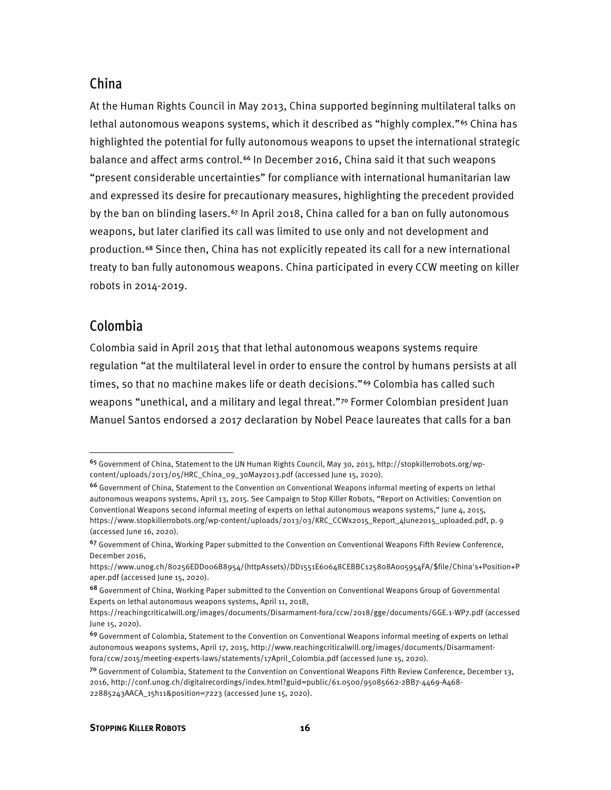# <span id="page-22-0"></span>China

At the Human Rights Council in May 2013, China supported beginning multilateral talks on lethal autonomous weapons systems, which it described as "highly complex."<sup>[65](#page-22-2)</sup> China has highlighted the potential for fully autonomous weapons to upset the international strategic balance and affect arms control.<sup>[66](#page-22-3)</sup> In December 2016, China said it that such weapons "present considerable uncertainties" for compliance with international humanitarian law and expressed its desire for precautionary measures, highlighting the precedent provided by the ban on blinding lasers.<sup>[67](#page-22-4)</sup> In April 2018, China called for a ban on fully autonomous weapons, but later clarified its call was limited to use only and not development and production.[68](#page-22-5) Since then, China has not explicitly repeated its call for a new international treaty to ban fully autonomous weapons. China participated in every CCW meeting on killer robots in 2014-2019.

# <span id="page-22-1"></span>Colombia

Colombia said in April 2015 that that lethal autonomous weapons systems require regulation "at the multilateral level in order to ensure the control by humans persists at all times, so that no machine makes life or death decisions."[69](#page-22-6) Colombia has called such weapons "unethical, and a military and legal threat."<sup>[70](#page-22-7)</sup> Former Colombian president Juan Manuel Santos endorsed a 2017 declaration by Nobel Peace laureates that calls for a ban

<span id="page-22-2"></span><sup>65</sup> Government of China, Statement to the UN Human Rights Council, May 30, 2013, http://stopkillerrobots.org/wpcontent/uploads/2013/05/HRC\_China\_09\_30May2013.pdf (accessed June 15, 2020).

<span id="page-22-3"></span><sup>66</sup> Government of China, Statement to the Convention on Conventional Weapons informal meeting of experts on lethal autonomous weapons systems, April 13, 2015. See Campaign to Stop Killer Robots, "Report on Activities: Convention on Conventional Weapons second informal meeting of experts on lethal autonomous weapons systems," June 4, 2015, https://www.stopkillerrobots.org/wp-content/uploads/2013/03/KRC\_CCWx2015\_Report\_4June2015\_uploaded.pdf, p. 9 (accessed June 16, 2020).

<span id="page-22-4"></span><sup>67</sup> Government of China, Working Paper submitted to the Convention on Conventional Weapons Fifth Review Conference, December 2016,

https://www.unog.ch/80256EDD006B8954/(httpAssets)/DD1551E60648CEBBC125808A005954FA/\$file/China's+Position+P aper.pdf (accessed June 15, 2020).

<span id="page-22-5"></span><sup>68</sup> Government of China, Working Paper submitted to the Convention on Conventional Weapons Group of Governmental Experts on lethal autonomous weapons systems, April 11, 2018,

https://reachingcriticalwill.org/images/documents/Disarmament-fora/ccw/2018/gge/documents/GGE.1-WP7.pdf (accessed June 15, 2020).

<span id="page-22-6"></span><sup>69</sup> Government of Colombia, Statement to the Convention on Conventional Weapons informal meeting of experts on lethal autonomous weapons systems, April 17, 2015, http://www.reachingcriticalwill.org/images/documents/Disarmamentfora/ccw/2015/meeting-experts-laws/statements/17April\_Colombia.pdf (accessed June 15, 2020).

<span id="page-22-7"></span><sup>70</sup> Government of Colombia, Statement to the Convention on Conventional Weapons Fifth Review Conference, December 13, 2016, http://conf.unog.ch/digitalrecordings/index.html?guid=public/61.0500/95085662-2BB7-4469-A468- 22885243AACA\_15h11&position=7223 (accessed June 15, 2020).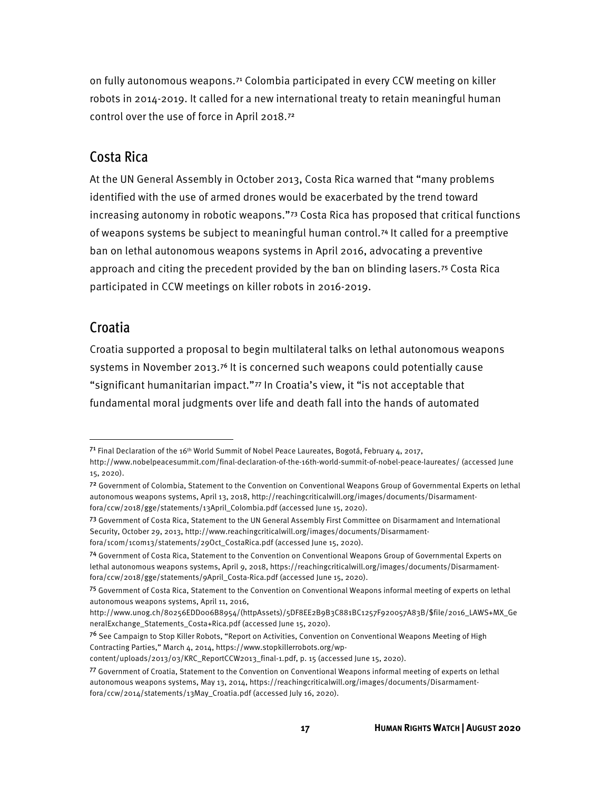on fully autonomous weapons.[71](#page-23-2) Colombia participated in every CCW meeting on killer robots in 2014-2019. It called for a new international treaty to retain meaningful human control over the use of force in April 2018.[72](#page-23-3)

# <span id="page-23-0"></span>Costa Rica

At the UN General Assembly in October 2013, Costa Rica warned that "many problems identified with the use of armed drones would be exacerbated by the trend toward increasing autonomy in robotic weapons."[73](#page-23-4) Costa Rica has proposed that critical functions of weapons systems be subject to meaningful human control.[74](#page-23-5) It called for a preemptive ban on lethal autonomous weapons systems in April 2016, advocating a preventive approach and citing the precedent provided by the ban on blinding lasers.[75](#page-23-6) Costa Rica participated in CCW meetings on killer robots in 2016-2019.

# <span id="page-23-1"></span>**Croatia**

Croatia supported a proposal to begin multilateral talks on lethal autonomous weapons systems in November 2013.<sup>[76](#page-23-7)</sup> It is concerned such weapons could potentially cause "significant humanitarian impact."[77](#page-23-8) In Croatia's view, it "is not acceptable that fundamental moral judgments over life and death fall into the hands of automated

<span id="page-23-2"></span> $71$  Final Declaration of the 16<sup>th</sup> World Summit of Nobel Peace Laureates, Bogotá, February 4, 2017,

http://www.nobelpeacesummit.com/final-declaration-of-the-16th-world-summit-of-nobel-peace-laureates/ (accessed June 15, 2020).

<span id="page-23-3"></span><sup>72</sup> Government of Colombia, Statement to the Convention on Conventional Weapons Group of Governmental Experts on lethal autonomous weapons systems, April 13, 2018, http://reachingcriticalwill.org/images/documents/Disarmamentfora/ccw/2018/gge/statements/13April\_Colombia.pdf (accessed June 15, 2020).

<span id="page-23-4"></span><sup>73</sup> Government of Costa Rica, Statement to the UN General Assembly First Committee on Disarmament and International Security, October 29, 2013, http://www.reachingcriticalwill.org/images/documents/Disarmamentfora/1com/1com13/statements/29Oct\_CostaRica.pdf (accessed June 15, 2020).

<span id="page-23-5"></span><sup>74</sup> Government of Costa Rica, Statement to the Convention on Conventional Weapons Group of Governmental Experts on lethal autonomous weapons systems, April 9, 2018, https://reachingcriticalwill.org/images/documents/Disarmamentfora/ccw/2018/gge/statements/9April\_Costa-Rica.pdf (accessed June 15, 2020).

<span id="page-23-6"></span><sup>75</sup> Government of Costa Rica, Statement to the Convention on Conventional Weapons informal meeting of experts on lethal autonomous weapons systems, April 11, 2016,

http://www.unog.ch/80256EDD006B8954/(httpAssets)/5DF8EE2B9B3C881BC1257F920057A83B/\$file/2016\_LAWS+MX\_Ge neralExchange\_Statements\_Costa+Rica.pdf (accessed June 15, 2020).

<span id="page-23-7"></span><sup>&</sup>lt;sup>76</sup> See Campaign to Stop Killer Robots, "Report on Activities, Convention on Conventional Weapons Meeting of High Contracting Parties," March 4, 2014, https://www.stopkillerrobots.org/wp-

content/uploads/2013/03/KRC\_ReportCCW2013\_final-1.pdf, p. 15 (accessed June 15, 2020).

<span id="page-23-8"></span><sup>77</sup> Government of Croatia, Statement to the Convention on Conventional Weapons informal meeting of experts on lethal autonomous weapons systems, May 13, 2014, https://reachingcriticalwill.org/images/documents/Disarmamentfora/ccw/2014/statements/13May\_Croatia.pdf (accessed July 16, 2020).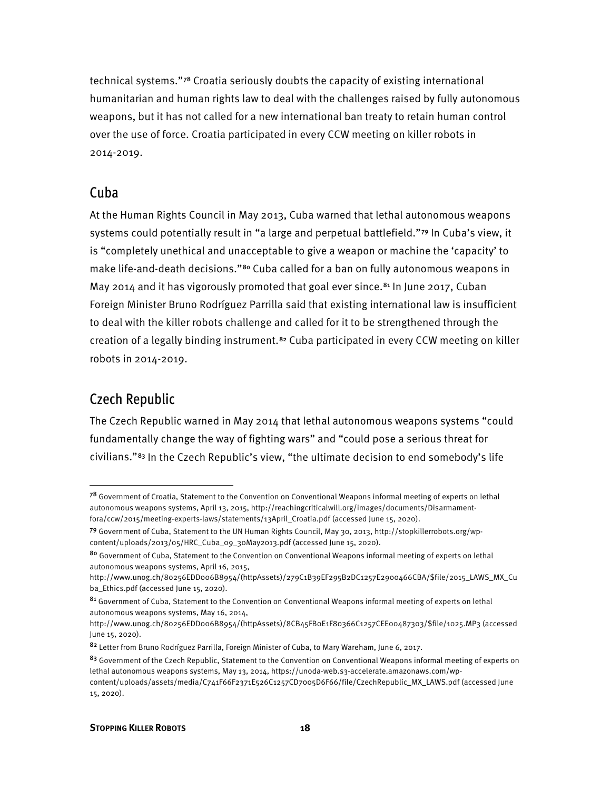technical systems."[78](#page-24-2) Croatia seriously doubts the capacity of existing international humanitarian and human rights law to deal with the challenges raised by fully autonomous weapons, but it has not called for a new international ban treaty to retain human control over the use of force. Croatia participated in every CCW meeting on killer robots in 2014-2019.

# <span id="page-24-0"></span>Cuba

At the Human Rights Council in May 2013, Cuba warned that lethal autonomous weapons systems could potentially result in "a large and perpetual battlefield."[79](#page-24-3) In Cuba's view, it is "completely unethical and unacceptable to give a weapon or machine the 'capacity' to make life-and-death decisions."[80](#page-24-4) Cuba called for a ban on fully autonomous weapons in May 2014 and it has vigorously promoted that goal ever since.<sup>[81](#page-24-5)</sup> In June 2017, Cuban Foreign Minister Bruno Rodríguez Parrilla said that existing international law is insufficient to deal with the killer robots challenge and called for it to be strengthened through the creation of a legally binding instrument.<sup>[82](#page-24-6)</sup> Cuba participated in every CCW meeting on killer robots in 2014-2019.

# <span id="page-24-1"></span>Czech Republic

The Czech Republic warned in May 2014 that lethal autonomous weapons systems "could fundamentally change the way of fighting wars" and "could pose a serious threat for civilians."[83](#page-24-7) In the Czech Republic's view, "the ultimate decision to end somebody's life

<span id="page-24-2"></span><sup>78</sup> Government of Croatia, Statement to the Convention on Conventional Weapons informal meeting of experts on lethal autonomous weapons systems, April 13, 2015, http://reachingcriticalwill.org/images/documents/Disarmamentfora/ccw/2015/meeting-experts-laws/statements/13April\_Croatia.pdf (accessed June 15, 2020).

<span id="page-24-3"></span><sup>79</sup> Government of Cuba, Statement to the UN Human Rights Council, May 30, 2013, http://stopkillerrobots.org/wpcontent/uploads/2013/05/HRC\_Cuba\_09\_30May2013.pdf (accessed June 15, 2020).

<span id="page-24-4"></span><sup>80</sup> Government of Cuba, Statement to the Convention on Conventional Weapons informal meeting of experts on lethal autonomous weapons systems, April 16, 2015,

http://www.unog.ch/80256EDD006B8954/(httpAssets)/279C1B39EF295B2DC1257E2900466CBA/\$file/2015\_LAWS\_MX\_Cu ba\_Ethics.pdf (accessed June 15, 2020).

<span id="page-24-5"></span><sup>81</sup> Government of Cuba, Statement to the Convention on Conventional Weapons informal meeting of experts on lethal autonomous weapons systems, May 16, 2014,

http://www.unog.ch/80256EDD006B8954/(httpAssets)/8CB45FB0E1F80366C1257CEE00487303/\$file/1025.MP3 (accessed June 15, 2020).

<span id="page-24-6"></span><sup>82</sup> Letter from Bruno Rodríguez Parrilla, Foreign Minister of Cuba, to Mary Wareham, June 6, 2017.

<span id="page-24-7"></span><sup>83</sup> Government of the Czech Republic, Statement to the Convention on Conventional Weapons informal meeting of experts on lethal autonomous weapons systems, May 13, 2014, https://unoda-web.s3-accelerate.amazonaws.com/wp-

content/uploads/assets/media/C741F66F2371E526C1257CD7005D6F66/file/CzechRepublic\_MX\_LAWS.pdf (accessed June 15, 2020).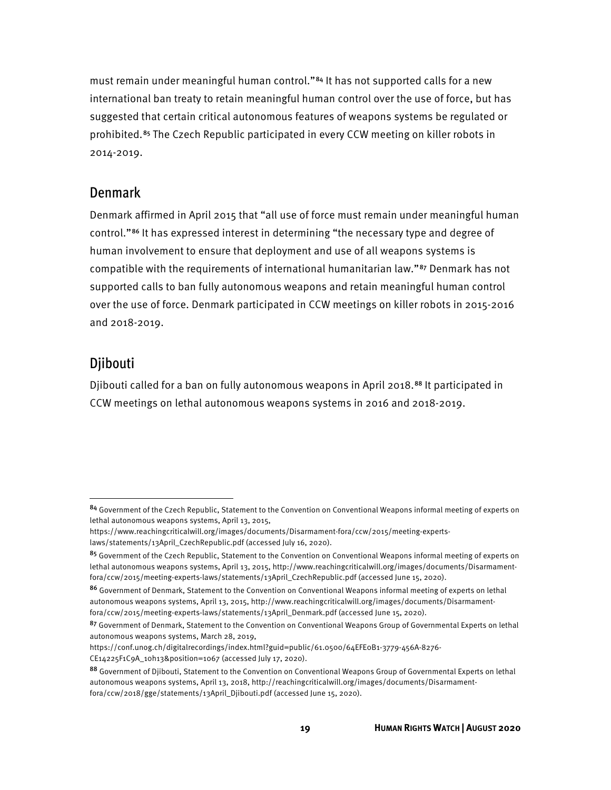must remain under meaningful human control."[84](#page-25-2) It has not supported calls for a new international ban treaty to retain meaningful human control over the use of force, but has suggested that certain critical autonomous features of weapons systems be regulated or prohibited.[85](#page-25-3) The Czech Republic participated in every CCW meeting on killer robots in 2014-2019.

#### <span id="page-25-0"></span>Denmark

Denmark affirmed in April 2015 that "all use of force must remain under meaningful human control."[86](#page-25-4) It has expressed interest in determining "the necessary type and degree of human involvement to ensure that deployment and use of all weapons systems is compatible with the requirements of international humanitarian law."[87](#page-25-5) Denmark has not supported calls to ban fully autonomous weapons and retain meaningful human control over the use of force. Denmark participated in CCW meetings on killer robots in 2015-2016 and 2018-2019.

# <span id="page-25-1"></span>Djibouti

Djibouti called for a ban on fully autonomous weapons in April 2018.<sup>[88](#page-25-6)</sup> It participated in CCW meetings on lethal autonomous weapons systems in 2016 and 2018-2019.

<span id="page-25-2"></span><sup>84</sup> Government of the Czech Republic, Statement to the Convention on Conventional Weapons informal meeting of experts on lethal autonomous weapons systems, April 13, 2015,

https://www.reachingcriticalwill.org/images/documents/Disarmament-fora/ccw/2015/meeting-experts-

laws/statements/13April\_CzechRepublic.pdf (accessed July 16, 2020).

<span id="page-25-3"></span><sup>85</sup> Government of the Czech Republic, Statement to the Convention on Conventional Weapons informal meeting of experts on lethal autonomous weapons systems, April 13, 2015, http://www.reachingcriticalwill.org/images/documents/Disarmamentfora/ccw/2015/meeting-experts-laws/statements/13April\_CzechRepublic.pdf (accessed June 15, 2020).

<span id="page-25-4"></span><sup>86</sup> Government of Denmark, Statement to the Convention on Conventional Weapons informal meeting of experts on lethal autonomous weapons systems, April 13, 2015, http://www.reachingcriticalwill.org/images/documents/Disarmamentfora/ccw/2015/meeting-experts-laws/statements/13April\_Denmark.pdf (accessed June 15, 2020).

<span id="page-25-5"></span><sup>87</sup> Government of Denmark, Statement to the Convention on Conventional Weapons Group of Governmental Experts on lethal autonomous weapons systems, March 28, 2019,

https://conf.unog.ch/digitalrecordings/index.html?guid=public/61.0500/64EFE0B1-3779-456A-8276-

CE14225F1C9A\_10h13&position=1067 (accessed July 17, 2020).

<span id="page-25-6"></span><sup>88</sup> Government of Djibouti, Statement to the Convention on Conventional Weapons Group of Governmental Experts on lethal autonomous weapons systems, April 13, 2018, http://reachingcriticalwill.org/images/documents/Disarmamentfora/ccw/2018/gge/statements/13April\_Djibouti.pdf (accessed June 15, 2020).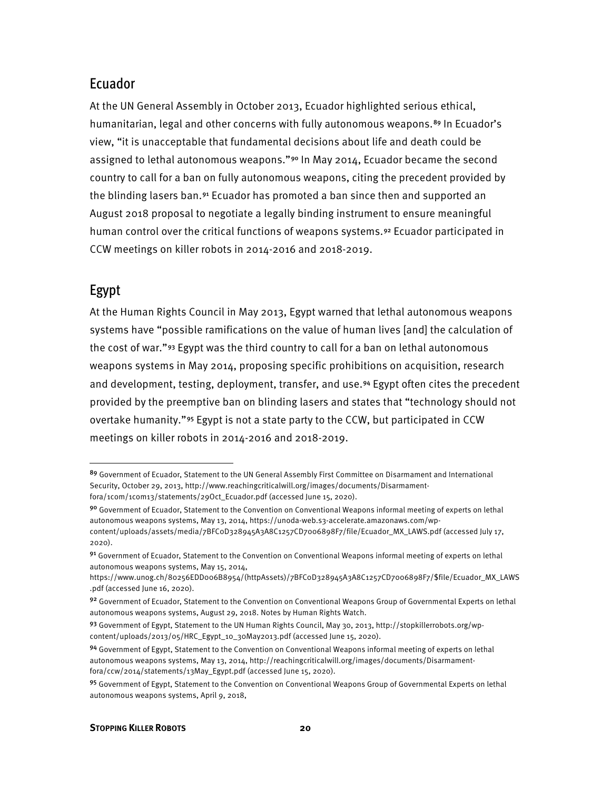# <span id="page-26-0"></span>Ecuador

At the UN General Assembly in October 2013, Ecuador highlighted serious ethical, humanitarian, legal and other concerns with fully autonomous weapons.<sup>[89](#page-26-2)</sup> In Ecuador's view, "it is unacceptable that fundamental decisions about life and death could be assigned to lethal autonomous weapons."<sup>[90](#page-26-3)</sup> In May 2014, Ecuador became the second country to call for a ban on fully autonomous weapons, citing the precedent provided by the blinding lasers ban.[91](#page-26-4) Ecuador has promoted a ban since then and supported an August 2018 proposal to negotiate a legally binding instrument to ensure meaningful human control over the critical functions of weapons systems.[92](#page-26-5) Ecuador participated in CCW meetings on killer robots in 2014-2016 and 2018-2019.

# <span id="page-26-1"></span>Egypt

At the Human Rights Council in May 2013, Egypt warned that lethal autonomous weapons systems have "possible ramifications on the value of human lives [and] the calculation of the cost of war."[93](#page-26-6) Egypt was the third country to call for a ban on lethal autonomous weapons systems in May 2014, proposing specific prohibitions on acquisition, research and development, testing, deployment, transfer, and use.<sup>[94](#page-26-7)</sup> Egypt often cites the precedent provided by the preemptive ban on blinding lasers and states that "technology should not overtake humanity."[95](#page-26-8) Egypt is not a state party to the CCW, but participated in CCW meetings on killer robots in 2014-2016 and 2018-2019.

<span id="page-26-2"></span><sup>89</sup> Government of Ecuador, Statement to the UN General Assembly First Committee on Disarmament and International Security, October 29, 2013, http://www.reachingcriticalwill.org/images/documents/Disarmament-

fora/1com/1com13/statements/29Oct\_Ecuador.pdf (accessed June 15, 2020).

<span id="page-26-3"></span><sup>90</sup> Government of Ecuador, Statement to the Convention on Conventional Weapons informal meeting of experts on lethal autonomous weapons systems, May 13, 2014, https://unoda-web.s3-accelerate.amazonaws.com/wpcontent/uploads/assets/media/7BFC0D328945A3A8C1257CD7006898F7/file/Ecuador\_MX\_LAWS.pdf (accessed July 17, 2020).

<span id="page-26-4"></span><sup>91</sup> Government of Ecuador, Statement to the Convention on Conventional Weapons informal meeting of experts on lethal autonomous weapons systems, May 15, 2014,

https://www.unog.ch/80256EDD006B8954/(httpAssets)/7BFC0D328945A3A8C1257CD7006898F7/\$file/Ecuador\_MX\_LAWS .pdf (accessed June 16, 2020).

<span id="page-26-5"></span><sup>92</sup> Government of Ecuador, Statement to the Convention on Conventional Weapons Group of Governmental Experts on lethal autonomous weapons systems, August 29, 2018. Notes by Human Rights Watch.

<span id="page-26-6"></span><sup>93</sup> Government of Egypt, Statement to the UN Human Rights Council, May 30, 2013, http://stopkillerrobots.org/wpcontent/uploads/2013/05/HRC\_Egypt\_10\_30May2013.pdf (accessed June 15, 2020).

<span id="page-26-7"></span><sup>94</sup> Government of Egypt, Statement to the Convention on Conventional Weapons informal meeting of experts on lethal autonomous weapons systems, May 13, 2014, http://reachingcriticalwill.org/images/documents/Disarmamentfora/ccw/2014/statements/13May\_Egypt.pdf (accessed June 15, 2020).

<span id="page-26-8"></span><sup>95</sup> Government of Egypt, Statement to the Convention on Conventional Weapons Group of Governmental Experts on lethal autonomous weapons systems, April 9, 2018,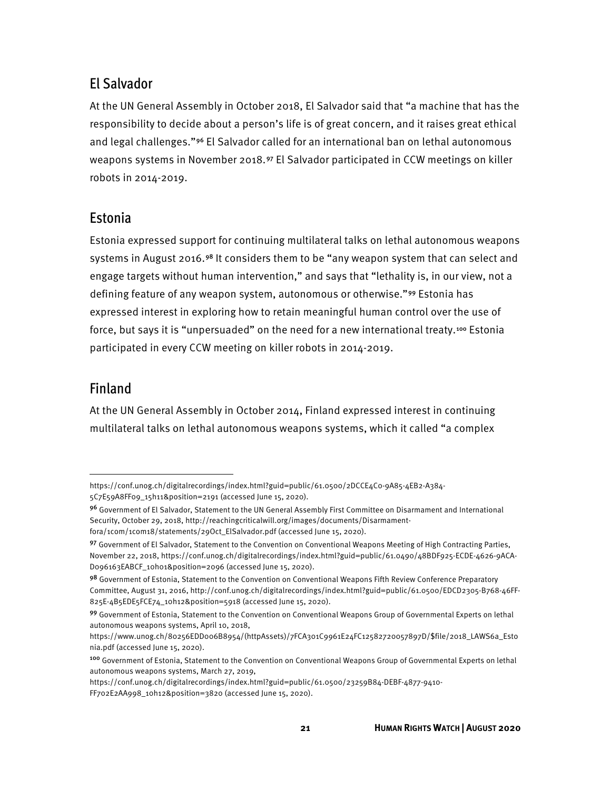# <span id="page-27-0"></span>El Salvador

At the UN General Assembly in October 2018, El Salvador said that "a machine that has the responsibility to decide about a person's life is of great concern, and it raises great ethical and legal challenges."[96](#page-27-3) El Salvador called for an international ban on lethal autonomous weapons systems in November 2018.[97](#page-27-4) El Salvador participated in CCW meetings on killer robots in 2014-2019.

# <span id="page-27-1"></span>Estonia

Estonia expressed support for continuing multilateral talks on lethal autonomous weapons systems in August 2016.<sup>[98](#page-27-5)</sup> It considers them to be "any weapon system that can select and engage targets without human intervention," and says that "lethality is, in our view, not a defining feature of any weapon system, autonomous or otherwise."[99](#page-27-6) Estonia has expressed interest in exploring how to retain meaningful human control over the use of force, but says it is "unpersuaded" on the need for a new international treaty.[100](#page-27-7) Estonia participated in every CCW meeting on killer robots in 2014-2019.

# <span id="page-27-2"></span>Finland

At the UN General Assembly in October 2014, Finland expressed interest in continuing multilateral talks on lethal autonomous weapons systems, which it called "a complex

https://conf.unog.ch/digitalrecordings/index.html?guid=public/61.0500/23259B84-DEBF-4877-9410-

https://conf.unog.ch/digitalrecordings/index.html?guid=public/61.0500/2DCCE4C0-9A85-4EB2-A384- 5C7E59A8FF09\_15h11&position=2191 (accessed June 15, 2020).

<span id="page-27-3"></span><sup>96</sup> Government of El Salvador, Statement to the UN General Assembly First Committee on Disarmament and International Security, October 29, 2018, http://reachingcriticalwill.org/images/documents/Disarmament-

fora/1com/1com18/statements/29Oct\_ElSalvador.pdf (accessed June 15, 2020).

<span id="page-27-4"></span><sup>97</sup> Government of El Salvador, Statement to the Convention on Conventional Weapons Meeting of High Contracting Parties, November 22, 2018, https://conf.unog.ch/digitalrecordings/index.html?guid=public/61.0490/48BDF925-ECDE-4626-9ACA-D096163EABCF\_10h01&position=2096 (accessed June 15, 2020).

<span id="page-27-5"></span><sup>98</sup> Government of Estonia, Statement to the Convention on Conventional Weapons Fifth Review Conference Preparatory Committee, August 31, 2016, http://conf.unog.ch/digitalrecordings/index.html?guid=public/61.0500/EDCD2305-B768-46FF-825E-4B5EDE5FCE74\_10h12&position=5918 (accessed June 15, 2020).

<span id="page-27-6"></span><sup>99</sup> Government of Estonia, Statement to the Convention on Conventional Weapons Group of Governmental Experts on lethal autonomous weapons systems, April 10, 2018,

https://www.unog.ch/80256EDD006B8954/(httpAssets)/7FCA301C9961E24FC12582720057897D/\$file/2018\_LAWS6a\_Esto nia.pdf (accessed June 15, 2020).

<span id="page-27-7"></span><sup>100</sup> Government of Estonia, Statement to the Convention on Conventional Weapons Group of Governmental Experts on lethal autonomous weapons systems, March 27, 2019,

FF702E2AA998\_10h12&position=3820 (accessed June 15, 2020).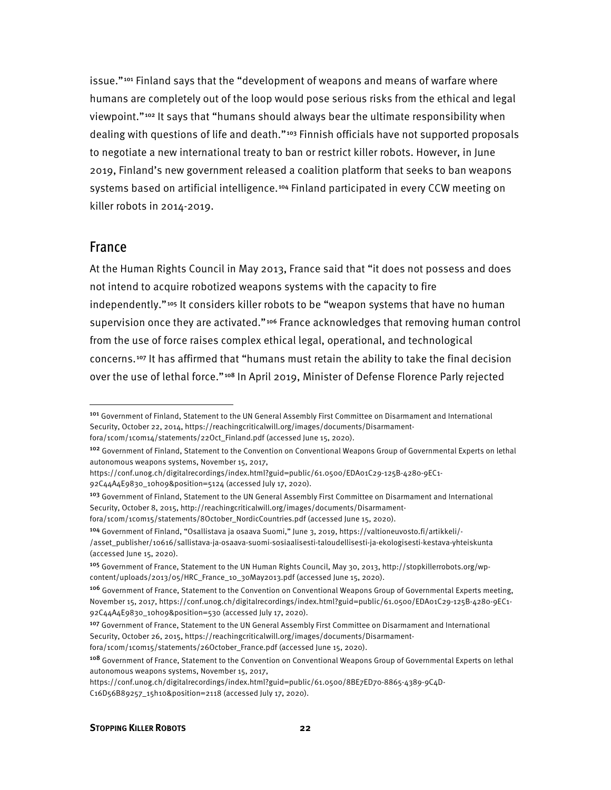issue."[101](#page-28-1) Finland says that the "development of weapons and means of warfare where humans are completely out of the loop would pose serious risks from the ethical and legal viewpoint."[102](#page-28-2) It says that "humans should always bear the ultimate responsibility when dealing with questions of life and death."<sup>[103](#page-28-3)</sup> Finnish officials have not supported proposals to negotiate a new international treaty to ban or restrict killer robots. However, in June 2019, Finland's new government released a coalition platform that seeks to ban weapons systems based on artificial intelligence.<sup>[104](#page-28-4)</sup> Finland participated in every CCW meeting on killer robots in 2014-2019.

#### <span id="page-28-0"></span>France

At the Human Rights Council in May 2013, France said that "it does not possess and does not intend to acquire robotized weapons systems with the capacity to fire independently."[105](#page-28-5) It considers killer robots to be "weapon systems that have no human supervision once they are activated."<sup>[106](#page-28-6)</sup> France acknowledges that removing human control from the use of force raises complex ethical legal, operational, and technological concerns.[107](#page-28-7) It has affirmed that "humans must retain the ability to take the final decision over the use of lethal force."[108](#page-28-8) In April 2019, Minister of Defense Florence Parly rejected

fora/1com/1com15/statements/8October\_NordicCountries.pdf (accessed June 15, 2020).

<span id="page-28-4"></span><sup>104</sup> Government of Finland, "Osallistava ja osaava Suomi," June 3, 2019, https://valtioneuvosto.fi/artikkeli/-

fora/1com/1com15/statements/26October\_France.pdf (accessed June 15, 2020).

<span id="page-28-1"></span><sup>101</sup> Government of Finland, Statement to the UN General Assembly First Committee on Disarmament and International Security, October 22, 2014, https://reachingcriticalwill.org/images/documents/Disarmamentfora/1com/1com14/statements/22Oct\_Finland.pdf (accessed June 15, 2020).

<span id="page-28-2"></span><sup>&</sup>lt;sup>102</sup> Government of Finland, Statement to the Convention on Conventional Weapons Group of Governmental Experts on lethal autonomous weapons systems, November 15, 2017,

https://conf.unog.ch/digitalrecordings/index.html?guid=public/61.0500/EDA01C29-125B-4280-9EC1- 92C44A4E9830\_10h09&position=5124 (accessed July 17, 2020).

<span id="page-28-3"></span><sup>&</sup>lt;sup>103</sup> Government of Finland, Statement to the UN General Assembly First Committee on Disarmament and International Security, October 8, 2015, http://reachingcriticalwill.org/images/documents/Disarmament-

<sup>/</sup>asset\_publisher/10616/sallistava-ja-osaava-suomi-sosiaalisesti-taloudellisesti-ja-ekologisesti-kestava-yhteiskunta (accessed June 15, 2020).

<span id="page-28-5"></span><sup>105</sup> Government of France, Statement to the UN Human Rights Council, May 30, 2013, http://stopkillerrobots.org/wpcontent/uploads/2013/05/HRC\_France\_10\_30May2013.pdf (accessed June 15, 2020).

<span id="page-28-6"></span><sup>106</sup> Government of France, Statement to the Convention on Conventional Weapons Group of Governmental Experts meeting, November 15, 2017, https://conf.unog.ch/digitalrecordings/index.html?guid=public/61.0500/EDA01C29-125B-4280-9EC1- 92C44A4E9830\_10h09&position=530 (accessed July 17, 2020).

<span id="page-28-7"></span><sup>107</sup> Government of France, Statement to the UN General Assembly First Committee on Disarmament and International Security, October 26, 2015, https://reachingcriticalwill.org/images/documents/Disarmament-

<span id="page-28-8"></span><sup>108</sup> Government of France, Statement to the Convention on Conventional Weapons Group of Governmental Experts on lethal autonomous weapons systems, November 15, 2017,

https://conf.unog.ch/digitalrecordings/index.html?guid=public/61.0500/8BE7ED70-8865-4389-9C4D-

C16D56B89257\_15h10&position=2118 (accessed July 17, 2020).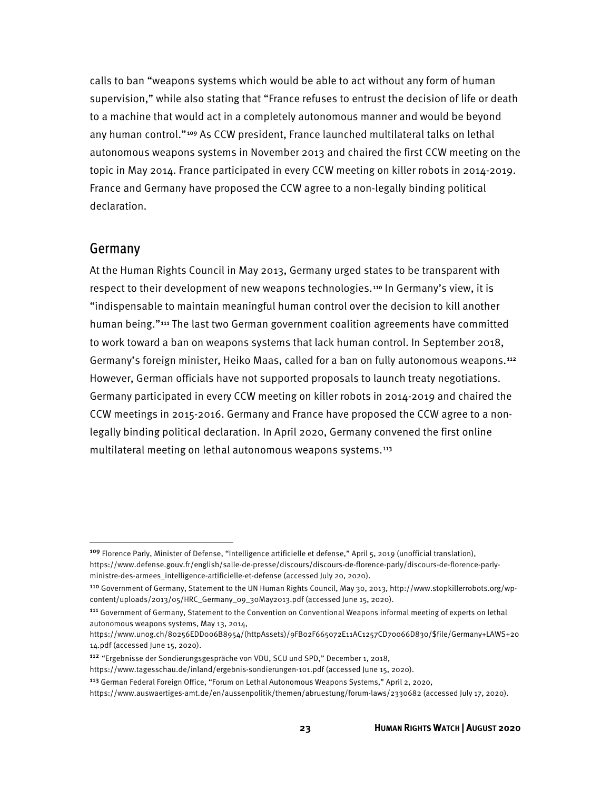calls to ban "weapons systems which would be able to act without any form of human supervision," while also stating that "France refuses to entrust the decision of life or death to a machine that would act in a completely autonomous manner and would be beyond any human control."[109](#page-29-1) As CCW president, France launched multilateral talks on lethal autonomous weapons systems in November 2013 and chaired the first CCW meeting on the topic in May 2014. France participated in every CCW meeting on killer robots in 2014-2019. France and Germany have proposed the CCW agree to a non-legally binding political declaration.

#### <span id="page-29-0"></span>Germany

At the Human Rights Council in May 2013, Germany urged states to be transparent with respect to their development of new weapons technologies.[110](#page-29-2) In Germany's view, it is "indispensable to maintain meaningful human control over the decision to kill another human being."[111](#page-29-3) The last two German government coalition agreements have committed to work toward a ban on weapons systems that lack human control. In September 2018, Germany's foreign minister, Heiko Maas, called for a ban on fully autonomous weapons.[112](#page-29-4) However, German officials have not supported proposals to launch treaty negotiations. Germany participated in every CCW meeting on killer robots in 2014-2019 and chaired the CCW meetings in 2015-2016. Germany and France have proposed the CCW agree to a nonlegally binding political declaration. In April 2020, Germany convened the first online multilateral meeting on lethal autonomous weapons systems.<sup>[113](#page-29-5)</sup>

<span id="page-29-1"></span><sup>&</sup>lt;sup>109</sup> Florence Parly, Minister of Defense, "Intelligence artificielle et defense," April 5, 2019 (unofficial translation), https://www.defense.gouv.fr/english/salle-de-presse/discours/discours-de-florence-parly/discours-de-florence-parlyministre-des-armees\_intelligence-artificielle-et-defense (accessed July 20, 2020).

<span id="page-29-2"></span><sup>110</sup> Government of Germany, Statement to the UN Human Rights Council, May 30, 2013, http://www.stopkillerrobots.org/wpcontent/uploads/2013/05/HRC\_Germany\_09\_30May2013.pdf (accessed June 15, 2020).

<span id="page-29-3"></span><sup>111</sup> Government of Germany, Statement to the Convention on Conventional Weapons informal meeting of experts on lethal autonomous weapons systems, May 13, 2014,

https://www.unog.ch/80256EDD006B8954/(httpAssets)/9FB02F665072E11AC1257CD70066D830/\$file/Germany+LAWS+20 14.pdf (accessed June 15, 2020).

<span id="page-29-4"></span><sup>112</sup> "Ergebnisse der Sondierungsgespräche von VDU, SCU und SPD," December 1, 2018,

https://www.tagesschau.de/inland/ergebnis-sondierungen-101.pdf (accessed June 15, 2020).

<span id="page-29-5"></span><sup>113</sup> German Federal Foreign Office, "Forum on Lethal Autonomous Weapons Systems," April 2, 2020,

https://www.auswaertiges-amt.de/en/aussenpolitik/themen/abruestung/forum-laws/2330682 (accessed July 17, 2020).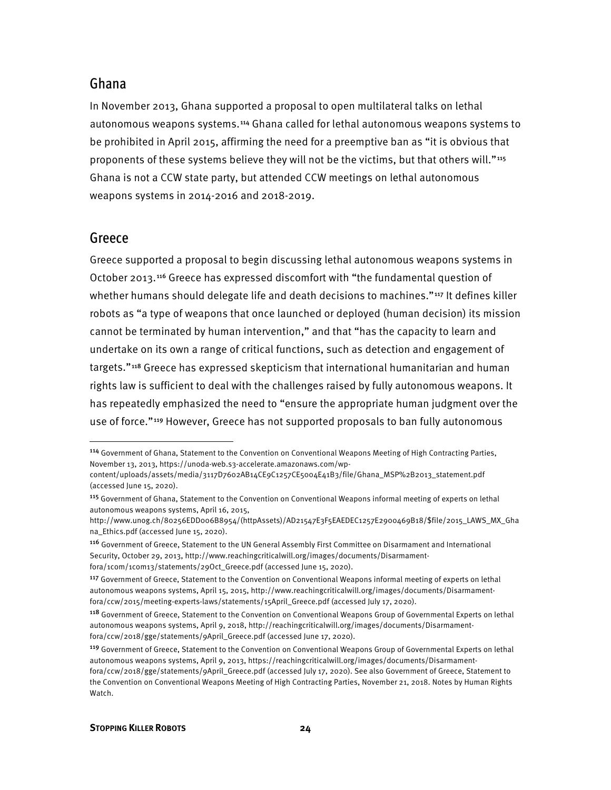# <span id="page-30-0"></span>Ghana

In November 2013, Ghana supported a proposal to open multilateral talks on lethal autonomous weapons systems.[114](#page-30-2) Ghana called for lethal autonomous weapons systems to be prohibited in April 2015, affirming the need for a preemptive ban as "it is obvious that proponents of these systems believe they will not be the victims, but that others will."<sup>[115](#page-30-3)</sup> Ghana is not a CCW state party, but attended CCW meetings on lethal autonomous weapons systems in 2014-2016 and 2018-2019.

## <span id="page-30-1"></span>Greece

Greece supported a proposal to begin discussing lethal autonomous weapons systems in October 2013.[116](#page-30-4) Greece has expressed discomfort with "the fundamental question of whether humans should delegate life and death decisions to machines."<sup>[117](#page-30-5)</sup> It defines killer robots as "a type of weapons that once launched or deployed (human decision) its mission cannot be terminated by human intervention," and that "has the capacity to learn and undertake on its own a range of critical functions, such as detection and engagement of targets."<sup>[118](#page-30-6)</sup> Greece has expressed skepticism that international humanitarian and human rights law is sufficient to deal with the challenges raised by fully autonomous weapons. It has repeatedly emphasized the need to "ensure the appropriate human judgment over the use of force."[119](#page-30-7) However, Greece has not supported proposals to ban fully autonomous

<span id="page-30-2"></span><sup>114</sup> Government of Ghana, Statement to the Convention on Conventional Weapons Meeting of High Contracting Parties, November 13, 2013, https://unoda-web.s3-accelerate.amazonaws.com/wp-

content/uploads/assets/media/3117D7602AB14CE9C1257CE5004E41B3/file/Ghana\_MSP%2B2013\_statement.pdf (accessed June 15, 2020).

<span id="page-30-3"></span><sup>115</sup> Government of Ghana, Statement to the Convention on Conventional Weapons informal meeting of experts on lethal autonomous weapons systems, April 16, 2015,

http://www.unog.ch/80256EDD006B8954/(httpAssets)/AD21547E3F5EAEDEC1257E2900469B18/\$file/2015\_LAWS\_MX\_Gha na\_Ethics.pdf (accessed June 15, 2020).

<span id="page-30-4"></span><sup>116</sup> Government of Greece, Statement to the UN General Assembly First Committee on Disarmament and International Security, October 29, 2013, http://www.reachingcriticalwill.org/images/documents/Disarmamentfora/1com/1com13/statements/29Oct\_Greece.pdf (accessed June 15, 2020).

<span id="page-30-5"></span><sup>&</sup>lt;sup>117</sup> Government of Greece, Statement to the Convention on Conventional Weapons informal meeting of experts on lethal autonomous weapons systems, April 15, 2015, http://www.reachingcriticalwill.org/images/documents/Disarmamentfora/ccw/2015/meeting-experts-laws/statements/15April\_Greece.pdf (accessed July 17, 2020).

<span id="page-30-6"></span><sup>118</sup> Government of Greece, Statement to the Convention on Conventional Weapons Group of Governmental Experts on lethal autonomous weapons systems, April 9, 2018, http://reachingcriticalwill.org/images/documents/Disarmamentfora/ccw/2018/gge/statements/9April\_Greece.pdf (accessed June 17, 2020).

<span id="page-30-7"></span><sup>119</sup> Government of Greece, Statement to the Convention on Conventional Weapons Group of Governmental Experts on lethal autonomous weapons systems, April 9, 2013, https://reachingcriticalwill.org/images/documents/Disarmamentfora/ccw/2018/gge/statements/9April\_Greece.pdf (accessed July 17, 2020). See also Government of Greece, Statement to the Convention on Conventional Weapons Meeting of High Contracting Parties, November 21, 2018. Notes by Human Rights Watch.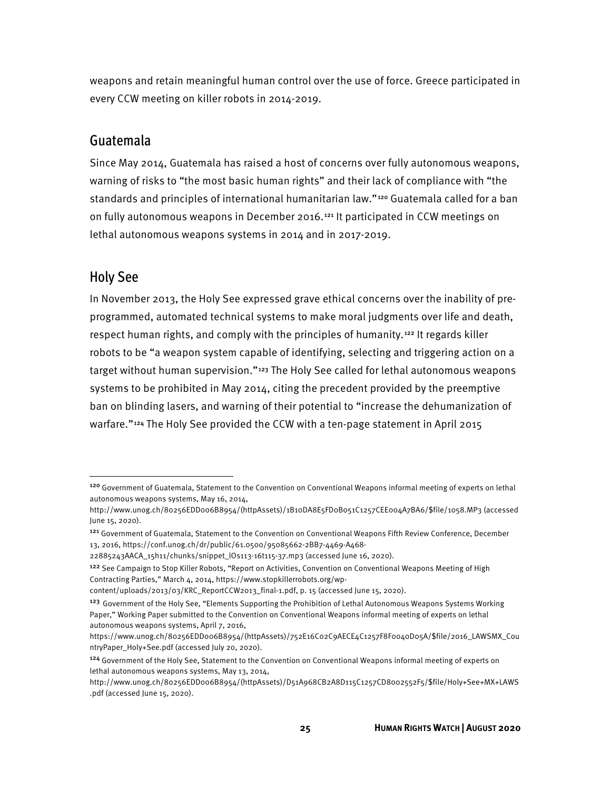weapons and retain meaningful human control over the use of force. Greece participated in every CCW meeting on killer robots in 2014-2019.

#### <span id="page-31-0"></span>Guatemala

Since May 2014, Guatemala has raised a host of concerns over fully autonomous weapons, warning of risks to "the most basic human rights" and their lack of compliance with "the standards and principles of international humanitarian law."[120](#page-31-2) Guatemala called for a ban on fully autonomous weapons in December 2016.[121](#page-31-3) It participated in CCW meetings on lethal autonomous weapons systems in 2014 and in 2017-2019.

## <span id="page-31-1"></span>Holy See

In November 2013, the Holy See expressed grave ethical concerns over the inability of preprogrammed, automated technical systems to make moral judgments over life and death, respect human rights, and comply with the principles of humanity.<sup>[122](#page-31-4)</sup> It regards killer robots to be "a weapon system capable of identifying, selecting and triggering action on a target without human supervision."[123](#page-31-5) The Holy See called for lethal autonomous weapons systems to be prohibited in May 2014, citing the precedent provided by the preemptive ban on blinding lasers, and warning of their potential to "increase the dehumanization of warfare."[124](#page-31-6) The Holy See provided the CCW with a ten-page statement in April 2015

22885243AACA\_15h11/chunks/snippet\_lOs113-16t115-37.mp3 (accessed June 16, 2020).

<span id="page-31-2"></span><sup>120</sup> Government of Guatemala, Statement to the Convention on Conventional Weapons informal meeting of experts on lethal autonomous weapons systems, May 16, 2014,

http://www.unog.ch/80256EDD006B8954/(httpAssets)/1B10DA8E5FD0B051C1257CEE004A7BA6/\$file/1058.MP3 (accessed June 15, 2020).

<span id="page-31-3"></span><sup>121</sup> Government of Guatemala, Statement to the Convention on Conventional Weapons Fifth Review Conference, December 13, 2016, https://conf.unog.ch/dr/public/61.0500/95085662-2BB7-4469-A468-

<span id="page-31-4"></span><sup>&</sup>lt;sup>122</sup> See Campaign to Stop Killer Robots, "Report on Activities, Convention on Conventional Weapons Meeting of High Contracting Parties," March 4, 2014, https://www.stopkillerrobots.org/wp-

content/uploads/2013/03/KRC\_ReportCCW2013\_final-1.pdf, p. 15 (accessed June 15, 2020).

<span id="page-31-5"></span><sup>&</sup>lt;sup>123</sup> Government of the Holy See, "Elements Supporting the Prohibition of Lethal Autonomous Weapons Systems Working Paper," Working Paper submitted to the Convention on Conventional Weapons informal meeting of experts on lethal autonomous weapons systems, April 7, 2016,

https://www.unog.ch/80256EDD006B8954/(httpAssets)/752E16C02C9AECE4C1257F8F0040D05A/\$file/2016\_LAWSMX\_Cou ntryPaper\_Holy+See.pdf (accessed July 20, 2020).

<span id="page-31-6"></span><sup>124</sup> Government of the Holy See, Statement to the Convention on Conventional Weapons informal meeting of experts on lethal autonomous weapons systems, May 13, 2014,

http://www.unog.ch/80256EDD006B8954/(httpAssets)/D51A968CB2A8D115C1257CD8002552F5/\$file/Holy+See+MX+LAWS .pdf (accessed June 15, 2020).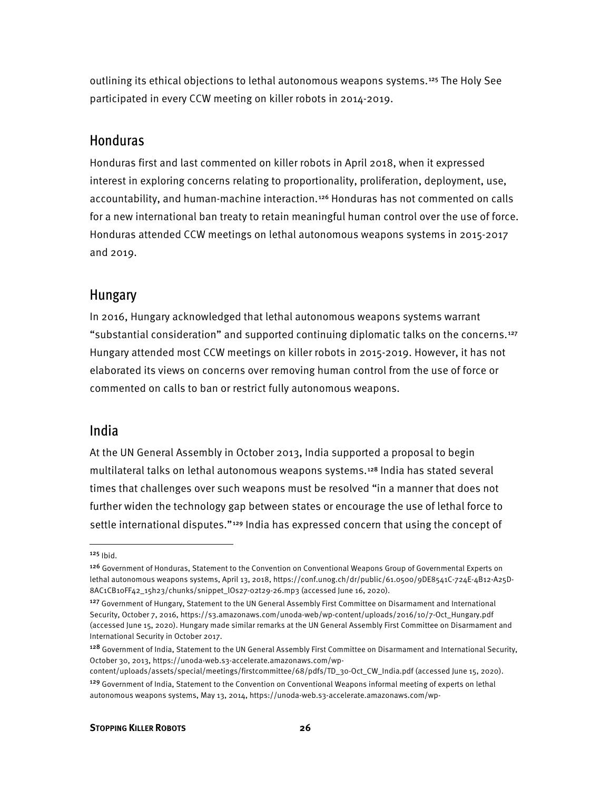outlining its ethical objections to lethal autonomous weapons systems.[125](#page-32-3) The Holy See participated in every CCW meeting on killer robots in 2014-2019.

#### <span id="page-32-0"></span>**Honduras**

Honduras first and last commented on killer robots in April 2018, when it expressed interest in exploring concerns relating to proportionality, proliferation, deployment, use, accountability, and human-machine interaction.[126](#page-32-4) Honduras has not commented on calls for a new international ban treaty to retain meaningful human control over the use of force. Honduras attended CCW meetings on lethal autonomous weapons systems in 2015-2017 and 2019.

# <span id="page-32-1"></span>Hungary

In 2016, Hungary acknowledged that lethal autonomous weapons systems warrant "substantial consideration" and supported continuing diplomatic talks on the concerns.<sup>[127](#page-32-5)</sup> Hungary attended most CCW meetings on killer robots in 2015-2019. However, it has not elaborated its views on concerns over removing human control from the use of force or commented on calls to ban or restrict fully autonomous weapons.

#### <span id="page-32-2"></span>India

At the UN General Assembly in October 2013, India supported a proposal to begin multilateral talks on lethal autonomous weapons systems.[128](#page-32-6) India has stated several times that challenges over such weapons must be resolved "in a manner that does not further widen the technology gap between states or encourage the use of lethal force to settle international disputes."[129](#page-32-7) India has expressed concern that using the concept of

<span id="page-32-3"></span> $125$  Ibid.

<span id="page-32-4"></span><sup>126</sup> Government of Honduras, Statement to the Convention on Conventional Weapons Group of Governmental Experts on lethal autonomous weapons systems, April 13, 2018, https://conf.unog.ch/dr/public/61.0500/9DE8541C-724E-4B12-A25D-8AC1CB10FF42\_15h23/chunks/snippet\_lOs27-02t29-26.mp3 (accessed June 16, 2020).

<span id="page-32-5"></span><sup>&</sup>lt;sup>127</sup> Government of Hungary, Statement to the UN General Assembly First Committee on Disarmament and International Security, October 7, 2016, https://s3.amazonaws.com/unoda-web/wp-content/uploads/2016/10/7-Oct\_Hungary.pdf (accessed June 15, 2020). Hungary made similar remarks at the UN General Assembly First Committee on Disarmament and International Security in October 2017.

<span id="page-32-6"></span><sup>&</sup>lt;sup>128</sup> Government of India, Statement to the UN General Assembly First Committee on Disarmament and International Security, October 30, 2013, https://unoda-web.s3-accelerate.amazonaws.com/wp-

<span id="page-32-7"></span>content/uploads/assets/special/meetings/firstcommittee/68/pdfs/TD\_30-Oct\_CW\_India.pdf (accessed June 15, 2020). <sup>129</sup> Government of India, Statement to the Convention on Conventional Weapons informal meeting of experts on lethal autonomous weapons systems, May 13, 2014, https://unoda-web.s3-accelerate.amazonaws.com/wp-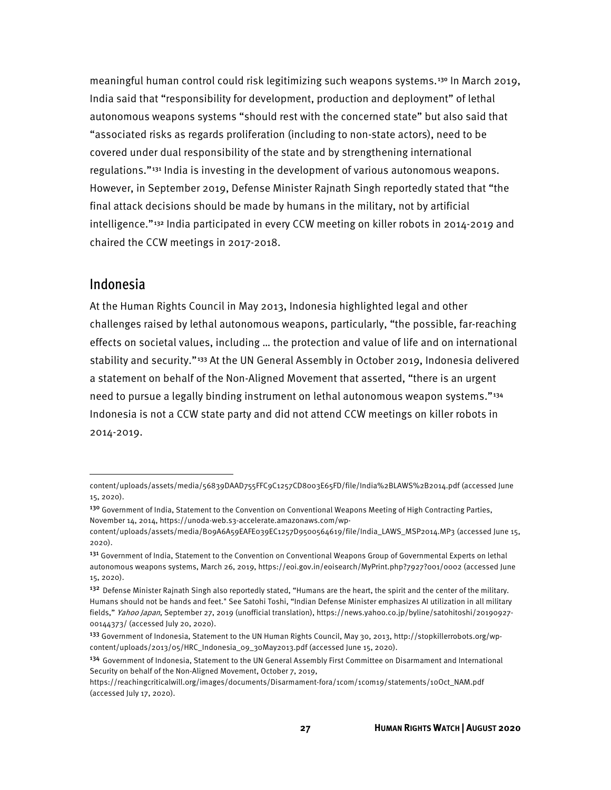meaningful human control could risk legitimizing such weapons systems.<sup>[130](#page-33-1)</sup> In March 2019, India said that "responsibility for development, production and deployment" of lethal autonomous weapons systems "should rest with the concerned state" but also said that "associated risks as regards proliferation (including to non-state actors), need to be covered under dual responsibility of the state and by strengthening international regulations."[131](#page-33-2) India is investing in the development of various autonomous weapons. However, in September 2019, Defense Minister Rajnath Singh reportedly stated that "the final attack decisions should be made by humans in the military, not by artificial intelligence."[132](#page-33-3) India participated in every CCW meeting on killer robots in 2014-2019 and chaired the CCW meetings in 2017-2018.

#### <span id="page-33-0"></span>Indonesia

At the Human Rights Council in May 2013, Indonesia highlighted legal and other challenges raised by lethal autonomous weapons, particularly, "the possible, far-reaching effects on societal values, including … the protection and value of life and on international stability and security."[133](#page-33-4) At the UN General Assembly in October 2019, Indonesia delivered a statement on behalf of the Non-Aligned Movement that asserted, "there is an urgent need to pursue a legally binding instrument on lethal autonomous weapon systems."[134](#page-33-5) Indonesia is not a CCW state party and did not attend CCW meetings on killer robots in 2014-2019.

content/uploads/assets/media/56839DAAD755FFC9C1257CD8003E65FD/file/India%2BLAWS%2B2014.pdf (accessed June 15, 2020).

<span id="page-33-1"></span><sup>130</sup> Government of India, Statement to the Convention on Conventional Weapons Meeting of High Contracting Parties, November 14, 2014, https://unoda-web.s3-accelerate.amazonaws.com/wp-

content/uploads/assets/media/B09A6A59EAFE039EC1257D9500564619/file/India\_LAWS\_MSP2014.MP3 (accessed June 15, 2020).

<span id="page-33-2"></span><sup>&</sup>lt;sup>131</sup> Government of India, Statement to the Convention on Conventional Weapons Group of Governmental Experts on lethal autonomous weapons systems, March 26, 2019, https://eoi.gov.in/eoisearch/MyPrint.php?7927?001/0002 (accessed June 15, 2020).

<span id="page-33-3"></span> $132$  Defense Minister Rajnath Singh also reportedly stated, "Humans are the heart, the spirit and the center of the military. Humans should not be hands and feet." See Satohi Toshi, "Indian Defense Minister emphasizes AI utilization in all military fields," Yahoo Japan, September 27, 2019 (unofficial translation), https://news.yahoo.co.jp/byline/satohitoshi/20190927-00144373/ (accessed July 20, 2020).

<span id="page-33-4"></span><sup>133</sup> Government of Indonesia, Statement to the UN Human Rights Council, May 30, 2013, http://stopkillerrobots.org/wpcontent/uploads/2013/05/HRC\_Indonesia\_09\_30May2013.pdf (accessed June 15, 2020).

<span id="page-33-5"></span><sup>&</sup>lt;sup>134</sup> Government of Indonesia, Statement to the UN General Assembly First Committee on Disarmament and International Security on behalf of the Non-Aligned Movement, October 7, 2019,

https://reachingcriticalwill.org/images/documents/Disarmament-fora/1com/1com19/statements/10Oct\_NAM.pdf (accessed July 17, 2020).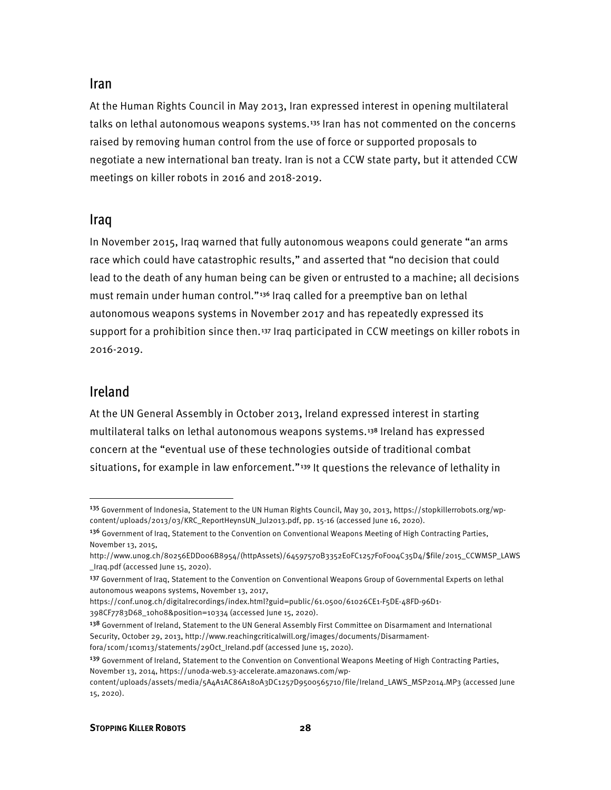#### <span id="page-34-0"></span>Iran

At the Human Rights Council in May 2013, Iran expressed interest in opening multilateral talks on lethal autonomous weapons systems.[135](#page-34-3) Iran has not commented on the concerns raised by removing human control from the use of force or supported proposals to negotiate a new international ban treaty. Iran is not a CCW state party, but it attended CCW meetings on killer robots in 2016 and 2018-2019.

#### <span id="page-34-1"></span>Iraq

In November 2015, Iraq warned that fully autonomous weapons could generate "an arms race which could have catastrophic results," and asserted that "no decision that could lead to the death of any human being can be given or entrusted to a machine; all decisions must remain under human control."[136](#page-34-4) Iraq called for a preemptive ban on lethal autonomous weapons systems in November 2017 and has repeatedly expressed its support for a prohibition since then.<sup>[137](#page-34-5)</sup> Iraq participated in CCW meetings on killer robots in 2016-2019.

# <span id="page-34-2"></span>Ireland

At the UN General Assembly in October 2013, Ireland expressed interest in starting multilateral talks on lethal autonomous weapons systems.[138](#page-34-6) Ireland has expressed concern at the "eventual use of these technologies outside of traditional combat situations, for example in law enforcement."<sup>[139](#page-34-7)</sup> It questions the relevance of lethality in

<span id="page-34-3"></span><sup>135</sup> Government of Indonesia, Statement to the UN Human Rights Council, May 30, 2013, https://stopkillerrobots.org/wpcontent/uploads/2013/03/KRC\_ReportHeynsUN\_Jul2013.pdf, pp. 15-16 (accessed June 16, 2020).

<span id="page-34-4"></span><sup>&</sup>lt;sup>136</sup> Government of Iraq, Statement to the Convention on Conventional Weapons Meeting of High Contracting Parties, November 13, 2015,

http://www.unog.ch/80256EDD006B8954/(httpAssets)/64597570B3352E0FC1257F0F004C35D4/\$file/2015\_CCWMSP\_LAWS \_Iraq.pdf (accessed June 15, 2020).

<span id="page-34-5"></span><sup>&</sup>lt;sup>137</sup> Government of Iraq, Statement to the Convention on Conventional Weapons Group of Governmental Experts on lethal autonomous weapons systems, November 13, 2017,

https://conf.unog.ch/digitalrecordings/index.html?guid=public/61.0500/61026CE1-F5DE-48FD-96D1- 398CF7783D68\_10h08&position=10334 (accessed June 15, 2020).

<span id="page-34-6"></span><sup>&</sup>lt;sup>138</sup> Government of Ireland, Statement to the UN General Assembly First Committee on Disarmament and International Security, October 29, 2013, http://www.reachingcriticalwill.org/images/documents/Disarmamentfora/1com/1com13/statements/29Oct\_Ireland.pdf (accessed June 15, 2020).

<span id="page-34-7"></span><sup>&</sup>lt;sup>139</sup> Government of Ireland, Statement to the Convention on Conventional Weapons Meeting of High Contracting Parties, November 13, 2014, https://unoda-web.s3-accelerate.amazonaws.com/wp-

content/uploads/assets/media/5A4A1AC86A180A3DC1257D9500565710/file/Ireland\_LAWS\_MSP2014.MP3 (accessed June 15, 2020).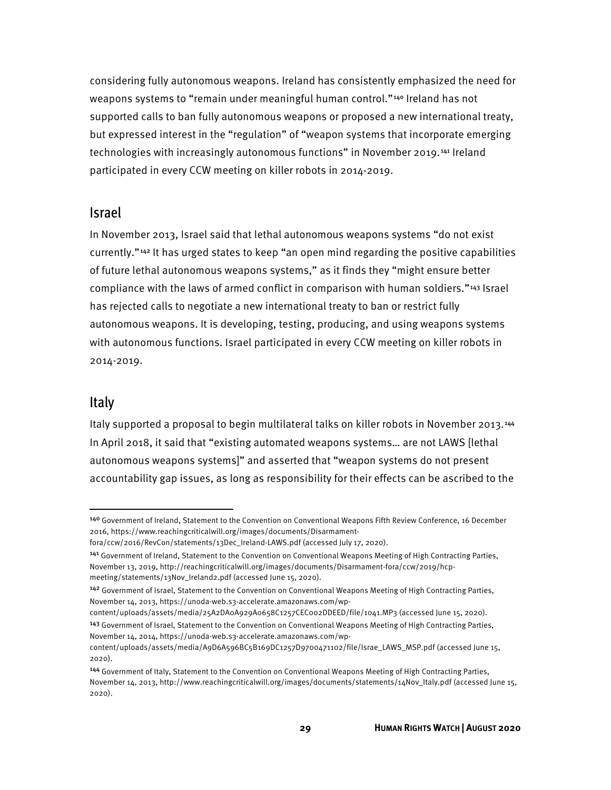considering fully autonomous weapons. Ireland has consistently emphasized the need for weapons systems to "remain under meaningful human control."<sup>[140](#page-35-2)</sup> Ireland has not supported calls to ban fully autonomous weapons or proposed a new international treaty, but expressed interest in the "regulation" of "weapon systems that incorporate emerging technologies with increasingly autonomous functions" in November 2019.[141](#page-35-3) Ireland participated in every CCW meeting on killer robots in 2014-2019.

#### <span id="page-35-0"></span>Israel

In November 2013, Israel said that lethal autonomous weapons systems "do not exist currently."[142](#page-35-4) It has urged states to keep "an open mind regarding the positive capabilities of future lethal autonomous weapons systems," as it finds they "might ensure better compliance with the laws of armed conflict in comparison with human soldiers."[143](#page-35-5) Israel has rejected calls to negotiate a new international treaty to ban or restrict fully autonomous weapons. It is developing, testing, producing, and using weapons systems with autonomous functions. Israel participated in every CCW meeting on killer robots in 2014-2019.

#### <span id="page-35-1"></span>Italy

Italy supported a proposal to begin multilateral talks on killer robots in November 2013.[144](#page-35-6) In April 2018, it said that "existing automated weapons systems… are not LAWS [lethal autonomous weapons systems]" and asserted that "weapon systems do not present accountability gap issues, as long as responsibility for their effects can be ascribed to the

<span id="page-35-2"></span><sup>140</sup> Government of Ireland, Statement to the Convention on Conventional Weapons Fifth Review Conference, 16 December 2016, https://www.reachingcriticalwill.org/images/documents/Disarmament-

fora/ccw/2016/RevCon/statements/13Dec\_Ireland-LAWS.pdf (accessed July 17, 2020).

<span id="page-35-3"></span><sup>141</sup> Government of Ireland, Statement to the Convention on Conventional Weapons Meeting of High Contracting Parties, November 13, 2019, http://reachingcriticalwill.org/images/documents/Disarmament-fora/ccw/2019/hcpmeeting/statements/13Nov\_Ireland2.pdf (accessed June 15, 2020).

<span id="page-35-4"></span><sup>&</sup>lt;sup>142</sup> Government of Israel, Statement to the Convention on Conventional Weapons Meeting of High Contracting Parties, November 14, 2013, https://unoda-web.s3-accelerate.amazonaws.com/wp-

content/uploads/assets/media/25A2DA0A929A0658C1257CEC002DDEED/file/1041.MP3 (accessed June 15, 2020).

<span id="page-35-5"></span><sup>143</sup> Government of Israel, Statement to the Convention on Conventional Weapons Meeting of High Contracting Parties, November 14, 2014, https://unoda-web.s3-accelerate.amazonaws.com/wp-

content/uploads/assets/media/A9D6A596BC5B169DC1257D9700471102/file/Israe\_LAWS\_MSP.pdf (accessed June 15, 2020).

<span id="page-35-6"></span><sup>144</sup> Government of Italy, Statement to the Convention on Conventional Weapons Meeting of High Contracting Parties, November 14, 2013, http://www.reachingcriticalwill.org/images/documents/statements/14Nov\_Italy.pdf (accessed June 15, 2020).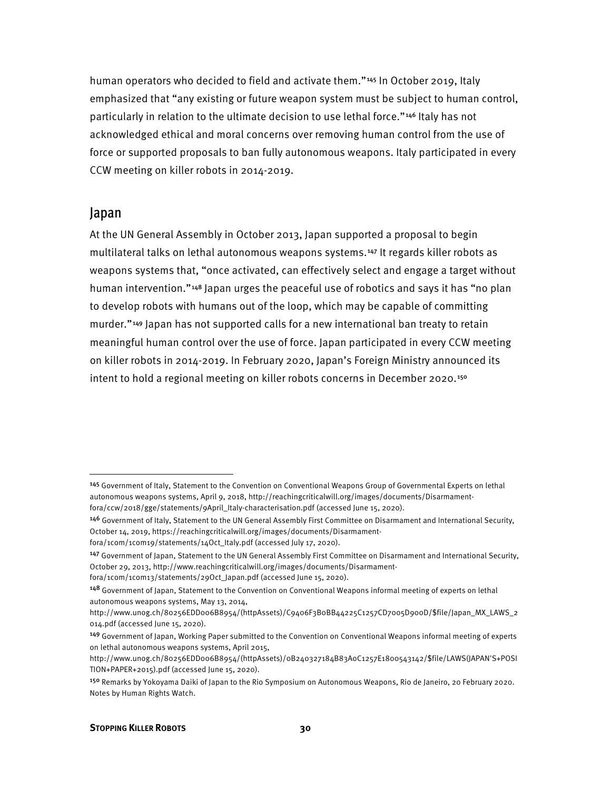human operators who decided to field and activate them."<sup>[145](#page-36-1)</sup> In October 2019, Italy emphasized that "any existing or future weapon system must be subject to human control, particularly in relation to the ultimate decision to use lethal force."[146](#page-36-2) Italy has not acknowledged ethical and moral concerns over removing human control from the use of force or supported proposals to ban fully autonomous weapons. Italy participated in every CCW meeting on killer robots in 2014-2019.

#### <span id="page-36-0"></span>Japan

At the UN General Assembly in October 2013, Japan supported a proposal to begin multilateral talks on lethal autonomous weapons systems.[147](#page-36-3) It regards killer robots as weapons systems that, "once activated, can effectively select and engage a target without human intervention."<sup>[148](#page-36-4)</sup> Japan urges the peaceful use of robotics and says it has "no plan to develop robots with humans out of the loop, which may be capable of committing murder."[149](#page-36-5) Japan has not supported calls for a new international ban treaty to retain meaningful human control over the use of force. Japan participated in every CCW meeting on killer robots in 2014-2019. In February 2020, Japan's Foreign Ministry announced its intent to hold a regional meeting on killer robots concerns in December 2020.<sup>[150](#page-36-6)</sup>

<span id="page-36-1"></span><sup>145</sup> Government of Italy, Statement to the Convention on Conventional Weapons Group of Governmental Experts on lethal autonomous weapons systems, April 9, 2018, http://reachingcriticalwill.org/images/documents/Disarmamentfora/ccw/2018/gge/statements/9April\_Italy-characterisation.pdf (accessed June 15, 2020).

<span id="page-36-2"></span><sup>146</sup> Government of Italy, Statement to the UN General Assembly First Committee on Disarmament and International Security, October 14, 2019, https://reachingcriticalwill.org/images/documents/Disarmament-

<span id="page-36-3"></span>fora/1com/1com19/statements/14Oct\_Italy.pdf (accessed July 17, 2020).

<sup>147</sup> Government of Japan, Statement to the UN General Assembly First Committee on Disarmament and International Security, October 29, 2013, http://www.reachingcriticalwill.org/images/documents/Disarmament-

fora/1com/1com13/statements/29Oct\_Japan.pdf (accessed June 15, 2020).

<span id="page-36-4"></span><sup>148</sup> Government of Japan, Statement to the Convention on Conventional Weapons informal meeting of experts on lethal autonomous weapons systems, May 13, 2014,

http://www.unog.ch/80256EDD006B8954/(httpAssets)/C9406F3B0BB44225C1257CD7005D900D/\$file/Japan\_MX\_LAWS\_2 014.pdf (accessed June 15, 2020).

<span id="page-36-5"></span><sup>149</sup> Government of Japan, Working Paper submitted to the Convention on Conventional Weapons informal meeting of experts on lethal autonomous weapons systems, April 2015,

http://www.unog.ch/80256EDD006B8954/(httpAssets)/0B240327184B83A0C1257E1800543142/\$file/LAWS(JAPAN'S+POSI TION+PAPER+2015).pdf (accessed June 15, 2020).

<span id="page-36-6"></span><sup>&</sup>lt;sup>150</sup> Remarks by Yokoyama Daiki of Japan to the Rio Symposium on Autonomous Weapons, Rio de Janeiro, 20 February 2020. Notes by Human Rights Watch.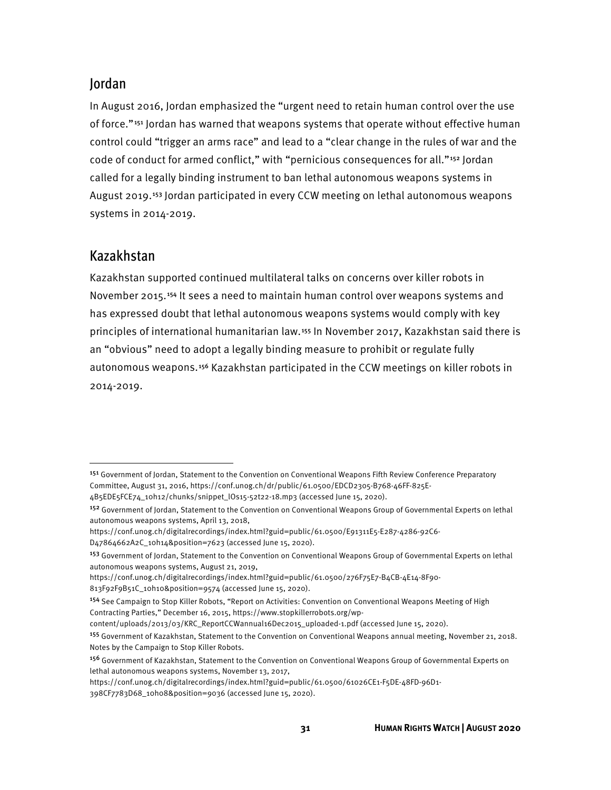# <span id="page-37-0"></span>Jordan

In August 2016, Jordan emphasized the "urgent need to retain human control over the use of force."<sup>[151](#page-37-2)</sup> Jordan has warned that weapons systems that operate without effective human control could "trigger an arms race" and lead to a "clear change in the rules of war and the code of conduct for armed conflict," with "pernicious consequences for all."<sup>[152](#page-37-3)</sup> Jordan called for a legally binding instrument to ban lethal autonomous weapons systems in August 2019.[153](#page-37-4) Jordan participated in every CCW meeting on lethal autonomous weapons systems in 2014-2019.

# <span id="page-37-1"></span>Kazakhstan

Kazakhstan supported continued multilateral talks on concerns over killer robots in November 2015.[154](#page-37-5) It sees a need to maintain human control over weapons systems and has expressed doubt that lethal autonomous weapons systems would comply with key principles of international humanitarian law.[155](#page-37-6) In November 2017, Kazakhstan said there is an "obvious" need to adopt a legally binding measure to prohibit or regulate fully autonomous weapons.<sup>[156](#page-37-7)</sup> Kazakhstan participated in the CCW meetings on killer robots in 2014-2019.

content/uploads/2013/03/KRC\_ReportCCWannual16Dec2015\_uploaded-1.pdf (accessed June 15, 2020).

https://conf.unog.ch/digitalrecordings/index.html?guid=public/61.0500/61026CE1-F5DE-48FD-96D1-

<span id="page-37-2"></span><sup>&</sup>lt;sup>151</sup> Government of Jordan, Statement to the Convention on Conventional Weapons Fifth Review Conference Preparatory Committee, August 31, 2016, https://conf.unog.ch/dr/public/61.0500/EDCD2305-B768-46FF-825E-

<sup>4</sup>B5EDE5FCE74\_10h12/chunks/snippet\_lOs15-52t22-18.mp3 (accessed June 15, 2020).

<span id="page-37-3"></span><sup>152</sup> Government of Jordan, Statement to the Convention on Conventional Weapons Group of Governmental Experts on lethal autonomous weapons systems, April 13, 2018,

https://conf.unog.ch/digitalrecordings/index.html?guid=public/61.0500/E91311E5-E287-4286-92C6-

D47864662A2C\_10h14&position=7623 (accessed June 15, 2020).

<span id="page-37-4"></span><sup>&</sup>lt;sup>153</sup> Government of Jordan, Statement to the Convention on Conventional Weapons Group of Governmental Experts on lethal autonomous weapons systems, August 21, 2019,

https://conf.unog.ch/digitalrecordings/index.html?guid=public/61.0500/276F75E7-B4CB-4E14-8F90- 813F92F9B51C\_10h10&position=9574 (accessed June 15, 2020).

<span id="page-37-5"></span><sup>154</sup> See Campaign to Stop Killer Robots, "Report on Activities: Convention on Conventional Weapons Meeting of High Contracting Parties," December 16, 2015, https://www.stopkillerrobots.org/wp-

<span id="page-37-6"></span><sup>155</sup> Government of Kazakhstan, Statement to the Convention on Conventional Weapons annual meeting, November 21, 2018. Notes by the Campaign to Stop Killer Robots.

<span id="page-37-7"></span><sup>156</sup> Government of Kazakhstan, Statement to the Convention on Conventional Weapons Group of Governmental Experts on lethal autonomous weapons systems, November 13, 2017,

<sup>398</sup>CF7783D68\_10h08&position=9036 (accessed June 15, 2020).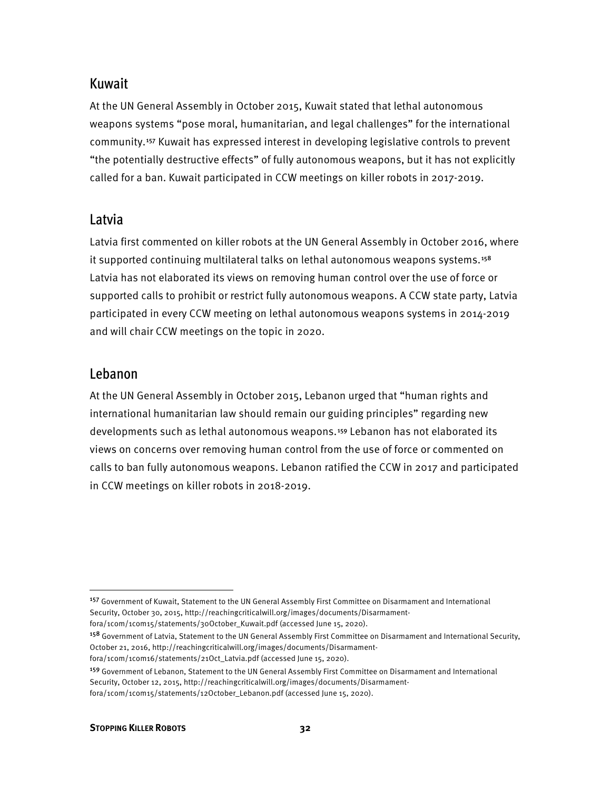# <span id="page-38-0"></span>Kuwait

At the UN General Assembly in October 2015, Kuwait stated that lethal autonomous weapons systems "pose moral, humanitarian, and legal challenges" for the international community.[157](#page-38-3) Kuwait has expressed interest in developing legislative controls to prevent "the potentially destructive effects" of fully autonomous weapons, but it has not explicitly called for a ban. Kuwait participated in CCW meetings on killer robots in 2017-2019.

# <span id="page-38-1"></span>Latvia

Latvia first commented on killer robots at the UN General Assembly in October 2016, where it supported continuing multilateral talks on lethal autonomous weapons systems.[158](#page-38-4) Latvia has not elaborated its views on removing human control over the use of force or supported calls to prohibit or restrict fully autonomous weapons. A CCW state party, Latvia participated in every CCW meeting on lethal autonomous weapons systems in 2014-2019 and will chair CCW meetings on the topic in 2020.

## <span id="page-38-2"></span>Lebanon

At the UN General Assembly in October 2015, Lebanon urged that "human rights and international humanitarian law should remain our guiding principles" regarding new developments such as lethal autonomous weapons.[159](#page-38-5) Lebanon has not elaborated its views on concerns over removing human control from the use of force or commented on calls to ban fully autonomous weapons. Lebanon ratified the CCW in 2017 and participated in CCW meetings on killer robots in 2018-2019.

<span id="page-38-4"></span><sup>158</sup> Government of Latvia, Statement to the UN General Assembly First Committee on Disarmament and International Security, October 21, 2016, http://reachingcriticalwill.org/images/documents/Disarmament-

<span id="page-38-3"></span><sup>157</sup> Government of Kuwait, Statement to the UN General Assembly First Committee on Disarmament and International Security, October 30, 2015, http://reachingcriticalwill.org/images/documents/Disarmament-

fora/1com/1com15/statements/30October\_Kuwait.pdf (accessed June 15, 2020).

fora/1com/1com16/statements/21Oct\_Latvia.pdf (accessed June 15, 2020).

<span id="page-38-5"></span><sup>159</sup> Government of Lebanon, Statement to the UN General Assembly First Committee on Disarmament and International Security, October 12, 2015, http://reachingcriticalwill.org/images/documents/Disarmament-

fora/1com/1com15/statements/12October\_Lebanon.pdf (accessed June 15, 2020).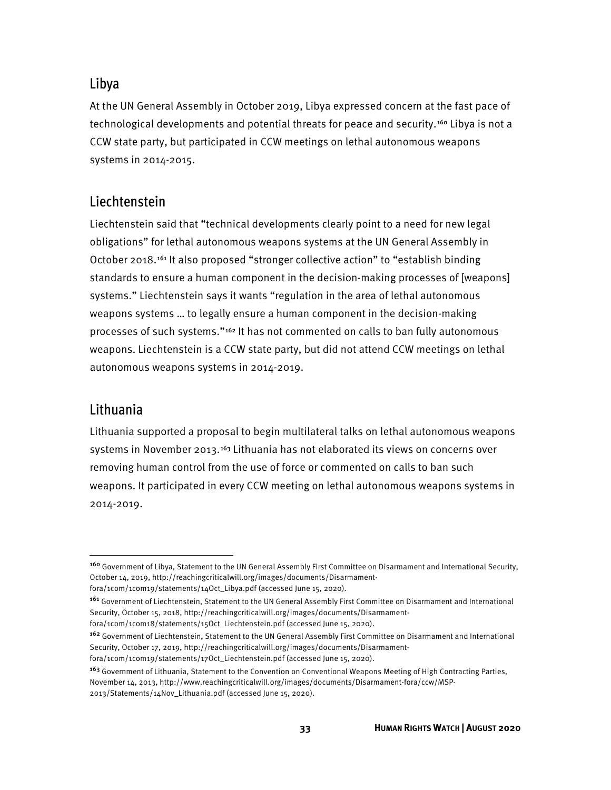# <span id="page-39-0"></span>Libya

At the UN General Assembly in October 2019, Libya expressed concern at the fast pace of technological developments and potential threats for peace and security.[160](#page-39-3) Libya is not a CCW state party, but participated in CCW meetings on lethal autonomous weapons systems in 2014-2015.

# <span id="page-39-1"></span>Liechtenstein

Liechtenstein said that "technical developments clearly point to a need for new legal obligations" for lethal autonomous weapons systems at the UN General Assembly in October 2018.[161](#page-39-4) It also proposed "stronger collective action" to "establish binding standards to ensure a human component in the decision-making processes of [weapons] systems." Liechtenstein says it wants "regulation in the area of lethal autonomous weapons systems … to legally ensure a human component in the decision-making processes of such systems."[162](#page-39-5) It has not commented on calls to ban fully autonomous weapons. Liechtenstein is a CCW state party, but did not attend CCW meetings on lethal autonomous weapons systems in 2014-2019.

# <span id="page-39-2"></span>Lithuania

Lithuania supported a proposal to begin multilateral talks on lethal autonomous weapons systems in November 2013.<sup>[163](#page-39-6)</sup> Lithuania has not elaborated its views on concerns over removing human control from the use of force or commented on calls to ban such weapons. It participated in every CCW meeting on lethal autonomous weapons systems in 2014-2019.

<span id="page-39-3"></span><sup>160</sup> Government of Libya, Statement to the UN General Assembly First Committee on Disarmament and International Security, October 14, 2019, http://reachingcriticalwill.org/images/documents/Disarmamentfora/1com/1com19/statements/14Oct\_Libya.pdf (accessed June 15, 2020).

<span id="page-39-4"></span><sup>161</sup> Government of Liechtenstein, Statement to the UN General Assembly First Committee on Disarmament and International Security, October 15, 2018, http://reachingcriticalwill.org/images/documents/Disarmament-

fora/1com/1com18/statements/15Oct\_Liechtenstein.pdf (accessed June 15, 2020).

<span id="page-39-5"></span><sup>&</sup>lt;sup>162</sup> Government of Liechtenstein, Statement to the UN General Assembly First Committee on Disarmament and International Security, October 17, 2019, http://reachingcriticalwill.org/images/documents/Disarmament-

fora/1com/1com19/statements/17Oct\_Liechtenstein.pdf (accessed June 15, 2020).

<span id="page-39-6"></span><sup>&</sup>lt;sup>163</sup> Government of Lithuania, Statement to the Convention on Conventional Weapons Meeting of High Contracting Parties, November 14, 2013, http://www.reachingcriticalwill.org/images/documents/Disarmament-fora/ccw/MSP-2013/Statements/14Nov\_Lithuania.pdf (accessed June 15, 2020).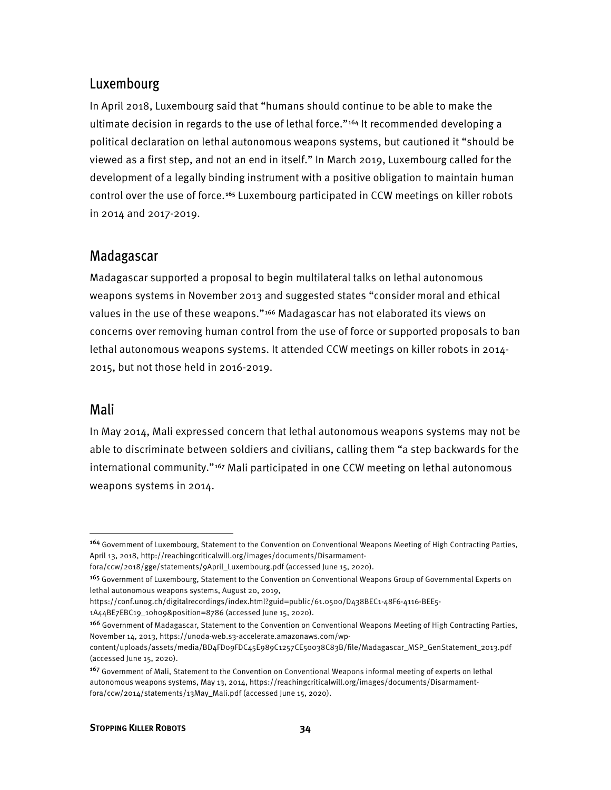# <span id="page-40-0"></span>Luxembourg

In April 2018, Luxembourg said that "humans should continue to be able to make the ultimate decision in regards to the use of lethal force."[164](#page-40-3) It recommended developing a political declaration on lethal autonomous weapons systems, but cautioned it "should be viewed as a first step, and not an end in itself." In March 2019, Luxembourg called for the development of a legally binding instrument with a positive obligation to maintain human control over the use of force.[165](#page-40-4) Luxembourg participated in CCW meetings on killer robots in 2014 and 2017-2019.

## <span id="page-40-1"></span>Madagascar

Madagascar supported a proposal to begin multilateral talks on lethal autonomous weapons systems in November 2013 and suggested states "consider moral and ethical values in the use of these weapons."[166](#page-40-5) Madagascar has not elaborated its views on concerns over removing human control from the use of force or supported proposals to ban lethal autonomous weapons systems. It attended CCW meetings on killer robots in 2014- 2015, but not those held in 2016-2019.

# <span id="page-40-2"></span>Mali

In May 2014, Mali expressed concern that lethal autonomous weapons systems may not be able to discriminate between soldiers and civilians, calling them "a step backwards for the international community."[167](#page-40-6) Mali participated in one CCW meeting on lethal autonomous weapons systems in 2014.

<span id="page-40-3"></span><sup>&</sup>lt;sup>164</sup> Government of Luxembourg, Statement to the Convention on Conventional Weapons Meeting of High Contracting Parties, April 13, 2018, http://reachingcriticalwill.org/images/documents/Disarmament-

fora/ccw/2018/gge/statements/9April\_Luxembourg.pdf (accessed June 15, 2020).

<span id="page-40-4"></span><sup>165</sup> Government of Luxembourg, Statement to the Convention on Conventional Weapons Group of Governmental Experts on lethal autonomous weapons systems, August 20, 2019,

https://conf.unog.ch/digitalrecordings/index.html?guid=public/61.0500/D438BEC1-48F6-4116-BEE5- 1A44BE7EBC19\_10h09&position=8786 (accessed June 15, 2020).

<span id="page-40-5"></span><sup>166</sup> Government of Madagascar, Statement to the Convention on Conventional Weapons Meeting of High Contracting Parties, November 14, 2013, https://unoda-web.s3-accelerate.amazonaws.com/wp-

content/uploads/assets/media/BD4FD09FDC45E989C1257CE50038C83B/file/Madagascar\_MSP\_GenStatement\_2013.pdf (accessed June 15, 2020).

<span id="page-40-6"></span><sup>167</sup> Government of Mali, Statement to the Convention on Conventional Weapons informal meeting of experts on lethal autonomous weapons systems, May 13, 2014, https://reachingcriticalwill.org/images/documents/Disarmamentfora/ccw/2014/statements/13May\_Mali.pdf (accessed June 15, 2020).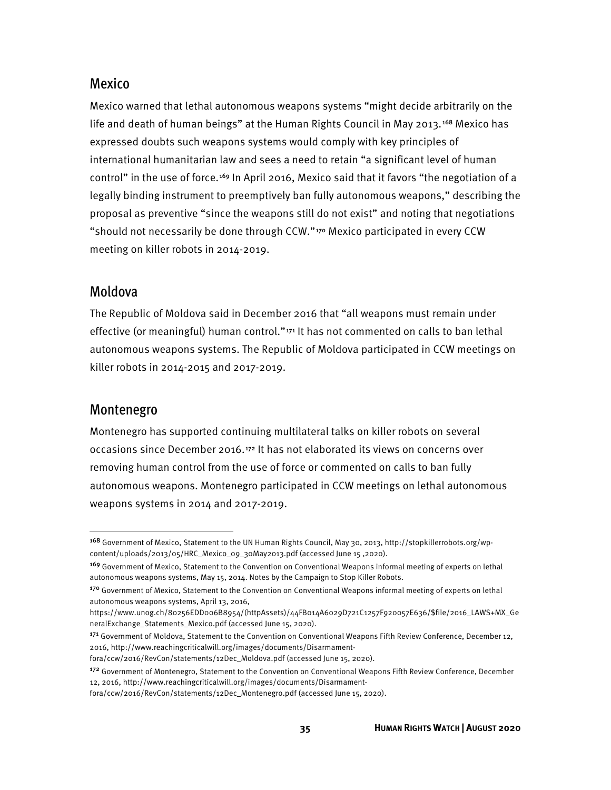# <span id="page-41-0"></span>Mexico

Mexico warned that lethal autonomous weapons systems "might decide arbitrarily on the life and death of human beings" at the Human Rights Council in May 2013.[168](#page-41-3) Mexico has expressed doubts such weapons systems would comply with key principles of international humanitarian law and sees a need to retain "a significant level of human control" in the use of force.[169](#page-41-4) In April 2016, Mexico said that it favors "the negotiation of a legally binding instrument to preemptively ban fully autonomous weapons," describing the proposal as preventive "since the weapons still do not exist" and noting that negotiations "should not necessarily be done through CCW."[170](#page-41-5) Mexico participated in every CCW meeting on killer robots in 2014-2019.

# <span id="page-41-1"></span>Moldova

The Republic of Moldova said in December 2016 that "all weapons must remain under effective (or meaningful) human control."[171](#page-41-6) It has not commented on calls to ban lethal autonomous weapons systems. The Republic of Moldova participated in CCW meetings on killer robots in 2014-2015 and 2017-2019.

# <span id="page-41-2"></span>Montenegro

Montenegro has supported continuing multilateral talks on killer robots on several occasions since December 2016.[172](#page-41-7) It has not elaborated its views on concerns over removing human control from the use of force or commented on calls to ban fully autonomous weapons. Montenegro participated in CCW meetings on lethal autonomous weapons systems in 2014 and 2017-2019.

<span id="page-41-3"></span><sup>168</sup> Government of Mexico, Statement to the UN Human Rights Council, May 30, 2013, http://stopkillerrobots.org/wpcontent/uploads/2013/05/HRC\_Mexico\_09\_30May2013.pdf (accessed June 15 ,2020).

<span id="page-41-4"></span><sup>169</sup> Government of Mexico, Statement to the Convention on Conventional Weapons informal meeting of experts on lethal autonomous weapons systems, May 15, 2014. Notes by the Campaign to Stop Killer Robots.

<span id="page-41-5"></span><sup>170</sup> Government of Mexico, Statement to the Convention on Conventional Weapons informal meeting of experts on lethal autonomous weapons systems, April 13, 2016,

https://www.unog.ch/80256EDD006B8954/(httpAssets)/44FB014A6029D721C1257F920057E636/\$file/2016\_LAWS+MX\_Ge neralExchange\_Statements\_Mexico.pdf (accessed June 15, 2020).

<span id="page-41-6"></span><sup>171</sup> Government of Moldova, Statement to the Convention on Conventional Weapons Fifth Review Conference, December 12, 2016, http://www.reachingcriticalwill.org/images/documents/Disarmament-

fora/ccw/2016/RevCon/statements/12Dec\_Moldova.pdf (accessed June 15, 2020).

<span id="page-41-7"></span><sup>172</sup> Government of Montenegro, Statement to the Convention on Conventional Weapons Fifth Review Conference, December 12, 2016, http://www.reachingcriticalwill.org/images/documents/Disarmament-

fora/ccw/2016/RevCon/statements/12Dec\_Montenegro.pdf (accessed June 15, 2020).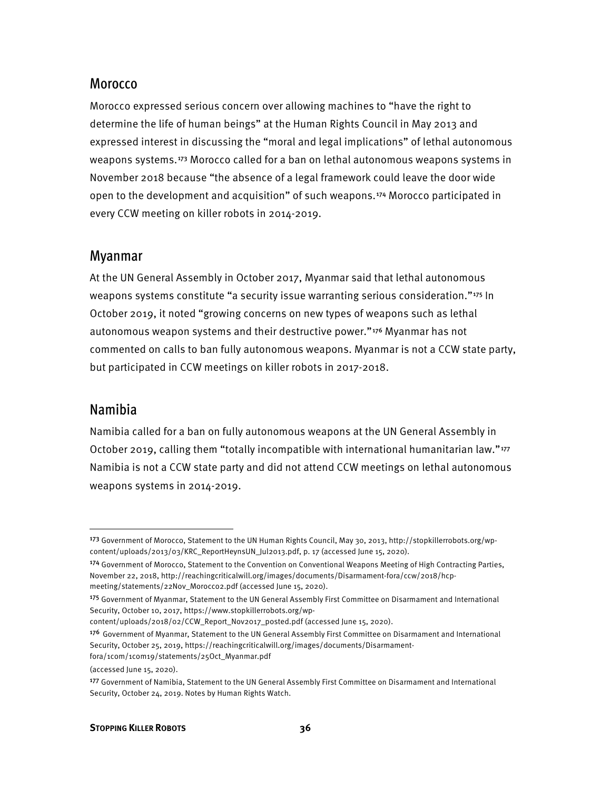## <span id="page-42-0"></span>Morocco

Morocco expressed serious concern over allowing machines to "have the right to determine the life of human beings" at the Human Rights Council in May 2013 and expressed interest in discussing the "moral and legal implications" of lethal autonomous weapons systems.[173](#page-42-3) Morocco called for a ban on lethal autonomous weapons systems in November 2018 because "the absence of a legal framework could leave the door wide open to the development and acquisition" of such weapons.[174](#page-42-4) Morocco participated in every CCW meeting on killer robots in 2014-2019.

#### <span id="page-42-1"></span>Myanmar

At the UN General Assembly in October 2017, Myanmar said that lethal autonomous weapons systems constitute "a security issue warranting serious consideration."<sup>[175](#page-42-5)</sup> In October 2019, it noted "growing concerns on new types of weapons such as lethal autonomous weapon systems and their destructive power."[176](#page-42-6) Myanmar has not commented on calls to ban fully autonomous weapons. Myanmar is not a CCW state party, but participated in CCW meetings on killer robots in 2017-2018.

# <span id="page-42-2"></span>Namibia

Namibia called for a ban on fully autonomous weapons at the UN General Assembly in October 2019, calling them "totally incompatible with international humanitarian law."[177](#page-42-7) Namibia is not a CCW state party and did not attend CCW meetings on lethal autonomous weapons systems in 2014-2019.

<span id="page-42-3"></span><sup>173</sup> Government of Morocco, Statement to the UN Human Rights Council, May 30, 2013, http://stopkillerrobots.org/wpcontent/uploads/2013/03/KRC\_ReportHeynsUN\_Jul2013.pdf, p. 17 (accessed June 15, 2020).

<span id="page-42-4"></span><sup>174</sup> Government of Morocco, Statement to the Convention on Conventional Weapons Meeting of High Contracting Parties, November 22, 2018, http://reachingcriticalwill.org/images/documents/Disarmament-fora/ccw/2018/hcpmeeting/statements/22Nov\_Morocco2.pdf (accessed June 15, 2020).

<span id="page-42-5"></span><sup>175</sup> Government of Myanmar, Statement to the UN General Assembly First Committee on Disarmament and International Security, October 10, 2017, https://www.stopkillerrobots.org/wp-

content/uploads/2018/02/CCW\_Report\_Nov2017\_posted.pdf (accessed June 15, 2020).

<span id="page-42-6"></span><sup>&</sup>lt;sup>176</sup> Government of Myanmar, Statement to the UN General Assembly First Committee on Disarmament and International Security, October 25, 2019, https://reachingcriticalwill.org/images/documents/Disarmamentfora/1com/1com19/statements/25Oct\_Myanmar.pdf

<sup>(</sup>accessed June 15, 2020).

<span id="page-42-7"></span><sup>177</sup> Government of Namibia, Statement to the UN General Assembly First Committee on Disarmament and International Security, October 24, 2019. Notes by Human Rights Watch.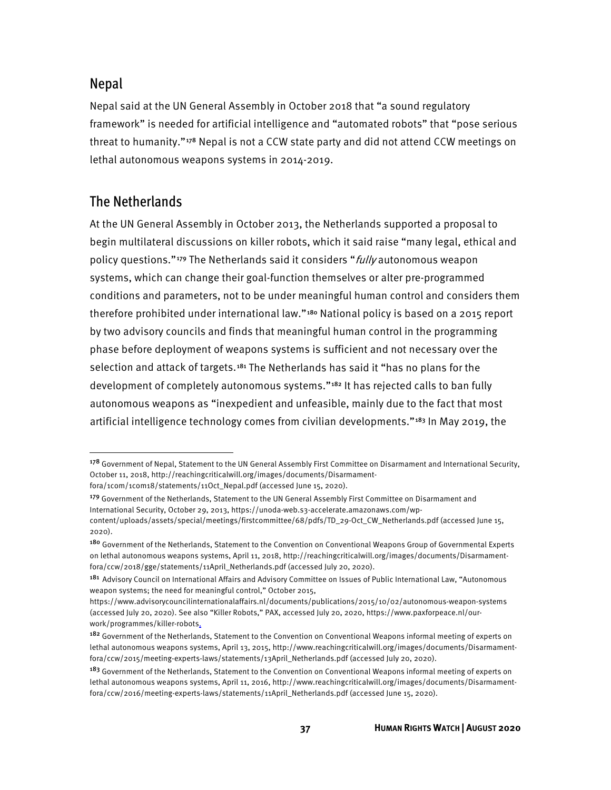# <span id="page-43-0"></span>Nepal

Nepal said at the UN General Assembly in October 2018 that "a sound regulatory framework" is needed for artificial intelligence and "automated robots" that "pose serious threat to humanity."[178](#page-43-2) Nepal is not a CCW state party and did not attend CCW meetings on lethal autonomous weapons systems in 2014-2019.

# <span id="page-43-1"></span>The Netherlands

At the UN General Assembly in October 2013, the Netherlands supported a proposal to begin multilateral discussions on killer robots, which it said raise "many legal, ethical and policy questions."<sup>[179](#page-43-3)</sup> The Netherlands said it considers "*fully* autonomous weapon systems, which can change their goal-function themselves or alter pre-programmed conditions and parameters, not to be under meaningful human control and considers them therefore prohibited under international law."[180](#page-43-4) National policy is based on a 2015 report by two advisory councils and finds that meaningful human control in the programming phase before deployment of weapons systems is sufficient and not necessary over the selection and attack of targets.<sup>[181](#page-43-5)</sup> The Netherlands has said it "has no plans for the development of completely autonomous systems."[182](#page-43-6) It has rejected calls to ban fully autonomous weapons as "inexpedient and unfeasible, mainly due to the fact that most artificial intelligence technology comes from civilian developments."[183](#page-43-7) In May 2019, the

fora/1com/1com18/statements/11Oct\_Nepal.pdf (accessed June 15, 2020).

<span id="page-43-2"></span><sup>178</sup> Government of Nepal, Statement to the UN General Assembly First Committee on Disarmament and International Security, October 11, 2018, http://reachingcriticalwill.org/images/documents/Disarmament-

<span id="page-43-3"></span><sup>&</sup>lt;sup>179</sup> Government of the Netherlands, Statement to the UN General Assembly First Committee on Disarmament and International Security, October 29, 2013, https://unoda-web.s3-accelerate.amazonaws.com/wpcontent/uploads/assets/special/meetings/firstcommittee/68/pdfs/TD\_29-Oct\_CW\_Netherlands.pdf (accessed June 15,

<sup>2020).</sup>

<span id="page-43-4"></span><sup>180</sup> Government of the Netherlands, Statement to the Convention on Conventional Weapons Group of Governmental Experts on lethal autonomous weapons systems, April 11, 2018, http://reachingcriticalwill.org/images/documents/Disarmamentfora/ccw/2018/gge/statements/11April\_Netherlands.pdf (accessed July 20, 2020).

<span id="page-43-5"></span><sup>181</sup> Advisory Council on International Affairs and Advisory Committee on Issues of Public International Law, "Autonomous weapon systems; the need for meaningful control," October 2015,

https://www.advisorycouncilinternationalaffairs.nl/documents/publications/2015/10/02/autonomous-weapon-systems (accessed July 20, 2020). See also "Killer Robots," PAX, accessed July 20, 2020, https://www.paxforpeace.nl/ourwork/programmes/killer-robots.

<span id="page-43-6"></span><sup>182</sup> Government of the Netherlands, Statement to the Convention on Conventional Weapons informal meeting of experts on lethal autonomous weapons systems, April 13, 2015, http://www.reachingcriticalwill.org/images/documents/Disarmamentfora/ccw/2015/meeting-experts-laws/statements/13April\_Netherlands.pdf (accessed July 20, 2020).

<span id="page-43-7"></span><sup>&</sup>lt;sup>183</sup> Government of the Netherlands, Statement to the Convention on Conventional Weapons informal meeting of experts on lethal autonomous weapons systems, April 11, 2016, http://www.reachingcriticalwill.org/images/documents/Disarmamentfora/ccw/2016/meeting-experts-laws/statements/11April\_Netherlands.pdf (accessed June 15, 2020).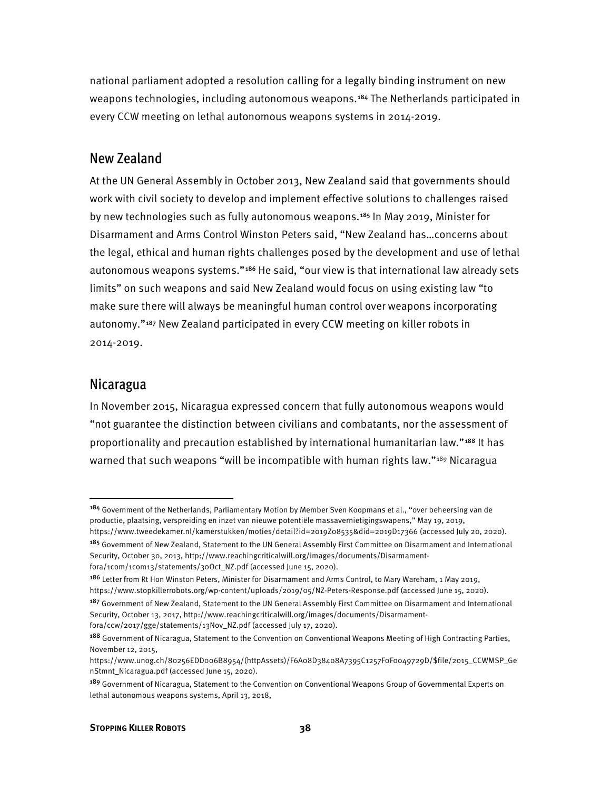national parliament adopted a resolution calling for a legally binding instrument on new weapons technologies, including autonomous weapons.<sup>[184](#page-44-2)</sup> The Netherlands participated in every CCW meeting on lethal autonomous weapons systems in 2014-2019.

#### <span id="page-44-0"></span>New Zealand

At the UN General Assembly in October 2013, New Zealand said that governments should work with civil society to develop and implement effective solutions to challenges raised by new technologies such as fully autonomous weapons.<sup>[185](#page-44-3)</sup> In May 2019, Minister for Disarmament and Arms Control Winston Peters said, "New Zealand has…concerns about the legal, ethical and human rights challenges posed by the development and use of lethal autonomous weapons systems."[186](#page-44-4) He said, "our view is that international law already sets limits" on such weapons and said New Zealand would focus on using existing law "to make sure there will always be meaningful human control over weapons incorporating autonomy."[187](#page-44-5) New Zealand participated in every CCW meeting on killer robots in 2014-2019.

#### <span id="page-44-1"></span>Nicaragua

In November 2015, Nicaragua expressed concern that fully autonomous weapons would "not guarantee the distinction between civilians and combatants, nor the assessment of proportionality and precaution established by international humanitarian law."[188](#page-44-6) It has warned that such weapons "will be incompatible with human rights law."[189](#page-44-7) Nicaragua

<span id="page-44-2"></span><sup>&</sup>lt;sup>184</sup> Government of the Netherlands, Parliamentary Motion by Member Sven Koopmans et al., "over beheersing van de productie, plaatsing, verspreiding en inzet van nieuwe potentiële massavernietigingswapens," May 19, 2019, https://www.tweedekamer.nl/kamerstukken/moties/detail?id=2019Z08535&did=2019D17366 (accessed July 20, 2020).

<span id="page-44-3"></span><sup>185</sup> Government of New Zealand, Statement to the UN General Assembly First Committee on Disarmament and International Security, October 30, 2013, http://www.reachingcriticalwill.org/images/documents/Disarmamentfora/1com/1com13/statements/30Oct\_NZ.pdf (accessed June 15, 2020).

<span id="page-44-4"></span><sup>186</sup> Letter from Rt Hon Winston Peters, Minister for Disarmament and Arms Control, to Mary Wareham, 1 May 2019, https://www.stopkillerrobots.org/wp-content/uploads/2019/05/NZ-Peters-Response.pdf (accessed June 15, 2020).

<span id="page-44-5"></span><sup>&</sup>lt;sup>187</sup> Government of New Zealand, Statement to the UN General Assembly First Committee on Disarmament and International Security, October 13, 2017, http://www.reachingcriticalwill.org/images/documents/Disarmament-

fora/ccw/2017/gge/statements/13Nov\_NZ.pdf (accessed July 17, 2020).

<span id="page-44-6"></span><sup>188</sup> Government of Nicaragua, Statement to the Convention on Conventional Weapons Meeting of High Contracting Parties, November 12, 2015,

https://www.unog.ch/80256EDD006B8954/(httpAssets)/F6A08D38408A7395C1257F0F0049729D/\$file/2015\_CCWMSP\_Ge nStmnt\_Nicaragua.pdf (accessed June 15, 2020).

<span id="page-44-7"></span><sup>189</sup> Government of Nicaragua, Statement to the Convention on Conventional Weapons Group of Governmental Experts on lethal autonomous weapons systems, April 13, 2018,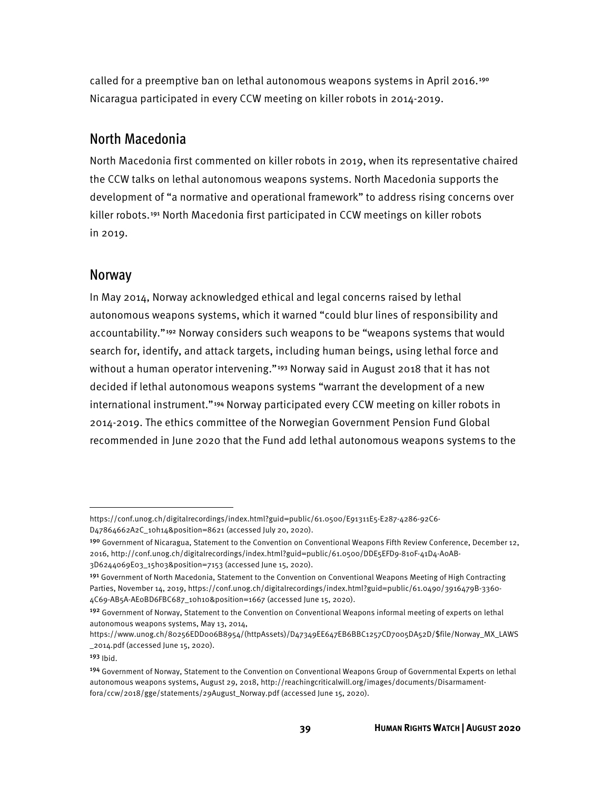called for a preemptive ban on lethal autonomous weapons systems in April 2016.[190](#page-45-2) Nicaragua participated in every CCW meeting on killer robots in 2014-2019.

#### <span id="page-45-0"></span>North Macedonia

North Macedonia first commented on killer robots in 2019, when its representative chaired the CCW talks on lethal autonomous weapons systems. North Macedonia supports the development of "a normative and operational framework" to address rising concerns over killer robots.[191](#page-45-3) North Macedonia first participated in CCW meetings on killer robots in 2019.

#### <span id="page-45-1"></span>Norway

In May 2014, Norway acknowledged ethical and legal concerns raised by lethal autonomous weapons systems, which it warned "could blur lines of responsibility and accountability."[192](#page-45-4) Norway considers such weapons to be "weapons systems that would search for, identify, and attack targets, including human beings, using lethal force and without a human operator intervening."<sup>[193](#page-45-5)</sup> Norway said in August 2018 that it has not decided if lethal autonomous weapons systems "warrant the development of a new international instrument."[194](#page-45-6) Norway participated every CCW meeting on killer robots in 2014-2019. The ethics committee of the Norwegian Government Pension Fund Global recommended in June 2020 that the Fund add lethal autonomous weapons systems to the

https://conf.unog.ch/digitalrecordings/index.html?guid=public/61.0500/E91311E5-E287-4286-92C6- D47864662A2C\_10h14&position=8621 (accessed July 20, 2020).

<span id="page-45-2"></span><sup>190</sup> Government of Nicaragua, Statement to the Convention on Conventional Weapons Fifth Review Conference, December 12, 2016, http://conf.unog.ch/digitalrecordings/index.html?guid=public/61.0500/DDE5EFD9-810F-41D4-A0AB-3D6244069E03\_15h03&position=7153 (accessed June 15, 2020).

<span id="page-45-3"></span><sup>&</sup>lt;sup>191</sup> Government of North Macedonia, Statement to the Convention on Conventional Weapons Meeting of High Contracting Parties, November 14, 2019, https://conf.unog.ch/digitalrecordings/index.html?guid=public/61.0490/3916479B-3360- 4C69-AB5A-AE0BD6FBC687\_10h10&position=1667 (accessed June 15, 2020).

<span id="page-45-4"></span><sup>&</sup>lt;sup>192</sup> Government of Norway, Statement to the Convention on Conventional Weapons informal meeting of experts on lethal autonomous weapons systems, May 13, 2014,

https://www.unog.ch/80256EDD006B8954/(httpAssets)/D47349EE647EB6BBC1257CD7005DA52D/\$file/Norway\_MX\_LAWS \_2014.pdf (accessed June 15, 2020).

<span id="page-45-5"></span><sup>193</sup> Ibid.

<span id="page-45-6"></span><sup>194</sup> Government of Norway, Statement to the Convention on Conventional Weapons Group of Governmental Experts on lethal autonomous weapons systems, August 29, 2018, http://reachingcriticalwill.org/images/documents/Disarmamentfora/ccw/2018/gge/statements/29August\_Norway.pdf (accessed June 15, 2020).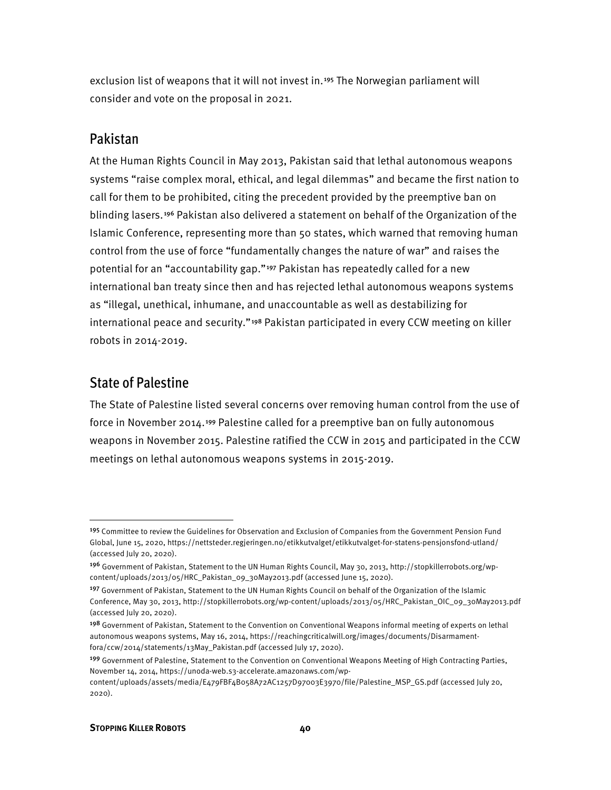exclusion list of weapons that it will not invest in.[195](#page-46-2) The Norwegian parliament will consider and vote on the proposal in 2021.

#### <span id="page-46-0"></span>Pakistan

At the Human Rights Council in May 2013, Pakistan said that lethal autonomous weapons systems "raise complex moral, ethical, and legal dilemmas" and became the first nation to call for them to be prohibited, citing the precedent provided by the preemptive ban on blinding lasers.[196](#page-46-3) Pakistan also delivered a statement on behalf of the Organization of the Islamic Conference, representing more than 50 states, which warned that removing human control from the use of force "fundamentally changes the nature of war" and raises the potential for an "accountability gap."<sup>[197](#page-46-4)</sup> Pakistan has repeatedly called for a new international ban treaty since then and has rejected lethal autonomous weapons systems as "illegal, unethical, inhumane, and unaccountable as well as destabilizing for international peace and security."[198](#page-46-5) Pakistan participated in every CCW meeting on killer robots in 2014-2019.

# <span id="page-46-1"></span>State of Palestine

The State of Palestine listed several concerns over removing human control from the use of force in November 2014.<sup>[199](#page-46-6)</sup> Palestine called for a preemptive ban on fully autonomous weapons in November 2015. Palestine ratified the CCW in 2015 and participated in the CCW meetings on lethal autonomous weapons systems in 2015-2019.

<span id="page-46-2"></span><sup>195</sup> Committee to review the Guidelines for Observation and Exclusion of Companies from the Government Pension Fund Global, June 15, 2020, https://nettsteder.regjeringen.no/etikkutvalget/etikkutvalget-for-statens-pensjonsfond-utland/ (accessed July 20, 2020).

<span id="page-46-3"></span><sup>196</sup> Government of Pakistan, Statement to the UN Human Rights Council, May 30, 2013, http://stopkillerrobots.org/wpcontent/uploads/2013/05/HRC\_Pakistan\_09\_30May2013.pdf (accessed June 15, 2020).

<span id="page-46-4"></span><sup>197</sup> Government of Pakistan, Statement to the UN Human Rights Council on behalf of the Organization of the Islamic Conference, May 30, 2013, http://stopkillerrobots.org/wp-content/uploads/2013/05/HRC\_Pakistan\_OIC\_09\_30May2013.pdf (accessed July 20, 2020).

<span id="page-46-5"></span><sup>198</sup> Government of Pakistan, Statement to the Convention on Conventional Weapons informal meeting of experts on lethal autonomous weapons systems, May 16, 2014, https://reachingcriticalwill.org/images/documents/Disarmamentfora/ccw/2014/statements/13May\_Pakistan.pdf (accessed July 17, 2020).

<span id="page-46-6"></span><sup>&</sup>lt;sup>199</sup> Government of Palestine, Statement to the Convention on Conventional Weapons Meeting of High Contracting Parties, November 14, 2014, https://unoda-web.s3-accelerate.amazonaws.com/wp-

content/uploads/assets/media/E479FBF4B058A72AC1257D97003E3970/file/Palestine\_MSP\_GS.pdf (accessed July 20, 2020).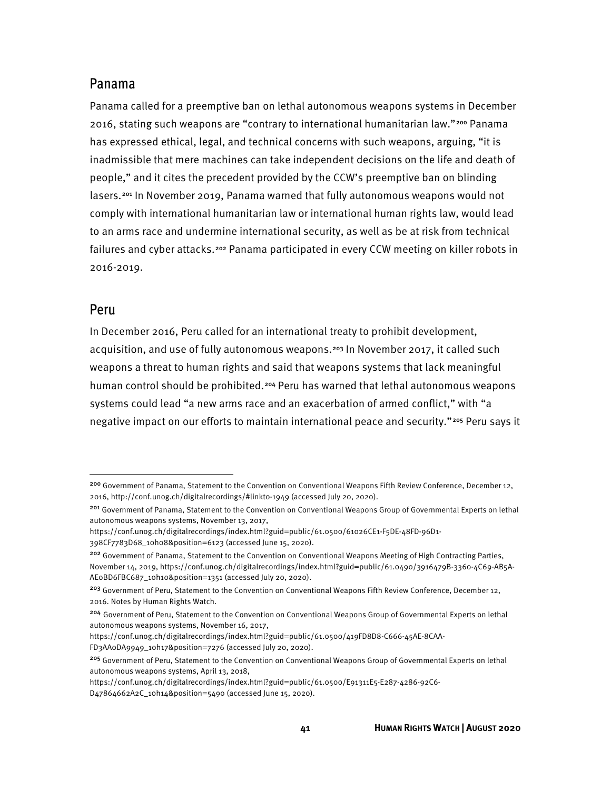#### <span id="page-47-0"></span>Panama

Panama called for a preemptive ban on lethal autonomous weapons systems in December 2016, stating such weapons are "contrary to international humanitarian law."[200](#page-47-2) Panama has expressed ethical, legal, and technical concerns with such weapons, arguing, "it is inadmissible that mere machines can take independent decisions on the life and death of people," and it cites the precedent provided by the CCW's preemptive ban on blinding lasers.<sup>[201](#page-47-3)</sup> In November 2019, Panama warned that fully autonomous weapons would not comply with international humanitarian law or international human rights law, would lead to an arms race and undermine international security, as well as be at risk from technical failures and cyber attacks.<sup>[202](#page-47-4)</sup> Panama participated in every CCW meeting on killer robots in 2016-2019.

#### <span id="page-47-1"></span>Peru

In December 2016, Peru called for an international treaty to prohibit development, acquisition, and use of fully autonomous weapons.[203](#page-47-5) In November 2017, it called such weapons a threat to human rights and said that weapons systems that lack meaningful human control should be prohibited.[204](#page-47-6) Peru has warned that lethal autonomous weapons systems could lead "a new arms race and an exacerbation of armed conflict," with "a negative impact on our efforts to maintain international peace and security."<sup>[205](#page-47-7)</sup> Peru says it

https://conf.unog.ch/digitalrecordings/index.html?guid=public/61.0500/419FD8D8-C666-45AE-8CAA-

FD3AA0DA9949\_10h17&position=7276 (accessed July 20, 2020).

https://conf.unog.ch/digitalrecordings/index.html?guid=public/61.0500/E91311E5-E287-4286-92C6-

<span id="page-47-2"></span><sup>200</sup> Government of Panama, Statement to the Convention on Conventional Weapons Fifth Review Conference, December 12, 2016, http://conf.unog.ch/digitalrecordings/#linkto-1949 (accessed July 20, 2020).

<span id="page-47-3"></span><sup>201</sup> Government of Panama, Statement to the Convention on Conventional Weapons Group of Governmental Experts on lethal autonomous weapons systems, November 13, 2017,

https://conf.unog.ch/digitalrecordings/index.html?guid=public/61.0500/61026CE1-F5DE-48FD-96D1-

<sup>398</sup>CF7783D68\_10h08&position=6123 (accessed June 15, 2020).

<span id="page-47-4"></span><sup>&</sup>lt;sup>202</sup> Government of Panama, Statement to the Convention on Conventional Weapons Meeting of High Contracting Parties, November 14, 2019, https://conf.unog.ch/digitalrecordings/index.html?guid=public/61.0490/3916479B-3360-4C69-AB5A-AE0BD6FBC687\_10h10&position=1351 (accessed July 20, 2020).

<span id="page-47-5"></span><sup>&</sup>lt;sup>203</sup> Government of Peru, Statement to the Convention on Conventional Weapons Fifth Review Conference, December 12, 2016. Notes by Human Rights Watch.

<span id="page-47-6"></span><sup>204</sup> Government of Peru, Statement to the Convention on Conventional Weapons Group of Governmental Experts on lethal autonomous weapons systems, November 16, 2017,

<span id="page-47-7"></span><sup>205</sup> Government of Peru, Statement to the Convention on Conventional Weapons Group of Governmental Experts on lethal autonomous weapons systems, April 13, 2018,

D47864662A2C\_10h14&position=5490 (accessed June 15, 2020).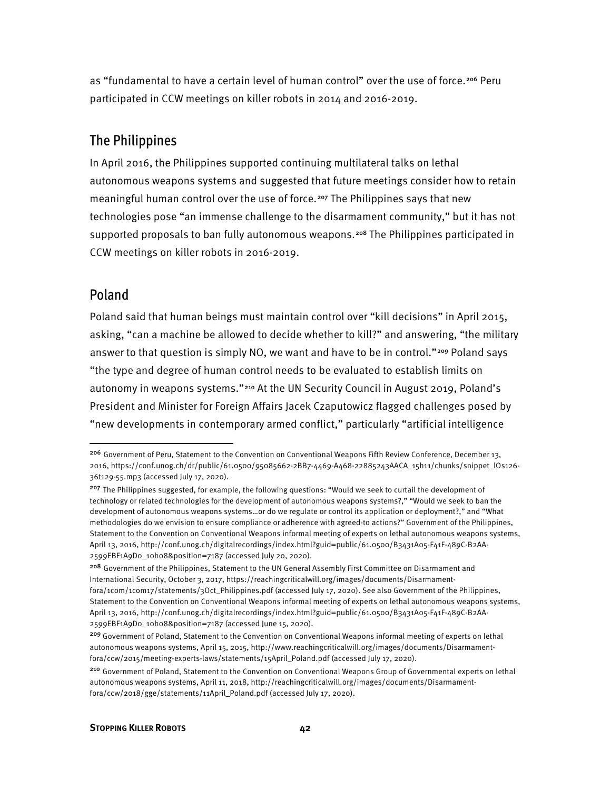as "fundamental to have a certain level of human control" over the use of force.<sup>[206](#page-48-2)</sup> Peru participated in CCW meetings on killer robots in 2014 and 2016-2019.

# <span id="page-48-0"></span>The Philippines

In April 2016, the Philippines supported continuing multilateral talks on lethal autonomous weapons systems and suggested that future meetings consider how to retain meaningful human control over the use of force.[207](#page-48-3) The Philippines says that new technologies pose "an immense challenge to the disarmament community," but it has not supported proposals to ban fully autonomous weapons.<sup>[208](#page-48-4)</sup> The Philippines participated in CCW meetings on killer robots in 2016-2019.

#### <span id="page-48-1"></span>Poland

Poland said that human beings must maintain control over "kill decisions" in April 2015, asking, "can a machine be allowed to decide whether to kill?" and answering, "the military answer to that question is simply NO, we want and have to be in control."[209](#page-48-5) Poland says "the type and degree of human control needs to be evaluated to establish limits on autonomy in weapons systems."<sup>[210](#page-48-6)</sup> At the UN Security Council in August 2019, Poland's President and Minister for Foreign Affairs Jacek Czaputowicz flagged challenges posed by "new developments in contemporary armed conflict," particularly "artificial intelligence

<span id="page-48-2"></span><sup>206</sup> Government of Peru, Statement to the Convention on Conventional Weapons Fifth Review Conference, December 13, 2016, https://conf.unog.ch/dr/public/61.0500/95085662-2BB7-4469-A468-22885243AACA\_15h11/chunks/snippet\_lOs126- 36t129-55.mp3 (accessed July 17, 2020).

<span id="page-48-3"></span><sup>&</sup>lt;sup>207</sup> The Philippines suggested, for example, the following questions: "Would we seek to curtail the development of technology or related technologies for the development of autonomous weapons systems?," "Would we seek to ban the development of autonomous weapons systems…or do we regulate or control its application or deployment?," and "What methodologies do we envision to ensure compliance or adherence with agreed-to actions?" Government of the Philippines, Statement to the Convention on Conventional Weapons informal meeting of experts on lethal autonomous weapons systems, April 13, 2016, http://conf.unog.ch/digitalrecordings/index.html?guid=public/61.0500/B3431A05-F41F-489C-B2AA-2599EBF1A9D0\_10h08&position=7187 (accessed July 20, 2020).

<span id="page-48-4"></span><sup>208</sup> Government of the Philippines, Statement to the UN General Assembly First Committee on Disarmament and International Security, October 3, 2017, https://reachingcriticalwill.org/images/documents/Disarmamentfora/1com/1com17/statements/3Oct\_Philippines.pdf (accessed July 17, 2020). See also Government of the Philippines, Statement to the Convention on Conventional Weapons informal meeting of experts on lethal autonomous weapons systems, April 13, 2016, http://conf.unog.ch/digitalrecordings/index.html?guid=public/61.0500/B3431A05-F41F-489C-B2AA-2599EBF1A9D0\_10h08&position=7187 (accessed June 15, 2020).

<span id="page-48-5"></span><sup>209</sup> Government of Poland, Statement to the Convention on Conventional Weapons informal meeting of experts on lethal autonomous weapons systems, April 15, 2015, http://www.reachingcriticalwill.org/images/documents/Disarmamentfora/ccw/2015/meeting-experts-laws/statements/15April\_Poland.pdf (accessed July 17, 2020).

<span id="page-48-6"></span><sup>210</sup> Government of Poland, Statement to the Convention on Conventional Weapons Group of Governmental experts on lethal autonomous weapons systems, April 11, 2018, http://reachingcriticalwill.org/images/documents/Disarmamentfora/ccw/2018/gge/statements/11April\_Poland.pdf (accessed July 17, 2020).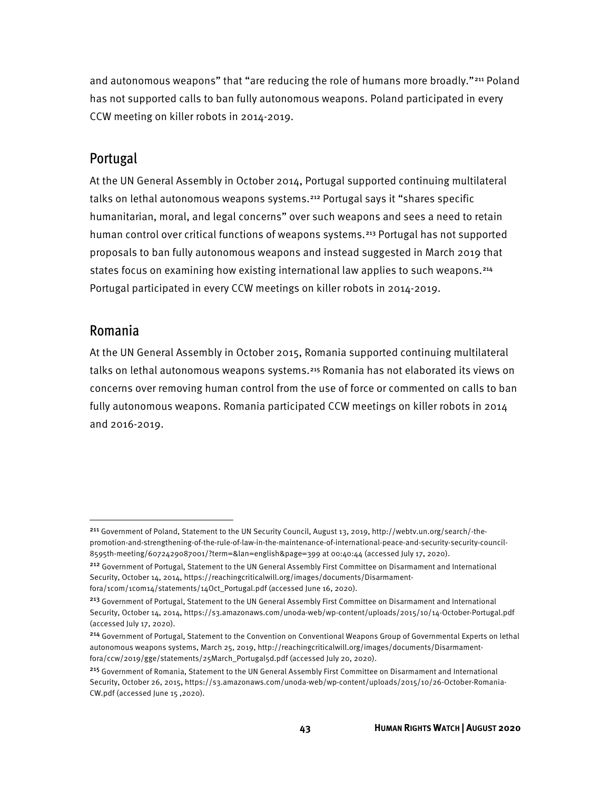and autonomous weapons" that "are reducing the role of humans more broadly."<sup>[211](#page-49-2)</sup> Poland has not supported calls to ban fully autonomous weapons. Poland participated in every CCW meeting on killer robots in 2014-2019.

#### <span id="page-49-0"></span>Portugal

At the UN General Assembly in October 2014, Portugal supported continuing multilateral talks on lethal autonomous weapons systems.[212](#page-49-3) Portugal says it "shares specific humanitarian, moral, and legal concerns" over such weapons and sees a need to retain human control over critical functions of weapons systems.<sup>[213](#page-49-4)</sup> Portugal has not supported proposals to ban fully autonomous weapons and instead suggested in March 2019 that states focus on examining how existing international law applies to such weapons.[214](#page-49-5) Portugal participated in every CCW meetings on killer robots in 2014-2019.

# <span id="page-49-1"></span>Romania

At the UN General Assembly in October 2015, Romania supported continuing multilateral talks on lethal autonomous weapons systems.[215](#page-49-6) Romania has not elaborated its views on concerns over removing human control from the use of force or commented on calls to ban fully autonomous weapons. Romania participated CCW meetings on killer robots in 2014 and 2016-2019.

<span id="page-49-2"></span><sup>211</sup> Government of Poland, Statement to the UN Security Council, August 13, 2019, http://webtv.un.org/search/-thepromotion-and-strengthening-of-the-rule-of-law-in-the-maintenance-of-international-peace-and-security-security-council-8595th-meeting/6072429087001/?term=&lan=english&page=399 at 00:40:44 (accessed July 17, 2020).

<span id="page-49-3"></span><sup>212</sup> Government of Portugal, Statement to the UN General Assembly First Committee on Disarmament and International Security, October 14, 2014, https://reachingcriticalwill.org/images/documents/Disarmamentfora/1com/1com14/statements/14Oct\_Portugal.pdf (accessed June 16, 2020).

<span id="page-49-4"></span><sup>&</sup>lt;sup>213</sup> Government of Portugal, Statement to the UN General Assembly First Committee on Disarmament and International Security, October 14, 2014, https://s3.amazonaws.com/unoda-web/wp-content/uploads/2015/10/14-October-Portugal.pdf (accessed July 17, 2020).

<span id="page-49-5"></span><sup>214</sup> Government of Portugal, Statement to the Convention on Conventional Weapons Group of Governmental Experts on lethal autonomous weapons systems, March 25, 2019, http://reachingcriticalwill.org/images/documents/Disarmamentfora/ccw/2019/gge/statements/25March\_Portugal5d.pdf (accessed July 20, 2020).

<span id="page-49-6"></span><sup>&</sup>lt;sup>215</sup> Government of Romania, Statement to the UN General Assembly First Committee on Disarmament and International Security, October 26, 2015, https://s3.amazonaws.com/unoda-web/wp-content/uploads/2015/10/26-October-Romania-CW.pdf (accessed June 15 ,2020).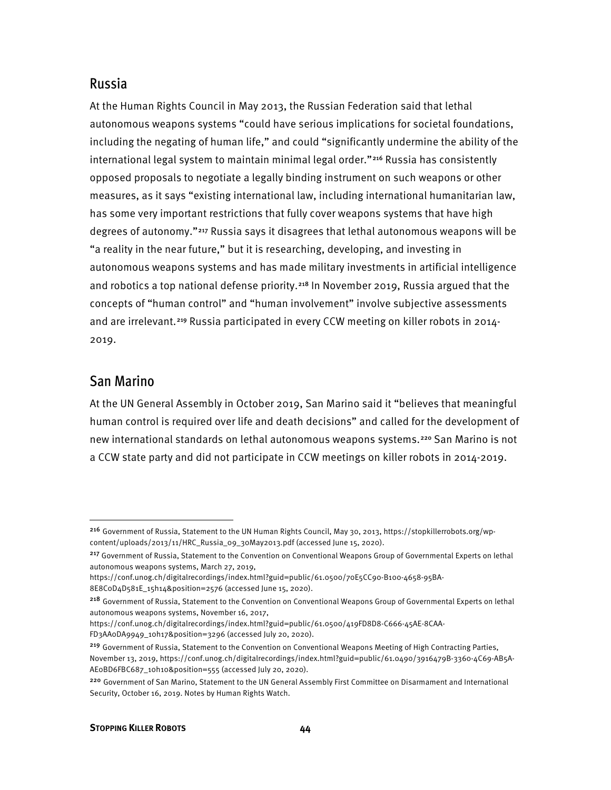# <span id="page-50-0"></span>Russia

At the Human Rights Council in May 2013, the Russian Federation said that lethal autonomous weapons systems "could have serious implications for societal foundations, including the negating of human life," and could "significantly undermine the ability of the international legal system to maintain minimal legal order."<sup>[216](#page-50-2)</sup> Russia has consistently opposed proposals to negotiate a legally binding instrument on such weapons or other measures, as it says "existing international law, including international humanitarian law, has some very important restrictions that fully cover weapons systems that have high degrees of autonomy."[217](#page-50-3) Russia says it disagrees that lethal autonomous weapons will be "a reality in the near future," but it is researching, developing, and investing in autonomous weapons systems and has made military investments in artificial intelligence and robotics a top national defense priority.<sup>[218](#page-50-4)</sup> In November 2019, Russia argued that the concepts of "human control" and "human involvement" involve subjective assessments and are irrelevant.<sup>[219](#page-50-5)</sup> Russia participated in every CCW meeting on killer robots in 2014-2019.

# <span id="page-50-1"></span>San Marino

At the UN General Assembly in October 2019, San Marino said it "believes that meaningful human control is required over life and death decisions" and called for the development of new international standards on lethal autonomous weapons systems.<sup>[220](#page-50-6)</sup> San Marino is not a CCW state party and did not participate in CCW meetings on killer robots in 2014-2019.

<span id="page-50-2"></span><sup>216</sup> Government of Russia, Statement to the UN Human Rights Council, May 30, 2013, https://stopkillerrobots.org/wpcontent/uploads/2013/11/HRC\_Russia\_09\_30May2013.pdf (accessed June 15, 2020).

<span id="page-50-3"></span><sup>&</sup>lt;sup>217</sup> Government of Russia, Statement to the Convention on Conventional Weapons Group of Governmental Experts on lethal autonomous weapons systems, March 27, 2019,

https://conf.unog.ch/digitalrecordings/index.html?guid=public/61.0500/70E5CC90-B100-4658-95BA-8E8C0D4D581E\_15h14&position=2576 (accessed June 15, 2020).

<span id="page-50-4"></span><sup>218</sup> Government of Russia, Statement to the Convention on Conventional Weapons Group of Governmental Experts on lethal autonomous weapons systems, November 16, 2017,

https://conf.unog.ch/digitalrecordings/index.html?guid=public/61.0500/419FD8D8-C666-45AE-8CAA-FD3AA0DA9949\_10h17&position=3296 (accessed July 20, 2020).

<span id="page-50-5"></span><sup>&</sup>lt;sup>219</sup> Government of Russia, Statement to the Convention on Conventional Weapons Meeting of High Contracting Parties, November 13, 2019, https://conf.unog.ch/digitalrecordings/index.html?guid=public/61.0490/3916479B-3360-4C69-AB5A-AE0BD6FBC687\_10h10&position=555 (accessed July 20, 2020).

<span id="page-50-6"></span><sup>220</sup> Government of San Marino, Statement to the UN General Assembly First Committee on Disarmament and International Security, October 16, 2019. Notes by Human Rights Watch.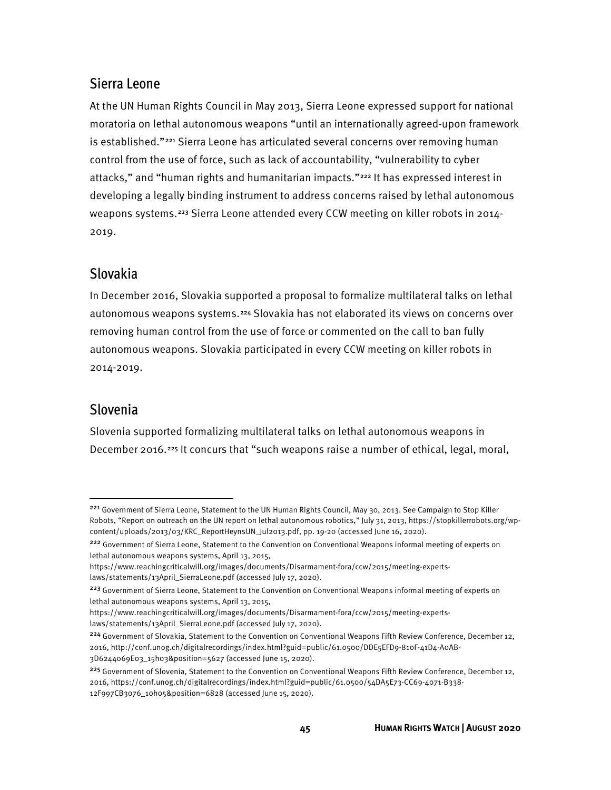# <span id="page-51-0"></span>Sierra Leone

At the UN Human Rights Council in May 2013, Sierra Leone expressed support for national moratoria on lethal autonomous weapons "until an internationally agreed-upon framework is established."<sup>[221](#page-51-3)</sup> Sierra Leone has articulated several concerns over removing human control from the use of force, such as lack of accountability, "vulnerability to cyber attacks," and "human rights and humanitarian impacts."<sup>[222](#page-51-4)</sup> It has expressed interest in developing a legally binding instrument to address concerns raised by lethal autonomous weapons systems.<sup>[223](#page-51-5)</sup> Sierra Leone attended every CCW meeting on killer robots in 2014-2019.

# <span id="page-51-1"></span>Slovakia

In December 2016, Slovakia supported a proposal to formalize multilateral talks on lethal autonomous weapons systems.[224](#page-51-6) Slovakia has not elaborated its views on concerns over removing human control from the use of force or commented on the call to ban fully autonomous weapons. Slovakia participated in every CCW meeting on killer robots in 2014-2019.

# <span id="page-51-2"></span>Slovenia

Slovenia supported formalizing multilateral talks on lethal autonomous weapons in December 2016.<sup>[225](#page-51-7)</sup> It concurs that "such weapons raise a number of ethical, legal, moral,

<span id="page-51-3"></span><sup>221</sup> Government of Sierra Leone, Statement to the UN Human Rights Council, May 30, 2013. See Campaign to Stop Killer Robots, "Report on outreach on the UN report on lethal autonomous robotics," July 31, 2013, https://stopkillerrobots.org/wpcontent/uploads/2013/03/KRC\_ReportHeynsUN\_Jul2013.pdf, pp. 19-20 (accessed June 16, 2020).

<span id="page-51-4"></span><sup>222</sup> Government of Sierra Leone, Statement to the Convention on Conventional Weapons informal meeting of experts on lethal autonomous weapons systems, April 13, 2015,

https://www.reachingcriticalwill.org/images/documents/Disarmament-fora/ccw/2015/meeting-expertslaws/statements/13April\_SierraLeone.pdf (accessed July 17, 2020).

<span id="page-51-5"></span><sup>&</sup>lt;sup>223</sup> Government of Sierra Leone, Statement to the Convention on Conventional Weapons informal meeting of experts on lethal autonomous weapons systems, April 13, 2015,

https://www.reachingcriticalwill.org/images/documents/Disarmament-fora/ccw/2015/meeting-expertslaws/statements/13April\_SierraLeone.pdf (accessed July 17, 2020).

<span id="page-51-6"></span><sup>&</sup>lt;sup>224</sup> Government of Slovakia, Statement to the Convention on Conventional Weapons Fifth Review Conference, December 12, 2016, http://conf.unog.ch/digitalrecordings/index.html?guid=public/61.0500/DDE5EFD9-810F-41D4-A0AB-3D6244069E03\_15h03&position=5627 (accessed June 15, 2020).

<span id="page-51-7"></span><sup>&</sup>lt;sup>225</sup> Government of Slovenia, Statement to the Convention on Conventional Weapons Fifth Review Conference, December 12, 2016, https://conf.unog.ch/digitalrecordings/index.html?guid=public/61.0500/54DA5E73-CC69-4071-B338- 12F997CB3076\_10h05&position=6828 (accessed June 15, 2020).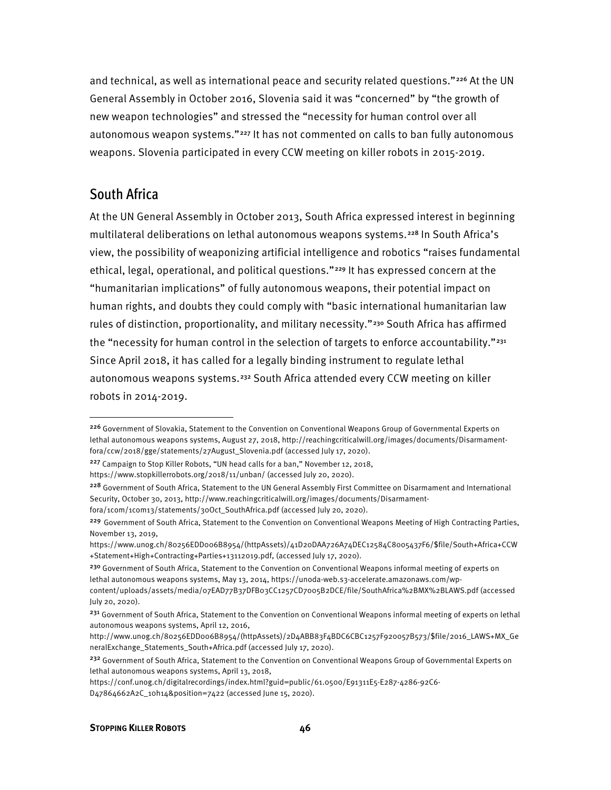and technical, as well as international peace and security related questions." $226$  At the UN General Assembly in October 2016, Slovenia said it was "concerned" by "the growth of new weapon technologies" and stressed the "necessity for human control over all autonomous weapon systems."[227](#page-52-2) It has not commented on calls to ban fully autonomous weapons. Slovenia participated in every CCW meeting on killer robots in 2015-2019.

## <span id="page-52-0"></span>South Africa

At the UN General Assembly in October 2013, South Africa expressed interest in beginning multilateral deliberations on lethal autonomous weapons systems.[228](#page-52-3) In South Africa's view, the possibility of weaponizing artificial intelligence and robotics "raises fundamental ethical, legal, operational, and political questions."[229](#page-52-4) It has expressed concern at the "humanitarian implications" of fully autonomous weapons, their potential impact on human rights, and doubts they could comply with "basic international humanitarian law rules of distinction, proportionality, and military necessity."<sup>[230](#page-52-5)</sup> South Africa has affirmed the "necessity for human control in the selection of targets to enforce accountability."<sup>[231](#page-52-6)</sup> Since April 2018, it has called for a legally binding instrument to regulate lethal autonomous weapons systems.<sup>[232](#page-52-7)</sup> South Africa attended every CCW meeting on killer robots in 2014-2019.

http://www.unog.ch/80256EDD006B8954/(httpAssets)/2D4ABB83F4BDC6CBC1257F920057B573/\$file/2016\_LAWS+MX\_Ge neralExchange\_Statements\_South+Africa.pdf (accessed July 17, 2020).

<span id="page-52-1"></span><sup>226</sup> Government of Slovakia, Statement to the Convention on Conventional Weapons Group of Governmental Experts on lethal autonomous weapons systems, August 27, 2018, http://reachingcriticalwill.org/images/documents/Disarmamentfora/ccw/2018/gge/statements/27August\_Slovenia.pdf (accessed July 17, 2020).

<span id="page-52-2"></span><sup>227</sup> Campaign to Stop Killer Robots, "UN head calls for a ban," November 12, 2018, https://www.stopkillerrobots.org/2018/11/unban/ (accessed July 20, 2020).

<span id="page-52-3"></span><sup>228</sup> Government of South Africa, Statement to the UN General Assembly First Committee on Disarmament and International Security, October 30, 2013, http://www.reachingcriticalwill.org/images/documents/Disarmamentfora/1com/1com13/statements/30Oct\_SouthAfrica.pdf (accessed July 20, 2020).

<span id="page-52-4"></span><sup>&</sup>lt;sup>229</sup> Government of South Africa, Statement to the Convention on Conventional Weapons Meeting of High Contracting Parties, November 13, 2019,

https://www.unog.ch/80256EDD006B8954/(httpAssets)/41D20DAA726A74DEC12584C8005437F6/\$file/South+Africa+CCW +Statement+High+Contracting+Parties+13112019.pdf, (accessed July 17, 2020).

<span id="page-52-5"></span><sup>&</sup>lt;sup>230</sup> Government of South Africa, Statement to the Convention on Conventional Weapons informal meeting of experts on lethal autonomous weapons systems, May 13, 2014, https://unoda-web.s3-accelerate.amazonaws.com/wp-

content/uploads/assets/media/07EAD77B37DFB03CC1257CD7005B2DCE/file/SouthAfrica%2BMX%2BLAWS.pdf (accessed July 20, 2020).

<span id="page-52-6"></span><sup>&</sup>lt;sup>231</sup> Government of South Africa, Statement to the Convention on Conventional Weapons informal meeting of experts on lethal autonomous weapons systems, April 12, 2016,

<span id="page-52-7"></span><sup>&</sup>lt;sup>232</sup> Government of South Africa, Statement to the Convention on Conventional Weapons Group of Governmental Experts on lethal autonomous weapons systems, April 13, 2018,

https://conf.unog.ch/digitalrecordings/index.html?guid=public/61.0500/E91311E5-E287-4286-92C6-

D47864662A2C\_10h14&position=7422 (accessed June 15, 2020).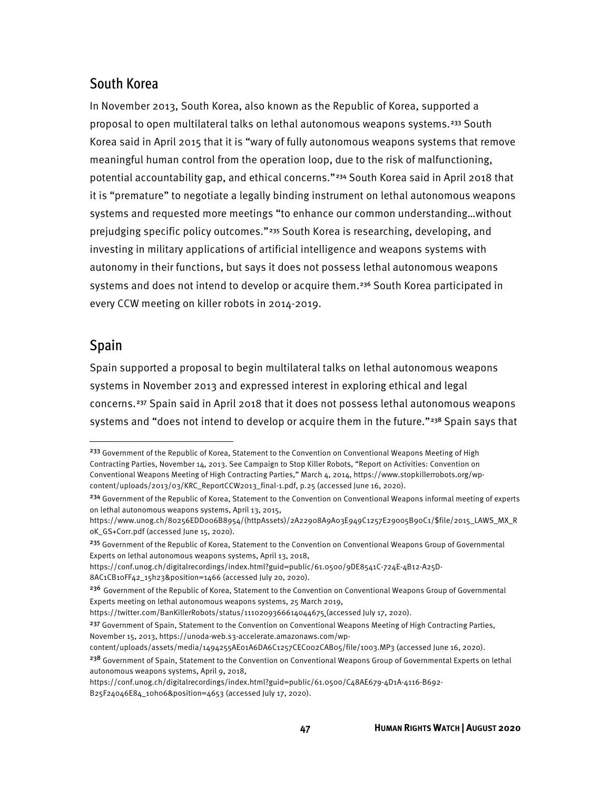# <span id="page-53-0"></span>South Korea

In November 2013, South Korea, also known as the Republic of Korea, supported a proposal to open multilateral talks on lethal autonomous weapons systems.[233](#page-53-2) South Korea said in April 2015 that it is "wary of fully autonomous weapons systems that remove meaningful human control from the operation loop, due to the risk of malfunctioning, potential accountability gap, and ethical concerns."[234](#page-53-3) South Korea said in April 2018 that it is "premature" to negotiate a legally binding instrument on lethal autonomous weapons systems and requested more meetings "to enhance our common understanding…without prejudging specific policy outcomes."[235](#page-53-4) South Korea is researching, developing, and investing in military applications of artificial intelligence and weapons systems with autonomy in their functions, but says it does not possess lethal autonomous weapons systems and does not intend to develop or acquire them.<sup>[236](#page-53-5)</sup> South Korea participated in every CCW meeting on killer robots in 2014-2019.

# <span id="page-53-1"></span>Spain

Spain supported a proposal to begin multilateral talks on lethal autonomous weapons systems in November 2013 and expressed interest in exploring ethical and legal concerns.[237](#page-53-6) Spain said in April 2018 that it does not possess lethal autonomous weapons systems and "does not intend to develop or acquire them in the future."<sup>[238](#page-53-7)</sup> Spain says that

content/uploads/assets/media/1494255AE01A6DA6C1257CEC002CAB05/file/1003.MP3 (accessed June 16, 2020).

<span id="page-53-2"></span><sup>&</sup>lt;sup>233</sup> Government of the Republic of Korea, Statement to the Convention on Conventional Weapons Meeting of High Contracting Parties, November 14, 2013. See Campaign to Stop Killer Robots, "Report on Activities: Convention on Conventional Weapons Meeting of High Contracting Parties," March 4, 2014, https://www.stopkillerrobots.org/wpcontent/uploads/2013/03/KRC\_ReportCCW2013\_final-1.pdf, p.25 (accessed June 16, 2020).

<span id="page-53-3"></span><sup>&</sup>lt;sup>234</sup> Government of the Republic of Korea, Statement to the Convention on Conventional Weapons informal meeting of experts on lethal autonomous weapons systems, April 13, 2015,

https://www.unog.ch/80256EDD006B8954/(httpAssets)/2A22908A9A03E949C1257E29005B90C1/\$file/2015\_LAWS\_MX\_R oK\_GS+Corr.pdf (accessed June 15, 2020).

<span id="page-53-4"></span><sup>&</sup>lt;sup>235</sup> Government of the Republic of Korea, Statement to the Convention on Conventional Weapons Group of Governmental Experts on lethal autonomous weapons systems, April 13, 2018,

https://conf.unog.ch/digitalrecordings/index.html?guid=public/61.0500/9DE8541C-724E-4B12-A25D-8AC1CB10FF42\_15h23&position=1466 (accessed July 20, 2020).

<span id="page-53-5"></span><sup>&</sup>lt;sup>236</sup> Government of the Republic of Korea, Statement to the Convention on Conventional Weapons Group of Governmental Experts meeting on lethal autonomous weapons systems, 25 March 2019,

https://twitter.com/BanKillerRobots/status/1110209366614044675 (accessed July 17, 2020).

<span id="page-53-6"></span><sup>&</sup>lt;sup>237</sup> Government of Spain, Statement to the Convention on Conventional Weapons Meeting of High Contracting Parties, November 15, 2013, https://unoda-web.s3-accelerate.amazonaws.com/wp-

<span id="page-53-7"></span><sup>&</sup>lt;sup>238</sup> Government of Spain, Statement to the Convention on Conventional Weapons Group of Governmental Experts on lethal autonomous weapons systems, April 9, 2018,

https://conf.unog.ch/digitalrecordings/index.html?guid=public/61.0500/C48AE679-4D1A-4116-B692-

B25F24046E84\_10h06&position=4653 (accessed July 17, 2020).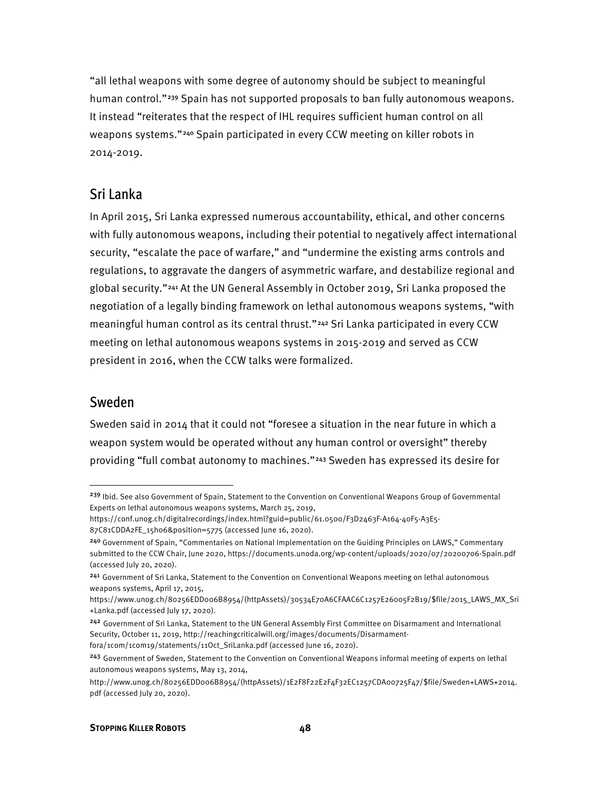"all lethal weapons with some degree of autonomy should be subject to meaningful human control."<sup>[239](#page-54-2)</sup> Spain has not supported proposals to ban fully autonomous weapons. It instead "reiterates that the respect of IHL requires sufficient human control on all weapons systems."[240](#page-54-3) Spain participated in every CCW meeting on killer robots in 2014-2019.

# <span id="page-54-0"></span>Sri Lanka

In April 2015, Sri Lanka expressed numerous accountability, ethical, and other concerns with fully autonomous weapons, including their potential to negatively affect international security, "escalate the pace of warfare," and "undermine the existing arms controls and regulations, to aggravate the dangers of asymmetric warfare, and destabilize regional and global security."[241](#page-54-4) At the UN General Assembly in October 2019, Sri Lanka proposed the negotiation of a legally binding framework on lethal autonomous weapons systems, "with meaningful human control as its central thrust."[242](#page-54-5) Sri Lanka participated in every CCW meeting on lethal autonomous weapons systems in 2015-2019 and served as CCW president in 2016, when the CCW talks were formalized.

# <span id="page-54-1"></span>Sweden

Sweden said in 2014 that it could not "foresee a situation in the near future in which a weapon system would be operated without any human control or oversight" thereby providing "full combat autonomy to machines."<sup>[243](#page-54-6)</sup> Sweden has expressed its desire for

<span id="page-54-2"></span><sup>&</sup>lt;sup>239</sup> Ibid. See also Government of Spain, Statement to the Convention on Conventional Weapons Group of Governmental Experts on lethal autonomous weapons systems, March 25, 2019,

https://conf.unog.ch/digitalrecordings/index.html?guid=public/61.0500/F3D2463F-A164-40F5-A3E5-

<sup>87</sup>C81CDDA2FE\_15h06&position=5775 (accessed June 16, 2020).

<span id="page-54-3"></span><sup>240</sup> Government of Spain, "Commentaries on National Implementation on the Guiding Principles on LAWS," Commentary submitted to the CCW Chair, June 2020, https://documents.unoda.org/wp-content/uploads/2020/07/20200706-Spain.pdf (accessed July 20, 2020).

<span id="page-54-4"></span><sup>241</sup> Government of Sri Lanka, Statement to the Convention on Conventional Weapons meeting on lethal autonomous weapons systems, April 17, 2015,

https://www.unog.ch/80256EDD006B8954/(httpAssets)/30534E70A6CFAAC6C1257E26005F2B19/\$file/2015\_LAWS\_MX\_Sri +Lanka.pdf (accessed July 17, 2020).

<span id="page-54-5"></span><sup>&</sup>lt;sup>242</sup> Government of Sri Lanka, Statement to the UN General Assembly First Committee on Disarmament and International Security, October 11, 2019, http://reachingcriticalwill.org/images/documents/Disarmamentfora/1com/1com19/statements/11Oct\_SriLanka.pdf (accessed June 16, 2020).

<span id="page-54-6"></span><sup>&</sup>lt;sup>243</sup> Government of Sweden, Statement to the Convention on Conventional Weapons informal meeting of experts on lethal autonomous weapons systems, May 13, 2014,

http://www.unog.ch/80256EDD006B8954/(httpAssets)/1E2F8F22E2F4F32EC1257CDA00725F47/\$file/Sweden+LAWS+2014. pdf (accessed July 20, 2020).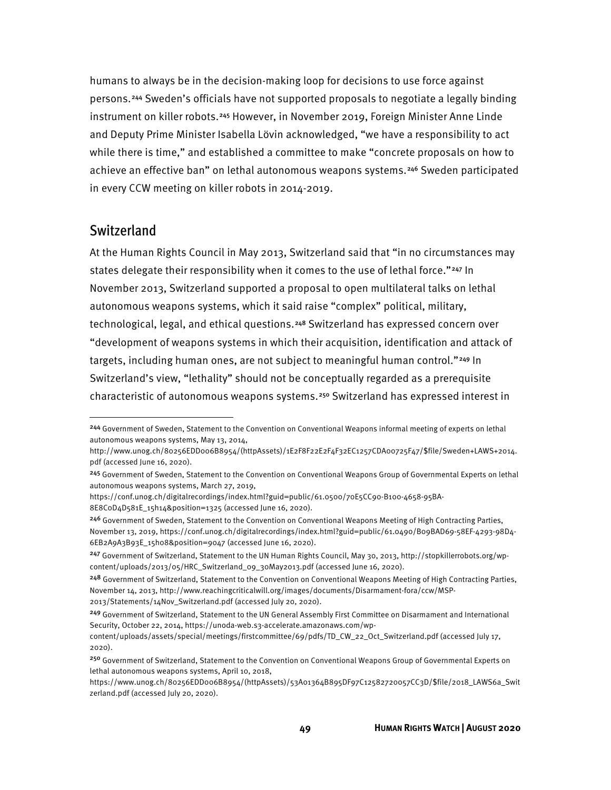humans to always be in the decision-making loop for decisions to use force against persons.[244](#page-55-1) Sweden's officials have not supported proposals to negotiate a legally binding instrument on killer robots.[245](#page-55-2) However, in November 2019, Foreign Minister Anne Linde and Deputy Prime Minister Isabella Lövin acknowledged, "we have a responsibility to act while there is time," and established a committee to make "concrete proposals on how to achieve an effective ban" on lethal autonomous weapons systems.[246](#page-55-3) Sweden participated in every CCW meeting on killer robots in 2014-2019.

#### <span id="page-55-0"></span>**Switzerland**

At the Human Rights Council in May 2013, Switzerland said that "in no circumstances may states delegate their responsibility when it comes to the use of lethal force."[247](#page-55-4) In November 2013, Switzerland supported a proposal to open multilateral talks on lethal autonomous weapons systems, which it said raise "complex" political, military, technological, legal, and ethical questions.[248](#page-55-5) Switzerland has expressed concern over "development of weapons systems in which their acquisition, identification and attack of targets, including human ones, are not subject to meaningful human control."[249](#page-55-6) In Switzerland's view, "lethality" should not be conceptually regarded as a prerequisite characteristic of autonomous weapons systems.[250](#page-55-7) Switzerland has expressed interest in

<span id="page-55-1"></span><sup>244</sup> Government of Sweden, Statement to the Convention on Conventional Weapons informal meeting of experts on lethal autonomous weapons systems, May 13, 2014,

http://www.unog.ch/80256EDD006B8954/(httpAssets)/1E2F8F22E2F4F32EC1257CDA00725F47/\$file/Sweden+LAWS+2014. pdf (accessed June 16, 2020).

<span id="page-55-2"></span><sup>245</sup> Government of Sweden, Statement to the Convention on Conventional Weapons Group of Governmental Experts on lethal autonomous weapons systems, March 27, 2019,

https://conf.unog.ch/digitalrecordings/index.html?guid=public/61.0500/70E5CC90-B100-4658-95BA-8E8C0D4D581E\_15h14&position=1325 (accessed June 16, 2020).

<span id="page-55-3"></span><sup>&</sup>lt;sup>246</sup> Government of Sweden, Statement to the Convention on Conventional Weapons Meeting of High Contracting Parties, November 13, 2019, https://conf.unog.ch/digitalrecordings/index.html?guid=public/61.0490/B09BAD69-58EF-4293-98D4- 6EB2A9A3B93E\_15h08&position=9047 (accessed June 16, 2020).

<span id="page-55-4"></span><sup>247</sup> Government of Switzerland, Statement to the UN Human Rights Council, May 30, 2013, http://stopkillerrobots.org/wpcontent/uploads/2013/05/HRC\_Switzerland\_09\_30May2013.pdf (accessed June 16, 2020).

<span id="page-55-5"></span><sup>&</sup>lt;sup>248</sup> Government of Switzerland, Statement to the Convention on Conventional Weapons Meeting of High Contracting Parties, November 14, 2013, http://www.reachingcriticalwill.org/images/documents/Disarmament-fora/ccw/MSP-2013/Statements/14Nov\_Switzerland.pdf (accessed July 20, 2020).

<span id="page-55-6"></span><sup>249</sup> Government of Switzerland, Statement to the UN General Assembly First Committee on Disarmament and International Security, October 22, 2014, https://unoda-web.s3-accelerate.amazonaws.com/wp-

content/uploads/assets/special/meetings/firstcommittee/69/pdfs/TD\_CW\_22\_Oct\_Switzerland.pdf (accessed July 17, 2020).

<span id="page-55-7"></span><sup>&</sup>lt;sup>250</sup> Government of Switzerland, Statement to the Convention on Conventional Weapons Group of Governmental Experts on lethal autonomous weapons systems, April 10, 2018,

https://www.unog.ch/80256EDD006B8954/(httpAssets)/53A01364B895DF97C12582720057CC3D/\$file/2018\_LAWS6a\_Swit zerland.pdf (accessed July 20, 2020).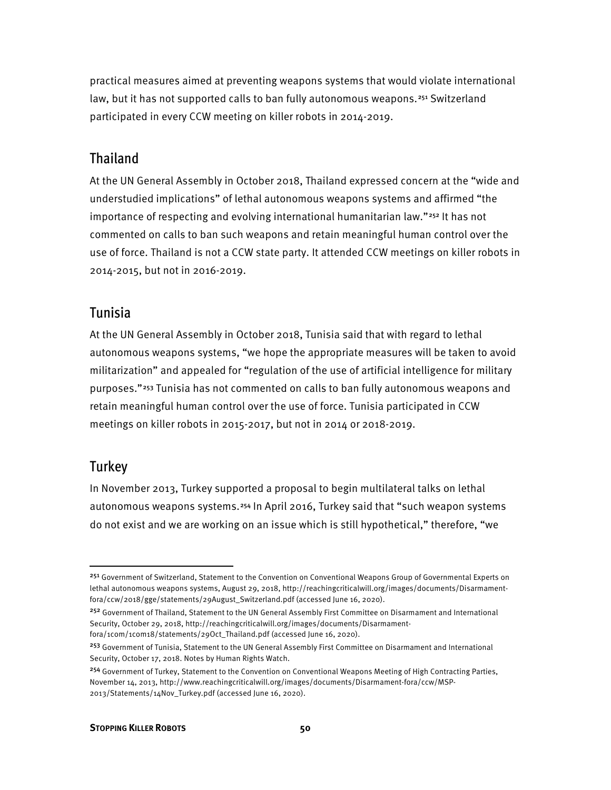practical measures aimed at preventing weapons systems that would violate international law, but it has not supported calls to ban fully autonomous weapons.<sup>[251](#page-56-3)</sup> Switzerland participated in every CCW meeting on killer robots in 2014-2019.

## <span id="page-56-0"></span>Thailand

At the UN General Assembly in October 2018, Thailand expressed concern at the "wide and understudied implications" of lethal autonomous weapons systems and affirmed "the importance of respecting and evolving international humanitarian law."<sup>[252](#page-56-4)</sup> It has not commented on calls to ban such weapons and retain meaningful human control over the use of force. Thailand is not a CCW state party. It attended CCW meetings on killer robots in 2014-2015, but not in 2016-2019.

# <span id="page-56-1"></span>Tunisia

At the UN General Assembly in October 2018, Tunisia said that with regard to lethal autonomous weapons systems, "we hope the appropriate measures will be taken to avoid militarization" and appealed for "regulation of the use of artificial intelligence for military purposes."[253](#page-56-5) Tunisia has not commented on calls to ban fully autonomous weapons and retain meaningful human control over the use of force. Tunisia participated in CCW meetings on killer robots in 2015-2017, but not in 2014 or 2018-2019.

# <span id="page-56-2"></span>**Turkey**

In November 2013, Turkey supported a proposal to begin multilateral talks on lethal autonomous weapons systems.[254](#page-56-6) In April 2016, Turkey said that "such weapon systems do not exist and we are working on an issue which is still hypothetical," therefore, "we

<span id="page-56-4"></span><sup>252</sup> Government of Thailand, Statement to the UN General Assembly First Committee on Disarmament and International Security, October 29, 2018, http://reachingcriticalwill.org/images/documents/Disarmamentfora/1com/1com18/statements/29Oct\_Thailand.pdf (accessed June 16, 2020).

<span id="page-56-3"></span><sup>&</sup>lt;sup>251</sup> Government of Switzerland, Statement to the Convention on Conventional Weapons Group of Governmental Experts on lethal autonomous weapons systems, August 29, 2018, http://reachingcriticalwill.org/images/documents/Disarmamentfora/ccw/2018/gge/statements/29August\_Switzerland.pdf (accessed June 16, 2020).

<span id="page-56-5"></span><sup>253</sup> Government of Tunisia, Statement to the UN General Assembly First Committee on Disarmament and International Security, October 17, 2018. Notes by Human Rights Watch.

<span id="page-56-6"></span><sup>&</sup>lt;sup>254</sup> Government of Turkey, Statement to the Convention on Conventional Weapons Meeting of High Contracting Parties, November 14, 2013, http://www.reachingcriticalwill.org/images/documents/Disarmament-fora/ccw/MSP-2013/Statements/14Nov\_Turkey.pdf (accessed June 16, 2020).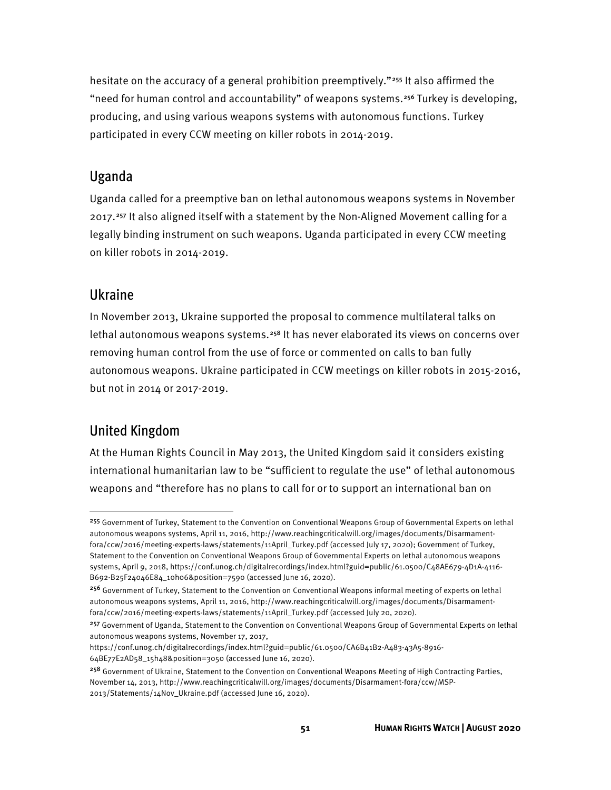hesitate on the accuracy of a general prohibition preemptively."<sup>[255](#page-57-3)</sup> It also affirmed the "need for human control and accountability" of weapons systems.<sup>[256](#page-57-4)</sup> Turkey is developing, producing, and using various weapons systems with autonomous functions. Turkey participated in every CCW meeting on killer robots in 2014-2019.

# <span id="page-57-0"></span>Uganda

Uganda called for a preemptive ban on lethal autonomous weapons systems in November 2017.[257](#page-57-5) It also aligned itself with a statement by the Non-Aligned Movement calling for a legally binding instrument on such weapons. Uganda participated in every CCW meeting on killer robots in 2014-2019.

## <span id="page-57-1"></span>Ukraine

In November 2013, Ukraine supported the proposal to commence multilateral talks on lethal autonomous weapons systems.<sup>[258](#page-57-6)</sup> It has never elaborated its views on concerns over removing human control from the use of force or commented on calls to ban fully autonomous weapons. Ukraine participated in CCW meetings on killer robots in 2015-2016, but not in 2014 or 2017-2019.

# <span id="page-57-2"></span>United Kingdom

At the Human Rights Council in May 2013, the United Kingdom said it considers existing international humanitarian law to be "sufficient to regulate the use" of lethal autonomous weapons and "therefore has no plans to call for or to support an international ban on

<span id="page-57-3"></span><sup>&</sup>lt;sup>255</sup> Government of Turkey, Statement to the Convention on Conventional Weapons Group of Governmental Experts on lethal autonomous weapons systems, April 11, 2016, http://www.reachingcriticalwill.org/images/documents/Disarmamentfora/ccw/2016/meeting-experts-laws/statements/11April\_Turkey.pdf (accessed July 17, 2020); Government of Turkey, Statement to the Convention on Conventional Weapons Group of Governmental Experts on lethal autonomous weapons systems, April 9, 2018, https://conf.unog.ch/digitalrecordings/index.html?guid=public/61.0500/C48AE679-4D1A-4116- B692-B25F24046E84\_10h06&position=7590 (accessed June 16, 2020).

<span id="page-57-4"></span><sup>256</sup> Government of Turkey, Statement to the Convention on Conventional Weapons informal meeting of experts on lethal autonomous weapons systems, April 11, 2016, http://www.reachingcriticalwill.org/images/documents/Disarmamentfora/ccw/2016/meeting-experts-laws/statements/11April\_Turkey.pdf (accessed July 20, 2020).

<span id="page-57-5"></span><sup>&</sup>lt;sup>257</sup> Government of Uganda, Statement to the Convention on Conventional Weapons Group of Governmental Experts on lethal autonomous weapons systems, November 17, 2017,

https://conf.unog.ch/digitalrecordings/index.html?guid=public/61.0500/CA6B41B2-A483-43A5-8916- 64BE77E2AD58\_15h48&position=3050 (accessed June 16, 2020).

<span id="page-57-6"></span><sup>&</sup>lt;sup>258</sup> Government of Ukraine, Statement to the Convention on Conventional Weapons Meeting of High Contracting Parties, November 14, 2013, http://www.reachingcriticalwill.org/images/documents/Disarmament-fora/ccw/MSP-2013/Statements/14Nov\_Ukraine.pdf (accessed June 16, 2020).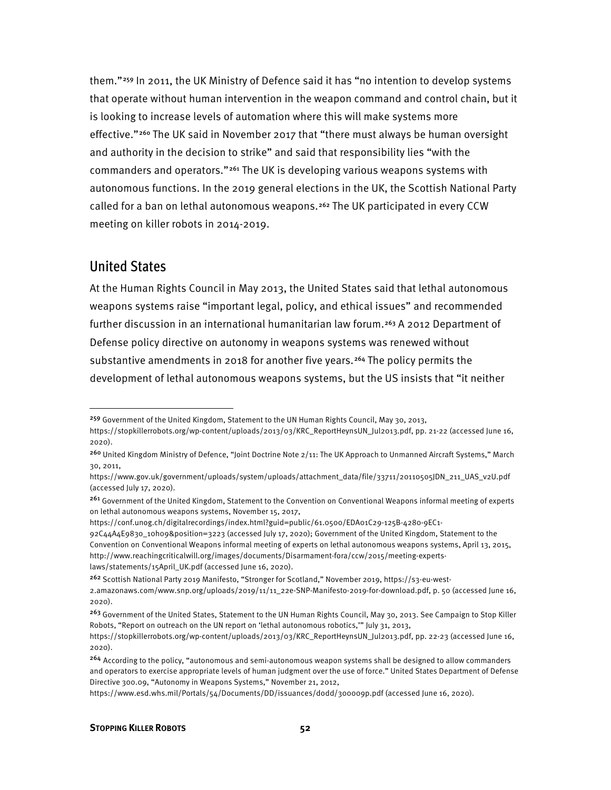them."[259](#page-58-1) In 2011, the UK Ministry of Defence said it has "no intention to develop systems that operate without human intervention in the weapon command and control chain, but it is looking to increase levels of automation where this will make systems more effective."[260](#page-58-2) The UK said in November 2017 that "there must always be human oversight and authority in the decision to strike" and said that responsibility lies "with the commanders and operators."<sup>[261](#page-58-3)</sup> The UK is developing various weapons systems with autonomous functions. In the 2019 general elections in the UK, the Scottish National Party called for a ban on lethal autonomous weapons.<sup>[262](#page-58-4)</sup> The UK participated in every CCW meeting on killer robots in 2014-2019.

#### <span id="page-58-0"></span>United States

At the Human Rights Council in May 2013, the United States said that lethal autonomous weapons systems raise "important legal, policy, and ethical issues" and recommended further discussion in an international humanitarian law forum.<sup>[263](#page-58-5)</sup> A 2012 Department of Defense policy directive on autonomy in weapons systems was renewed without substantive amendments in 2018 for another five years.<sup>[264](#page-58-6)</sup> The policy permits the development of lethal autonomous weapons systems, but the US insists that "it neither

https://conf.unog.ch/digitalrecordings/index.html?guid=public/61.0500/EDA01C29-125B-4280-9EC1-

92C44A4E9830\_10h09&position=3223 (accessed July 17, 2020); Government of the United Kingdom, Statement to the Convention on Conventional Weapons informal meeting of experts on lethal autonomous weapons systems, April 13, 2015, http://www.reachingcriticalwill.org/images/documents/Disarmament-fora/ccw/2015/meeting-expertslaws/statements/15April\_UK.pdf (accessed June 16, 2020).

<span id="page-58-4"></span><sup>262</sup> Scottish National Party 2019 Manifesto, "Stronger for Scotland," November 2019, https://s3-eu-west-

<span id="page-58-1"></span><sup>259</sup> Government of the United Kingdom, Statement to the UN Human Rights Council, May 30, 2013,

https://stopkillerrobots.org/wp-content/uploads/2013/03/KRC\_ReportHeynsUN\_Jul2013.pdf, pp. 21-22 (accessed June 16, 2020).

<span id="page-58-2"></span><sup>260</sup> United Kingdom Ministry of Defence, "Joint Doctrine Note 2/11: The UK Approach to Unmanned Aircraft Systems," March 30, 2011,

https://www.gov.uk/government/uploads/system/uploads/attachment\_data/file/33711/20110505JDN\_211\_UAS\_v2U.pdf (accessed July 17, 2020).

<span id="page-58-3"></span><sup>&</sup>lt;sup>261</sup> Government of the United Kingdom, Statement to the Convention on Conventional Weapons informal meeting of experts on lethal autonomous weapons systems, November 15, 2017,

<sup>2.</sup>amazonaws.com/www.snp.org/uploads/2019/11/11\_22e-SNP-Manifesto-2019-for-download.pdf, p. 50 (accessed June 16, 2020).

<span id="page-58-5"></span><sup>&</sup>lt;sup>263</sup> Government of the United States, Statement to the UN Human Rights Council, May 30, 2013. See Campaign to Stop Killer Robots, "Report on outreach on the UN report on 'lethal autonomous robotics,'" July 31, 2013,

https://stopkillerrobots.org/wp-content/uploads/2013/03/KRC\_ReportHeynsUN\_Jul2013.pdf, pp. 22-23 (accessed June 16, 2020).

<span id="page-58-6"></span><sup>264</sup> According to the policy, "autonomous and semi-autonomous weapon systems shall be designed to allow commanders and operators to exercise appropriate levels of human judgment over the use of force." United States Department of Defense Directive 300.09, "Autonomy in Weapons Systems," November 21, 2012,

https://www.esd.whs.mil/Portals/54/Documents/DD/issuances/dodd/300009p.pdf (accessed June 16, 2020).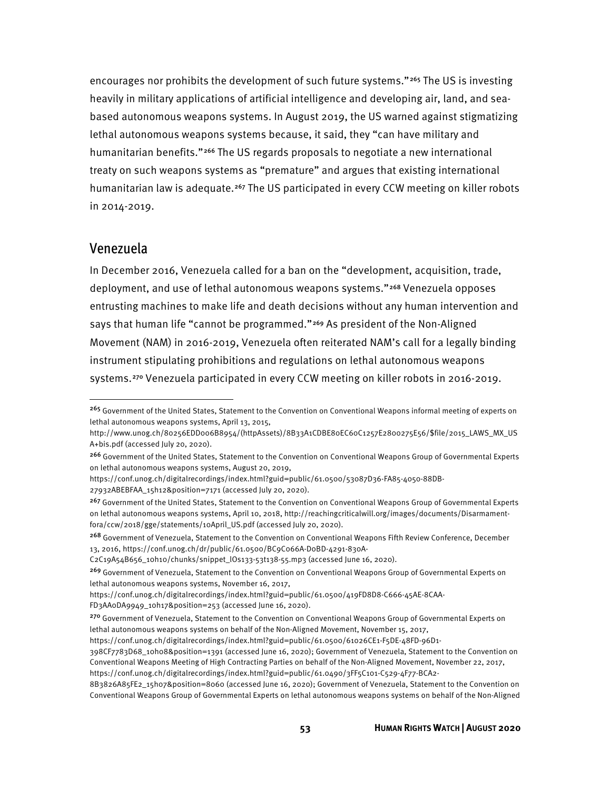encourages nor prohibits the development of such future systems."[265](#page-59-1) The US is investing heavily in military applications of artificial intelligence and developing air, land, and seabased autonomous weapons systems. In August 2019, the US warned against stigmatizing lethal autonomous weapons systems because, it said, they "can have military and humanitarian benefits."[266](#page-59-2) The US regards proposals to negotiate a new international treaty on such weapons systems as "premature" and argues that existing international humanitarian law is adequate.<sup>[267](#page-59-3)</sup> The US participated in every CCW meeting on killer robots in 2014-2019.

#### <span id="page-59-0"></span>Venezuela

In December 2016, Venezuela called for a ban on the "development, acquisition, trade, deployment, and use of lethal autonomous weapons systems."[268](#page-59-4) Venezuela opposes entrusting machines to make life and death decisions without any human intervention and says that human life "cannot be programmed."[269](#page-59-5) As president of the Non-Aligned Movement (NAM) in 2016-2019, Venezuela often reiterated NAM's call for a legally binding instrument stipulating prohibitions and regulations on lethal autonomous weapons systems.[270](#page-59-6) Venezuela participated in every CCW meeting on killer robots in 2016-2019.

<span id="page-59-1"></span><sup>&</sup>lt;sup>265</sup> Government of the United States, Statement to the Convention on Conventional Weapons informal meeting of experts on lethal autonomous weapons systems, April 13, 2015,

http://www.unog.ch/80256EDD006B8954/(httpAssets)/8B33A1CDBE80EC60C1257E2800275E56/\$file/2015\_LAWS\_MX\_US A+bis.pdf (accessed July 20, 2020).

<span id="page-59-2"></span><sup>266</sup> Government of the United States, Statement to the Convention on Conventional Weapons Group of Governmental Experts on lethal autonomous weapons systems, August 20, 2019,

https://conf.unog.ch/digitalrecordings/index.html?guid=public/61.0500/53087D36-FA85-4050-88DB-27932ABEBFAA\_15h12&position=7171 (accessed July 20, 2020).

<span id="page-59-3"></span><sup>&</sup>lt;sup>267</sup> Government of the United States, Statement to the Convention on Conventional Weapons Group of Governmental Experts on lethal autonomous weapons systems, April 10, 2018, http://reachingcriticalwill.org/images/documents/Disarmamentfora/ccw/2018/gge/statements/10April\_US.pdf (accessed July 20, 2020).

<span id="page-59-4"></span><sup>268</sup> Government of Venezuela, Statement to the Convention on Conventional Weapons Fifth Review Conference, December 13, 2016, https://conf.unog.ch/dr/public/61.0500/BC9C066A-D0BD-4291-830A-

C2C19A54B656\_10h10/chunks/snippet\_lOs133-53t138-55.mp3 (accessed June 16, 2020).

<span id="page-59-5"></span><sup>&</sup>lt;sup>269</sup> Government of Venezuela, Statement to the Convention on Conventional Weapons Group of Governmental Experts on lethal autonomous weapons systems, November 16, 2017,

https://conf.unog.ch/digitalrecordings/index.html?guid=public/61.0500/419FD8D8-C666-45AE-8CAA-

FD3AA0DA9949\_10h17&position=253 (accessed June 16, 2020).

<span id="page-59-6"></span><sup>&</sup>lt;sup>270</sup> Government of Venezuela, Statement to the Convention on Conventional Weapons Group of Governmental Experts on lethal autonomous weapons systems on behalf of the Non-Aligned Movement, November 15, 2017,

https://conf.unog.ch/digitalrecordings/index.html?guid=public/61.0500/61026CE1-F5DE-48FD-96D1-

<sup>398</sup>CF7783D68\_10h08&position=1391 (accessed June 16, 2020); Government of Venezuela, Statement to the Convention on Conventional Weapons Meeting of High Contracting Parties on behalf of the Non-Aligned Movement, November 22, 2017,

https://conf.unog.ch/digitalrecordings/index.html?guid=public/61.0490/3FF5C101-C529-4F77-BCA2-

<sup>8</sup>B3826A85FE2\_15h07&position=8060 (accessed June 16, 2020); Government of Venezuela, Statement to the Convention on Conventional Weapons Group of Governmental Experts on lethal autonomous weapons systems on behalf of the Non-Aligned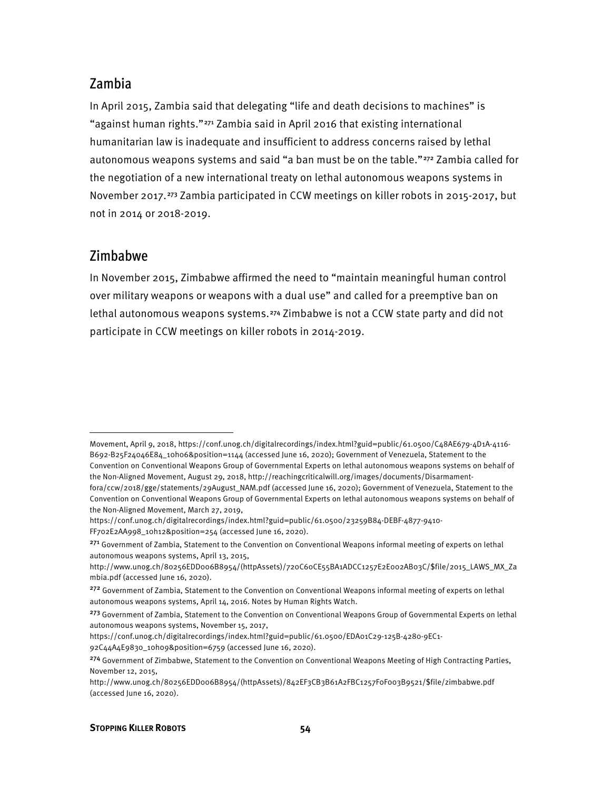# <span id="page-60-0"></span>Zambia

In April 2015, Zambia said that delegating "life and death decisions to machines" is "against human rights."[271](#page-60-2) Zambia said in April 2016 that existing international humanitarian law is inadequate and insufficient to address concerns raised by lethal autonomous weapons systems and said "a ban must be on the table."<sup>[272](#page-60-3)</sup> Zambia called for the negotiation of a new international treaty on lethal autonomous weapons systems in November 2017.[273](#page-60-4) Zambia participated in CCW meetings on killer robots in 2015-2017, but not in 2014 or 2018-2019.

# <span id="page-60-1"></span>Zimbabwe

In November 2015, Zimbabwe affirmed the need to "maintain meaningful human control over military weapons or weapons with a dual use" and called for a preemptive ban on lethal autonomous weapons systems.[274](#page-60-5) Zimbabwe is not a CCW state party and did not participate in CCW meetings on killer robots in 2014-2019.

https://conf.unog.ch/digitalrecordings/index.html?guid=public/61.0500/EDA01C29-125B-4280-9EC1- 92C44A4E9830\_10h09&position=6759 (accessed June 16, 2020).

Movement, April 9, 2018, https://conf.unog.ch/digitalrecordings/index.html?guid=public/61.0500/C48AE679-4D1A-4116- B692-B25F24046E84\_10h06&position=1144 (accessed June 16, 2020); Government of Venezuela, Statement to the Convention on Conventional Weapons Group of Governmental Experts on lethal autonomous weapons systems on behalf of the Non-Aligned Movement, August 29, 2018, http://reachingcriticalwill.org/images/documents/Disarmamentfora/ccw/2018/gge/statements/29August\_NAM.pdf (accessed June 16, 2020); Government of Venezuela, Statement to the

Convention on Conventional Weapons Group of Governmental Experts on lethal autonomous weapons systems on behalf of the Non-Aligned Movement, March 27, 2019,

https://conf.unog.ch/digitalrecordings/index.html?guid=public/61.0500/23259B84-DEBF-4877-9410- FF702E2AA998\_10h12&position=254 (accessed June 16, 2020).

<span id="page-60-2"></span><sup>&</sup>lt;sup>271</sup> Government of Zambia, Statement to the Convention on Conventional Weapons informal meeting of experts on lethal autonomous weapons systems, April 13, 2015,

http://www.unog.ch/80256EDD006B8954/(httpAssets)/720C60CE55BA1ADCC1257E2E002AB03C/\$file/2015\_LAWS\_MX\_Za mbia.pdf (accessed June 16, 2020).

<span id="page-60-3"></span><sup>&</sup>lt;sup>272</sup> Government of Zambia, Statement to the Convention on Conventional Weapons informal meeting of experts on lethal autonomous weapons systems, April 14, 2016. Notes by Human Rights Watch.

<span id="page-60-4"></span><sup>&</sup>lt;sup>273</sup> Government of Zambia, Statement to the Convention on Conventional Weapons Group of Governmental Experts on lethal autonomous weapons systems, November 15, 2017,

<span id="page-60-5"></span><sup>&</sup>lt;sup>274</sup> Government of Zimbabwe, Statement to the Convention on Conventional Weapons Meeting of High Contracting Parties, November 12, 2015,

http://www.unog.ch/80256EDD006B8954/(httpAssets)/842EF3CB3B61A2FBC1257F0F003B9521/\$file/zimbabwe.pdf (accessed June 16, 2020).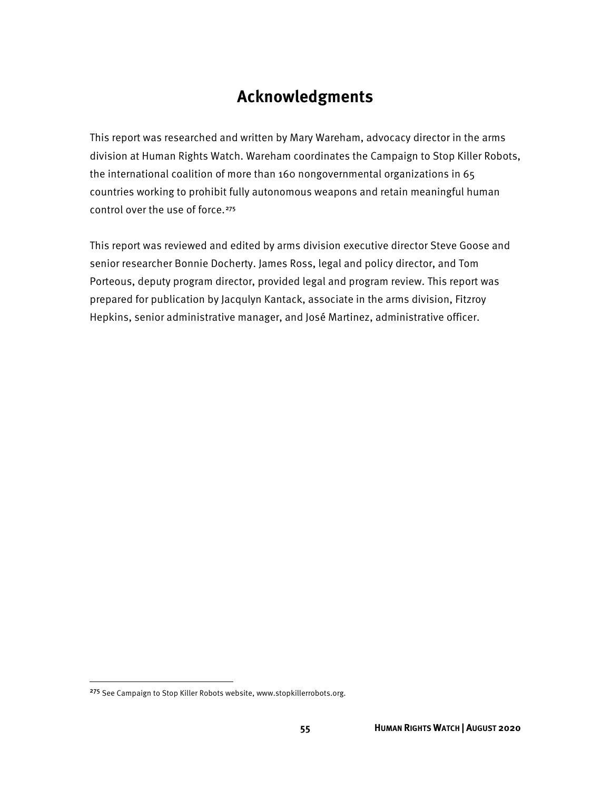# **Acknowledgments**

<span id="page-61-0"></span>This report was researched and written by Mary Wareham, advocacy director in the arms division at Human Rights Watch. Wareham coordinates the Campaign to Stop Killer Robots, the international coalition of more than 160 nongovernmental organizations in 65 countries working to prohibit fully autonomous weapons and retain meaningful human control over the use of force.<sup>[275](#page-61-1)</sup>

This report was reviewed and edited by arms division executive director Steve Goose and senior researcher Bonnie Docherty. James Ross, legal and policy director, and Tom Porteous, deputy program director, provided legal and program review. This report was prepared for publication by Jacqulyn Kantack, associate in the arms division, Fitzroy Hepkins, senior administrative manager, and José Martinez, administrative officer.

<span id="page-61-1"></span><sup>&</sup>lt;sup>275</sup> See Campaign to Stop Killer Robots website, www.stopkillerrobots.org.